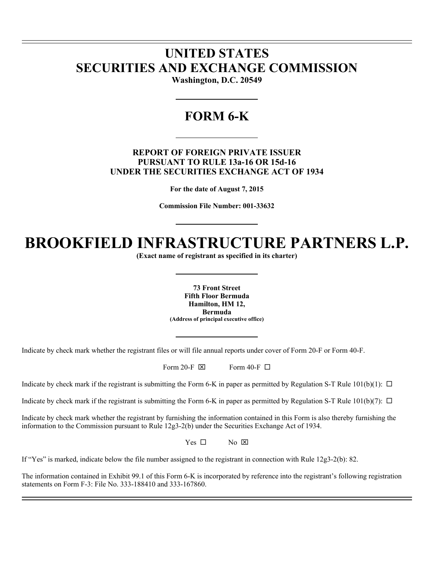# **UNITED STATES SECURITIES AND EXCHANGE COMMISSION**

l l

 $\overline{a}$ 

**Washington, D.C. 20549** 

# **FORM 6-K**

# **REPORT OF FOREIGN PRIVATE ISSUER PURSUANT TO RULE 13a-16 OR 15d-16 UNDER THE SECURITIES EXCHANGE ACT OF 1934**

**For the date of August 7, 2015** 

**Commission File Number: 001-33632** 

# **BROOKFIELD INFRASTRUCTURE PARTNERS L.P.**

**(Exact name of registrant as specified in its charter)** 

**73 Front Street Fifth Floor Bermuda Hamilton, HM 12, Bermuda (Address of principal executive office)** 

Indicate by check mark whether the registrant files or will file annual reports under cover of Form 20-F or Form 40-F.

Form 20-F  $\boxtimes$  Form 40-F  $\Box$ 

Indicate by check mark if the registrant is submitting the Form 6-K in paper as permitted by Regulation S-T Rule  $101(b)(1)$ :  $\Box$ 

Indicate by check mark if the registrant is submitting the Form 6-K in paper as permitted by Regulation S-T Rule  $101(b)(7)$ :  $\Box$ 

Indicate by check mark whether the registrant by furnishing the information contained in this Form is also thereby furnishing the information to the Commission pursuant to Rule 12g3-2(b) under the Securities Exchange Act of 1934.

 $Yes \Box$  No  $\boxtimes$ 

If "Yes" is marked, indicate below the file number assigned to the registrant in connection with Rule 12g3-2(b): 82.

The information contained in Exhibit 99.1 of this Form 6-K is incorporated by reference into the registrant's following registration statements on Form F-3: File No. 333-188410 and 333-167860.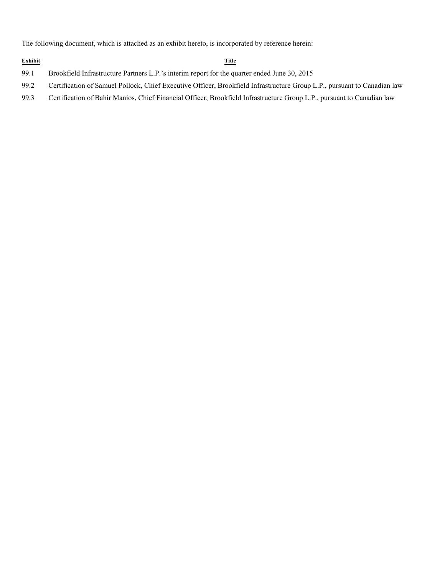The following document, which is attached as an exhibit hereto, is incorporated by reference herein:

#### **Exhibit Title**

- 99.1 Brookfield Infrastructure Partners L.P.'s interim report for the quarter ended June 30, 2015
- 99.2 Certification of Samuel Pollock, Chief Executive Officer, Brookfield Infrastructure Group L.P., pursuant to Canadian law
- 99.3 Certification of Bahir Manios, Chief Financial Officer, Brookfield Infrastructure Group L.P., pursuant to Canadian law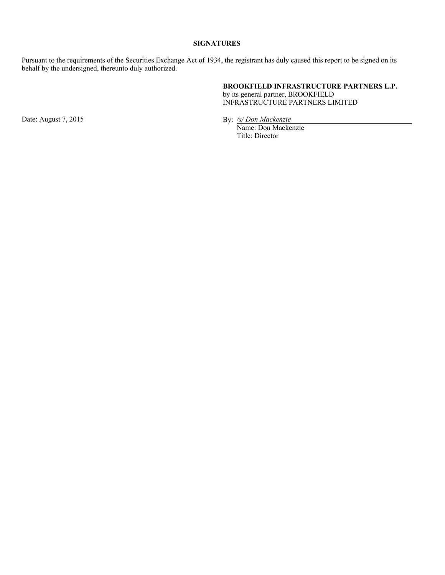# **SIGNATURES**

Pursuant to the requirements of the Securities Exchange Act of 1934, the registrant has duly caused this report to be signed on its behalf by the undersigned, thereunto duly authorized.

# **BROOKFIELD INFRASTRUCTURE PARTNERS L.P.**

by its general partner, BROOKFIELD INFRASTRUCTURE PARTNERS LIMITED

Date: August 7, 2015 By: */s/Don Mackenzie* 

Name: Don Mackenzie Title: Director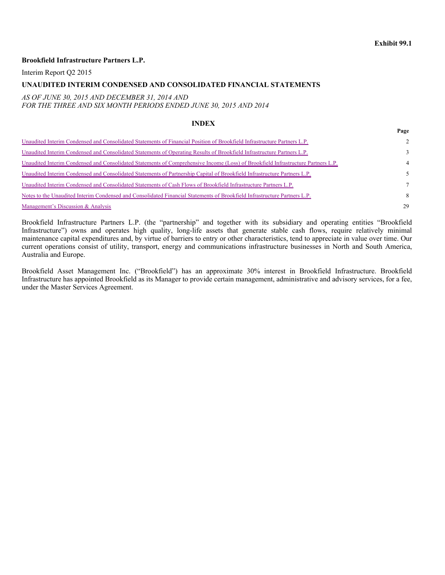**Page**

### **Brookfield Infrastructure Partners L.P.**

Interim Report Q2 2015

#### **UNAUDITED INTERIM CONDENSED AND CONSOLIDATED FINANCIAL STATEMENTS**

#### *AS OF JUNE 30, 2015 AND DECEMBER 31, 2014 AND FOR THE THREE AND SIX MONTH PERIODS ENDED JUNE 30, 2015 AND 2014*

#### **INDEX**

| Unaudited Interim Condensed and Consolidated Statements of Financial Position of Brookfield Infrastructure Partners L.P.          | $2^{\circ}$   |
|-----------------------------------------------------------------------------------------------------------------------------------|---------------|
| Unaudited Interim Condensed and Consolidated Statements of Operating Results of Brookfield Infrastructure Partners L.P.           | $\mathcal{E}$ |
| Unaudited Interim Condensed and Consolidated Statements of Comprehensive Income (Loss) of Brookfield Infrastructure Partners L.P. | 4             |
| Unaudited Interim Condensed and Consolidated Statements of Partnership Capital of Brookfield Infrastructure Partners L.P.         | 5.            |
| Unaudited Interim Condensed and Consolidated Statements of Cash Flows of Brookfield Infrastructure Partners L.P.                  | $\tau$        |
| Notes to the Unaudited Interim Condensed and Consolidated Financial Statements of Brookfield Infrastructure Partners L.P.         | 8             |
| Management's Discussion & Analysis                                                                                                | 29            |

Brookfield Infrastructure Partners L.P. (the "partnership" and together with its subsidiary and operating entities "Brookfield Infrastructure") owns and operates high quality, long-life assets that generate stable cash flows, require relatively minimal maintenance capital expenditures and, by virtue of barriers to entry or other characteristics, tend to appreciate in value over time. Our current operations consist of utility, transport, energy and communications infrastructure businesses in North and South America, Australia and Europe.

Brookfield Asset Management Inc. ("Brookfield") has an approximate 30% interest in Brookfield Infrastructure. Brookfield Infrastructure has appointed Brookfield as its Manager to provide certain management, administrative and advisory services, for a fee, under the Master Services Agreement.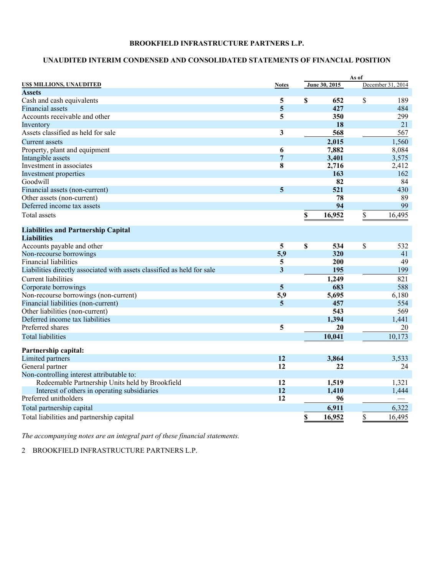# **UNAUDITED INTERIM CONDENSED AND CONSOLIDATED STATEMENTS OF FINANCIAL POSITION**

|                                                                         |                         |               | As of |                   |
|-------------------------------------------------------------------------|-------------------------|---------------|-------|-------------------|
| US\$ MILLIONS, UNAUDITED                                                | <b>Notes</b>            | June 30, 2015 |       | December 31, 2014 |
| <b>Assets</b>                                                           |                         |               |       |                   |
| Cash and cash equivalents                                               | 5                       | \$<br>652     | \$    | 189               |
| <b>Financial assets</b>                                                 | 5                       | 427           |       | 484               |
| Accounts receivable and other                                           | 5                       | 350           |       | 299               |
| Inventory                                                               |                         | 18            |       | 21                |
| Assets classified as held for sale                                      | 3                       | 568           |       | 567               |
| Current assets                                                          |                         | 2,015         |       | 1,560             |
| Property, plant and equipment                                           | 6                       | 7,882         |       | 8,084             |
| Intangible assets                                                       | 7                       | 3,401         |       | 3,575             |
| Investment in associates                                                | 8                       | 2,716         |       | 2,412             |
| Investment properties                                                   |                         | 163           |       | 162               |
| Goodwill                                                                |                         | 82            |       | 84                |
| Financial assets (non-current)                                          | 5                       | 521           |       | 430               |
| Other assets (non-current)                                              |                         | 78            |       | 89                |
| Deferred income tax assets                                              |                         | 94            |       | 99                |
| <b>Total</b> assets                                                     |                         | \$<br>16,952  | \$    | 16,495            |
| <b>Liabilities and Partnership Capital</b>                              |                         |               |       |                   |
| <b>Liabilities</b>                                                      |                         |               |       |                   |
| Accounts payable and other                                              | $\overline{\mathbf{5}}$ | \$<br>534     | \$    | 532               |
| Non-recourse borrowings                                                 | 5,9                     | 320           |       | 41                |
| <b>Financial liabilities</b>                                            | 5                       | 200           |       | 49                |
| Liabilities directly associated with assets classified as held for sale | 3                       | 195           |       | 199               |
| <b>Current liabilities</b>                                              |                         | 1,249         |       | 821               |
| Corporate borrowings                                                    | $\overline{5}$          | 683           |       | 588               |
| Non-recourse borrowings (non-current)                                   | 5,9                     | 5,695         |       | 6,180             |
| Financial liabilities (non-current)                                     | $\overline{5}$          | 457           |       | 554               |
| Other liabilities (non-current)                                         |                         | 543           |       | 569               |
| Deferred income tax liabilities                                         |                         | 1,394         |       | 1,441             |
| Preferred shares                                                        | 5                       | 20            |       | 20                |
| <b>Total liabilities</b>                                                |                         | 10,041        |       | 10,173            |
|                                                                         |                         |               |       |                   |
| Partnership capital:                                                    |                         |               |       |                   |
| Limited partners                                                        | 12                      | 3,864         |       | 3,533             |
| General partner                                                         | 12                      | 22            |       | 24                |
| Non-controlling interest attributable to:                               |                         |               |       |                   |
| Redeemable Partnership Units held by Brookfield                         | 12                      | 1,519         |       | 1,321             |
| Interest of others in operating subsidiaries                            | 12                      | 1,410         |       | 1,444             |
| Preferred unitholders                                                   | 12                      | 96            |       |                   |
| Total partnership capital                                               |                         | 6,911         |       | 6,322             |
| Total liabilities and partnership capital                               |                         | \$<br>16,952  | \$    | 16,495            |

*The accompanying notes are an integral part of these financial statements.*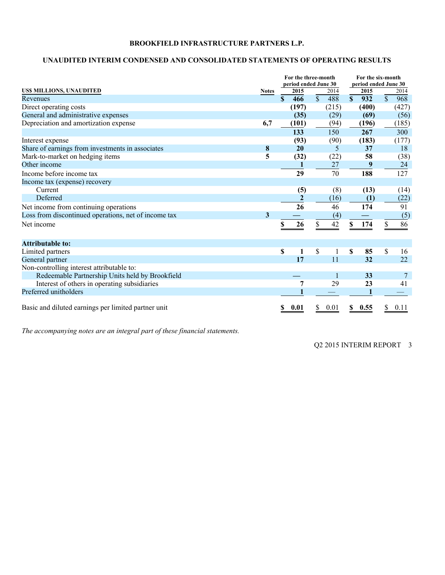# **UNAUDITED INTERIM CONDENSED AND CONSOLIDATED STATEMENTS OF OPERATING RESULTS**

|                                                      |              |              | For the three-month  |                         |       | For the six-month    |       |               |       |  |
|------------------------------------------------------|--------------|--------------|----------------------|-------------------------|-------|----------------------|-------|---------------|-------|--|
|                                                      |              |              | period ended June 30 |                         |       | period ended June 30 |       |               |       |  |
| US\$ MILLIONS, UNAUDITED                             | <b>Notes</b> |              | 2015                 |                         | 2014  |                      | 2015  |               | 2014  |  |
| Revenues                                             |              | $\mathbf{s}$ | 466                  | $\overline{\mathbb{S}}$ | 488   | $\mathbf{s}$         | 932   | $\mathsf{\$}$ | 968   |  |
| Direct operating costs                               |              |              | (197)                |                         | (215) |                      | (400) |               | (427) |  |
| General and administrative expenses                  |              |              | (35)                 |                         | (29)  |                      | (69)  |               | (56)  |  |
| Depreciation and amortization expense                | 6,7          |              | (101)                |                         | (94)  |                      | (196) |               | (185) |  |
|                                                      |              |              | 133                  |                         | 150   |                      | 267   |               | 300   |  |
| Interest expense                                     |              |              | (93)                 |                         | (90)  |                      | (183) |               | (177) |  |
| Share of earnings from investments in associates     | 8            |              | 20                   |                         | 5     |                      | 37    |               | 18    |  |
| Mark-to-market on hedging items                      | 5            |              | (32)                 |                         | (22)  |                      | 58    |               | (38)  |  |
| Other income                                         |              |              |                      |                         | 27    |                      | 9     |               | 24    |  |
| Income before income tax                             |              |              | 29                   |                         | 70    |                      | 188   |               | 127   |  |
| Income tax (expense) recovery                        |              |              |                      |                         |       |                      |       |               |       |  |
| Current                                              |              |              | (5)                  |                         | (8)   |                      | (13)  |               | (14)  |  |
| Deferred                                             |              |              |                      |                         | (16)  |                      | (1)   |               | (22)  |  |
| Net income from continuing operations                |              |              | 26                   |                         | 46    |                      | 174   |               | 91    |  |
| Loss from discontinued operations, net of income tax | 3            |              |                      |                         | (4)   |                      |       |               | (5)   |  |
| Net income                                           |              | S            | 26                   |                         | 42    | \$                   | 174   | \$            | 86    |  |
| <b>Attributable to:</b>                              |              |              |                      |                         |       |                      |       |               |       |  |
| Limited partners                                     |              | \$           | 1                    | \$                      |       | \$                   | 85    | \$            | 16    |  |
| General partner                                      |              |              | 17                   |                         | 11    |                      | 32    |               | 22    |  |
| Non-controlling interest attributable to:            |              |              |                      |                         |       |                      |       |               |       |  |
| Redeemable Partnership Units held by Brookfield      |              |              |                      |                         | 1     |                      | 33    |               | 7     |  |
| Interest of others in operating subsidiaries         |              |              | 7                    |                         | 29    |                      | 23    |               | 41    |  |
| Preferred unitholders                                |              |              |                      |                         |       |                      |       |               |       |  |
| Basic and diluted earnings per limited partner unit  |              |              | 0.01                 |                         | 0.01  |                      | 0.55  |               | 0.11  |  |

*The accompanying notes are an integral part of these financial statements.*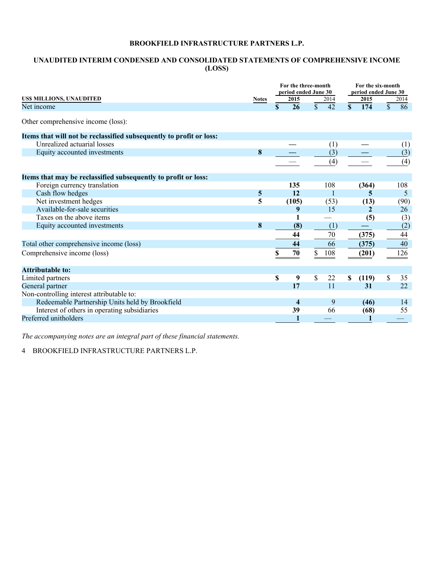# **UNAUDITED INTERIM CONDENSED AND CONSOLIDATED STATEMENTS OF COMPREHENSIVE INCOME (LOSS)**

|                                                                     |              | For the three-month<br>period ended June 30 |               |              | For the six-month<br>period ended June 30 |              |              |      |  |
|---------------------------------------------------------------------|--------------|---------------------------------------------|---------------|--------------|-------------------------------------------|--------------|--------------|------|--|
| US\$ MILLIONS, UNAUDITED                                            | <b>Notes</b> | 2015                                        |               | 2014         |                                           | 2015         |              | 2014 |  |
| Net income                                                          |              | \$<br>26                                    | $\mathsf{\$}$ | 42           | \$                                        | 174          | $\mathbb{S}$ | 86   |  |
| Other comprehensive income (loss):                                  |              |                                             |               |              |                                           |              |              |      |  |
| Items that will not be reclassified subsequently to profit or loss: |              |                                             |               |              |                                           |              |              |      |  |
| Unrealized actuarial losses                                         |              |                                             |               | (1)          |                                           |              |              | (1)  |  |
| Equity accounted investments                                        | 8            |                                             |               | (3)          |                                           |              |              | (3)  |  |
|                                                                     |              |                                             |               | (4)          |                                           |              |              | (4)  |  |
| Items that may be reclassified subsequently to profit or loss:      |              |                                             |               |              |                                           |              |              |      |  |
| Foreign currency translation                                        |              | 135                                         |               | 108          |                                           | (364)        |              | 108  |  |
| Cash flow hedges                                                    | 5            | 12                                          |               | $\mathbf{1}$ |                                           | 5.           |              | 5    |  |
| Net investment hedges                                               | 5            | (105)                                       |               | (53)         |                                           | (13)         |              | (90) |  |
| Available-for-sale securities                                       |              | 9                                           |               | 15           |                                           | $\mathbf{2}$ |              | 26   |  |
| Taxes on the above items                                            |              |                                             |               |              |                                           | (5)          |              | (3)  |  |
| Equity accounted investments                                        | 8            | (8)                                         |               | (1)          |                                           |              |              | (2)  |  |
|                                                                     |              | 44                                          |               | 70           |                                           | (375)        |              | 44   |  |
| Total other comprehensive income (loss)                             |              | 44                                          |               | 66           |                                           | (375)        |              | 40   |  |
| Comprehensive income (loss)                                         |              | 70                                          | \$            | 108          |                                           | (201)        |              | 126  |  |
|                                                                     |              |                                             |               |              |                                           |              |              |      |  |
| <b>Attributable to:</b>                                             |              |                                             |               |              |                                           |              |              |      |  |
| Limited partners                                                    |              | \$<br>9                                     | \$            | 22           | \$                                        | (119)        | \$           | 35   |  |
| General partner                                                     |              | 17                                          |               | 11           |                                           | 31           |              | 22   |  |
| Non-controlling interest attributable to:                           |              |                                             |               |              |                                           |              |              |      |  |
| Redeemable Partnership Units held by Brookfield                     |              | $\overline{\mathbf{4}}$                     |               | 9            |                                           | (46)         |              | 14   |  |
| Interest of others in operating subsidiaries                        |              | 39                                          |               | 66           |                                           | (68)         |              | 55   |  |
| Preferred unitholders                                               |              |                                             |               |              |                                           |              |              |      |  |

*The accompanying notes are an integral part of these financial statements.*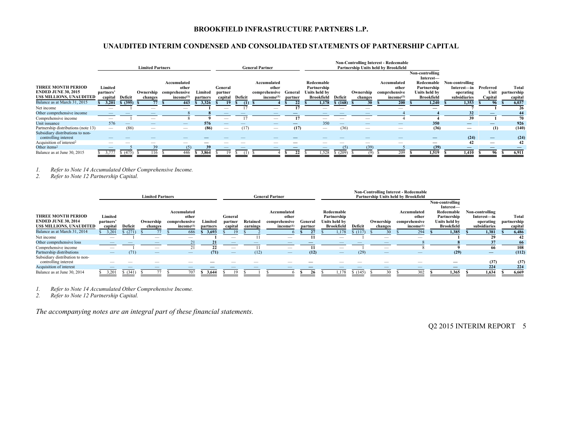# **UNAUDITED INTERIM CONDENSED AND CONSOLIDATED STATEMENTS OF PARTNERSHIP CAPITAL**

|                                                        |                          |          | <b>Limited Partners</b>                                                                                                                                                                                                                                                                                                                                                                       |                                                  |                     |                    |         | <b>General Partner</b>                 |                    |                                    |                 | <b>Non-Controlling Interest - Redeemable</b><br>Partnership Units held by Brookfield |                                                                                                                                                                                                                                                                                                                                                                                               |                                    |                                |                 |                        |
|--------------------------------------------------------|--------------------------|----------|-----------------------------------------------------------------------------------------------------------------------------------------------------------------------------------------------------------------------------------------------------------------------------------------------------------------------------------------------------------------------------------------------|--------------------------------------------------|---------------------|--------------------|---------|----------------------------------------|--------------------|------------------------------------|-----------------|--------------------------------------------------------------------------------------|-----------------------------------------------------------------------------------------------------------------------------------------------------------------------------------------------------------------------------------------------------------------------------------------------------------------------------------------------------------------------------------------------|------------------------------------|--------------------------------|-----------------|------------------------|
|                                                        |                          |          |                                                                                                                                                                                                                                                                                                                                                                                               |                                                  |                     |                    |         |                                        |                    |                                    |                 |                                                                                      |                                                                                                                                                                                                                                                                                                                                                                                               | Non-controlling<br>Interest-       |                                |                 |                        |
| <b>THREE MONTH PERIOD</b>                              | Limited                  |          |                                                                                                                                                                                                                                                                                                                                                                                               | Accumulated<br>other                             |                     | General            |         | Accumulated<br>other                   |                    | Redeemable<br>Partnership          |                 |                                                                                      | Accumulated<br>other                                                                                                                                                                                                                                                                                                                                                                          | Redeemable<br>Partnership          | Non-controlling<br>Interest—in | Preferred       | Total                  |
| <b>ENDED JUNE 30, 2015</b><br>US\$ MILLIONS, UNAUDITED | partners'<br>capital     | Deficit  | changes                                                                                                                                                                                                                                                                                                                                                                                       | Ownership comprehensive<br>income <sup>(1)</sup> | Limited<br>partners | partner<br>capital | Deficit | comprehensive<br>income <sup>(1)</sup> | General<br>partner | Units held by<br><b>Brookfield</b> | Deficit         | Ownership<br>changes                                                                 | comprehensive<br>income <sup>(1)</sup>                                                                                                                                                                                                                                                                                                                                                        | Units held by<br><b>Brookfield</b> | operating<br>subsidiaries      | Unit<br>Capital | partnership<br>capital |
| Balance as at March 31, 2015                           | 3,201                    | \$ (395) |                                                                                                                                                                                                                                                                                                                                                                                               | 443                                              | 3,326               | 19                 | (1)     |                                        |                    | 1,178                              | \$(168)         | 30                                                                                   | 200                                                                                                                                                                                                                                                                                                                                                                                           | 1.240                              | 1,353                          | 96              | 6,037                  |
| Net income                                             |                          |          |                                                                                                                                                                                                                                                                                                                                                                                               |                                                  |                     |                    |         |                                        |                    |                                    |                 |                                                                                      |                                                                                                                                                                                                                                                                                                                                                                                               |                                    |                                |                 | 26                     |
| Other comprehensive income                             |                          |          |                                                                                                                                                                                                                                                                                                                                                                                               |                                                  |                     |                    |         |                                        |                    |                                    |                 |                                                                                      |                                                                                                                                                                                                                                                                                                                                                                                               |                                    | 32                             |                 | 44                     |
| Comprehensive income                                   |                          |          | -                                                                                                                                                                                                                                                                                                                                                                                             |                                                  |                     |                    |         | $\overline{\phantom{a}}$               | 17                 |                                    |                 | $\overline{\phantom{a}}$                                                             |                                                                                                                                                                                                                                                                                                                                                                                               |                                    | 39                             |                 | 70                     |
| Unit issuance                                          | 576                      |          |                                                                                                                                                                                                                                                                                                                                                                                               |                                                  | 576                 |                    |         |                                        |                    | 350                                | $\qquad \qquad$ |                                                                                      | $\qquad \qquad - \qquad$                                                                                                                                                                                                                                                                                                                                                                      | 350                                | $\overline{\phantom{0}}$       |                 | 926                    |
| Partnership distributions (note 13)                    | $\hspace{0.05cm}$        | (86)     | $\hspace{1.0cm} \overline{\hspace{1.0cm} \hspace{1.0cm} \hspace{1.0cm} } \hspace{1.0cm} \hspace{1.0cm} \overline{\hspace{1.0cm} \hspace{1.0cm} \hspace{1.0cm} } \hspace{1.0cm} \hspace{1.0cm} \overline{\hspace{1.0cm} \hspace{1.0cm} \hspace{1.0cm} } \hspace{1.0cm} \hspace{1.0cm} \overline{\hspace{1.0cm} \hspace{1.0cm} \hspace{1.0cm} } \hspace{1.0cm} \hspace{1.0cm} \hspace{1.0cm} }$ | $\hspace{0.05cm}$                                | (86)                |                    | (17)    | $\hspace{0.1mm}-\hspace{0.1mm}$        | (17)               |                                    | (36)            | $\hspace{0.05cm}$                                                                    | $\hspace{1.0cm} \overline{\hspace{1.0cm} \hspace{1.0cm} \hspace{1.0cm} } \hspace{1.0cm} \hspace{1.0cm} \overline{\hspace{1.0cm} \hspace{1.0cm} \hspace{1.0cm} } \hspace{1.0cm} \hspace{1.0cm} \overline{\hspace{1.0cm} \hspace{1.0cm} \hspace{1.0cm} } \hspace{1.0cm} \hspace{1.0cm} \overline{\hspace{1.0cm} \hspace{1.0cm} \hspace{1.0cm} } \hspace{1.0cm} \hspace{1.0cm} \hspace{1.0cm} }$ | (36)                               |                                | (1)             | (140)                  |
| Subsidiary distributions to non-                       |                          |          |                                                                                                                                                                                                                                                                                                                                                                                               |                                                  |                     |                    |         |                                        |                    |                                    |                 |                                                                                      |                                                                                                                                                                                                                                                                                                                                                                                               |                                    |                                |                 |                        |
| controlling interest                                   | $\overline{\phantom{a}}$ |          |                                                                                                                                                                                                                                                                                                                                                                                               |                                                  |                     |                    |         |                                        |                    |                                    |                 |                                                                                      |                                                                                                                                                                                                                                                                                                                                                                                               |                                    | (24)                           |                 | (24)                   |
| Acquisition of interest <sup>2</sup>                   | -                        |          |                                                                                                                                                                                                                                                                                                                                                                                               |                                                  |                     |                    |         |                                        |                    |                                    |                 |                                                                                      |                                                                                                                                                                                                                                                                                                                                                                                               |                                    | 42                             |                 | 42                     |
| Other items <sup>2</sup>                               |                          |          | 39                                                                                                                                                                                                                                                                                                                                                                                            | (5)                                              | 39                  |                    |         |                                        |                    |                                    | (5)             | (39)                                                                                 |                                                                                                                                                                                                                                                                                                                                                                                               | (39)                               |                                |                 |                        |
| Balance as at June 30, 2015                            |                          | \$(475)  | 116                                                                                                                                                                                                                                                                                                                                                                                           | 446                                              | 3,864               |                    |         |                                        | 22                 | .528                               | \$(209)         |                                                                                      | 209                                                                                                                                                                                                                                                                                                                                                                                           | 1.519                              | 1,410                          | 96              | 6,911                  |

*1. Refer to Note 14 Accumulated Other Comprehensive Income.* 

*2. Refer to Note 12 Partnership Capital.* 

|                                                         |                          |          | <b>Limited Partners</b>  |                                        |                     |                          |                      | <b>General Partner</b>                 |                    | <b>Non-Controlling Interest - Redeemable</b><br>Partnership Units held by Brookfield |                          |                                 |                                        |                                    |                           |                        |
|---------------------------------------------------------|--------------------------|----------|--------------------------|----------------------------------------|---------------------|--------------------------|----------------------|----------------------------------------|--------------------|--------------------------------------------------------------------------------------|--------------------------|---------------------------------|----------------------------------------|------------------------------------|---------------------------|------------------------|
|                                                         |                          |          |                          |                                        |                     |                          |                      |                                        |                    |                                                                                      |                          |                                 |                                        | Non-controlling<br>Interest-       |                           |                        |
|                                                         |                          |          |                          | Accumulated                            |                     |                          |                      | Accumulated                            |                    | Redeemable                                                                           |                          |                                 | Accumulated                            | Redeemable                         | Non-controlling           |                        |
| <b>THREE MONTH PERIOD</b>                               | Limited                  |          |                          | other                                  |                     | General                  |                      | other                                  |                    | Partnership                                                                          |                          |                                 | other                                  | Partnership                        | Interest—in               | Total                  |
| <b>ENDED JUNE 30, 2014</b><br>US\$ MILLIONS, UNAUDITED  | partners<br>capital      | Deficit  | Ownership<br>changes     | comprehensive<br>income <sup>(1)</sup> | Limited<br>partners | partner<br>capital       | Retained<br>earnings | comprehensive<br>income <sup>(1)</sup> | General<br>partner | Units held by<br><b>Brookfield</b>                                                   | Deficit                  | Ownership<br>changes            | comprehensive<br>income <sup>(1)</sup> | Units held by<br><b>Brookfield</b> | operating<br>subsidiaries | partnership<br>capital |
| Balance as at March 31, 2014                            | 3,201                    | (271)    |                          | 686                                    | 3,693               | 19                       |                      |                                        | 27                 | 1.178                                                                                | (117)                    |                                 | 294                                    | 1.385                              | 1,381                     | 6,486                  |
| Net income                                              | $\overline{\phantom{a}}$ |          | $\overline{\phantom{a}}$ |                                        |                     | -                        |                      |                                        |                    | $\overline{\phantom{a}}$                                                             |                          | -                               | _                                      |                                    | 29                        | 42                     |
| Other comprehensive loss                                |                          |          |                          |                                        |                     |                          |                      |                                        |                    |                                                                                      |                          |                                 |                                        |                                    | 37                        | 66                     |
| Comprehensive income                                    | $\overline{\phantom{a}}$ |          | -                        |                                        | 22                  | $\overline{\phantom{a}}$ |                      | _                                      |                    | $\overline{\phantom{a}}$                                                             |                          | $\overline{\phantom{a}}$        |                                        |                                    | 66                        | 108                    |
| Partnership distributions                               |                          | (71)     | $\qquad \qquad$          | $\hspace{0.1mm}-\hspace{0.1mm}$        | (71)                | $\qquad \qquad -$        | (12)                 | $\overline{\phantom{m}}$               | (12)               | $\hspace{0.1mm}-\hspace{0.1mm}$                                                      | (29)                     | $\hspace{0.1mm}-\hspace{0.1mm}$ | $-$                                    | (29)                               | $\overline{\phantom{0}}$  | (112)                  |
| Subsidiary distribution to non-<br>controlling interest |                          |          | $\overline{\phantom{a}}$ |                                        |                     |                          |                      |                                        |                    |                                                                                      | $\overline{\phantom{a}}$ |                                 | _                                      | –                                  | (37)                      | (37)                   |
| Acquisition of interest                                 |                          |          |                          |                                        |                     | –                        |                      |                                        |                    |                                                                                      | $\qquad \qquad - \qquad$ |                                 | $-$                                    | $\overline{\phantom{0}}$           | 224                       | 224                    |
| Balance as at June 30, 2014                             | 3,201                    | \$ (341) |                          | 707                                    | 3.644               | 1 <sub>0</sub>           |                      |                                        | 26                 | 1.178                                                                                | \$(145)                  | 30                              | 302                                    | 1.365                              | 1,634                     | 6,669                  |

*1. Refer to Note 14 Accumulated Other Comprehensive Income.* 

*2. Refer to Note 12 Partnership Capital.* 

*The accompanying notes are an integral part of these financial statements.*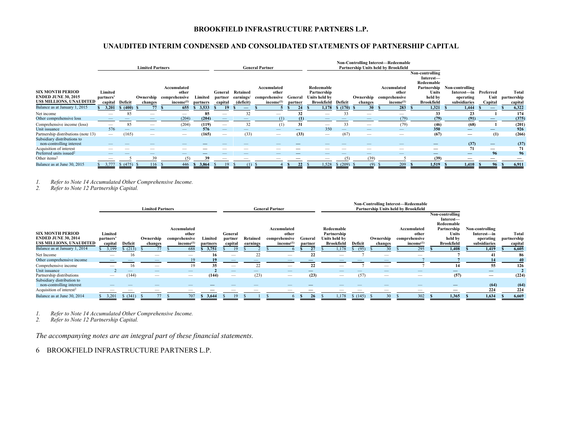# **UNAUDITED INTERIM CONDENSED AND CONSOLIDATED STATEMENTS OF PARTNERSHIP CAPITAL**

|                                                                                         |                          |                                 | <b>Limited Partners</b> |                                                                                                                                                                                                                                                                                                                                                                                               |                   |                    |                       | <b>General Partner</b>                |           |                                            |                    | <b>Non-Controlling Interest-Redeemable</b><br>Partnership Units held by Brookfield |                                       |                                            |                                             |                                |                      |
|-----------------------------------------------------------------------------------------|--------------------------|---------------------------------|-------------------------|-----------------------------------------------------------------------------------------------------------------------------------------------------------------------------------------------------------------------------------------------------------------------------------------------------------------------------------------------------------------------------------------------|-------------------|--------------------|-----------------------|---------------------------------------|-----------|--------------------------------------------|--------------------|------------------------------------------------------------------------------------|---------------------------------------|--------------------------------------------|---------------------------------------------|--------------------------------|----------------------|
|                                                                                         |                          |                                 |                         |                                                                                                                                                                                                                                                                                                                                                                                               |                   |                    |                       |                                       |           |                                            |                    |                                                                                    |                                       | Non-controlling<br>Interest-<br>Redeemable |                                             |                                |                      |
| <b>SIX MONTH PERIOD</b><br><b>ENDED JUNE 30, 2015</b><br><b>USS MILLIONS, UNAUDITED</b> | Limited<br>partners'     |                                 |                         | Accumulated<br>other<br>Ownership comprehensive                                                                                                                                                                                                                                                                                                                                               | Limited           | General<br>partner | Retained<br>earnings/ | Accumulated<br>other<br>comprehensive | General   | Redeemable<br>Partnership<br>Units held by |                    | Ownership                                                                          | Accumulated<br>other<br>comprehensive | Partnership<br>Units<br>held by            | Non-controlling<br>Interest—in<br>operating | Preferred<br>Unit              | Total<br>partnership |
| Balance as at January 1, 2015                                                           | capital<br>3,201         | Deficit<br>\$ (400)             | changes<br>77           | income <sup>(1)</sup><br>655                                                                                                                                                                                                                                                                                                                                                                  | partners<br>3,533 | capital<br>19      | (deficit)             | income <sup>(1)</sup>                 | partner   | Brookfield<br>1,178                        | Deficit<br>\$(170) | changes<br>30                                                                      | income <sup>(1)</sup><br>283          | <b>Brookfield</b><br>1.321                 | subsidiaries<br>1,444                       | Capital<br>$\qquad \qquad -$   | capital<br>6,322     |
| Net income                                                                              |                          | 85                              | _                       | $\hspace{1.0cm} \overline{\hspace{1.0cm} \hspace{1.0cm} \hspace{1.0cm} } \hspace{1.0cm} \hspace{1.0cm} \overline{\hspace{1.0cm} \hspace{1.0cm} \hspace{1.0cm} } \hspace{1.0cm} \hspace{1.0cm} \overline{\hspace{1.0cm} \hspace{1.0cm} \hspace{1.0cm} } \hspace{1.0cm} \hspace{1.0cm} \overline{\hspace{1.0cm} \hspace{1.0cm} \hspace{1.0cm} } \hspace{1.0cm} \hspace{1.0cm} \hspace{1.0cm} }$ | 85                |                    | 32                    |                                       | 32        |                                            | 33                 |                                                                                    | -                                     | 33                                         | 23                                          |                                | 174                  |
| Other comprehensive loss<br>Comprehensive income (loss)                                 | -                        | 85                              | -                       | (204)<br>(204)                                                                                                                                                                                                                                                                                                                                                                                | (204)<br>(119)    | -                  | 32                    | (1)<br>(1)                            | (1)<br>31 |                                            | 33                 | -                                                                                  | (79)<br>(79)                          | (79)<br>(46)                               | (91)<br>(68)                                |                                | (375)<br>(201)       |
| Unit issuance                                                                           | 576                      | $\hspace{0.1mm}-\hspace{0.1mm}$ |                         |                                                                                                                                                                                                                                                                                                                                                                                               | 576               |                    |                       |                                       |           | 350                                        |                    |                                                                                    |                                       | 350                                        |                                             |                                | 926                  |
| Partnership distributions (note 13)<br>Subsidiary distributions to                      | $\qquad \qquad$          | (165)                           |                         |                                                                                                                                                                                                                                                                                                                                                                                               | (165)             |                    | (33)                  | $\qquad \qquad$                       | (33)      | $\hspace{0.05cm}$                          | (67)               | -                                                                                  |                                       | (67)                                       | $\hspace{0.05cm}$                           | (1)                            | (266)                |
| non-controlling interest<br>Acquisition of interest                                     |                          |                                 |                         |                                                                                                                                                                                                                                                                                                                                                                                               |                   |                    |                       |                                       |           |                                            |                    |                                                                                    |                                       |                                            | (37)<br>71                                  | $\qquad \qquad \longleftarrow$ | (37)<br>71           |
| Preferred units issued <sup>2</sup>                                                     | $\qquad \qquad - \qquad$ |                                 | –                       | $\qquad \qquad$                                                                                                                                                                                                                                                                                                                                                                               |                   |                    | --                    | $\hspace{0.1mm}-\hspace{0.1mm}$       |           | $\qquad \qquad - \qquad$                   |                    |                                                                                    | $\hspace{0.1mm}-\hspace{0.1mm}$       |                                            |                                             | 96                             | 96                   |
| Other items <sup>2</sup>                                                                |                          |                                 | 39                      |                                                                                                                                                                                                                                                                                                                                                                                               | 39                |                    |                       |                                       |           | $\hspace{0.05cm}$                          |                    | (39)                                                                               |                                       | (39)                                       | $\hspace{0.05cm}$                           |                                |                      |
| Balance as at June 30, 2015                                                             | 3,777                    | \$ (475)                        | 116                     | 446                                                                                                                                                                                                                                                                                                                                                                                           | 3,864             |                    | (1)                   |                                       | 22        | 1,528                                      | \$ (209)           | (9)                                                                                | 209                                   | 1,519                                      | 1,410                                       | 96                             | 6,911                |

*1. Refer to Note 14 Accumulated Other Comprehensive Income.* 

*2. Refer to Note 12 Partnership Capital.* 

|                                      |                          |          | <b>Limited Partners</b> |                       |          |                   |          | <b>General Partner</b>          |                          |                                 | <b>Non-Controlling Interest-Redeemable</b><br>Partnership Units held by Brookfield |                          |                                 |                              |                          |             |
|--------------------------------------|--------------------------|----------|-------------------------|-----------------------|----------|-------------------|----------|---------------------------------|--------------------------|---------------------------------|------------------------------------------------------------------------------------|--------------------------|---------------------------------|------------------------------|--------------------------|-------------|
|                                      |                          |          |                         |                       |          |                   |          |                                 |                          |                                 |                                                                                    |                          |                                 | Non-controlling<br>Interest- |                          |             |
|                                      |                          |          |                         |                       |          |                   |          |                                 |                          |                                 |                                                                                    |                          |                                 | Redeemable                   |                          |             |
|                                      |                          |          |                         | Accumulated           |          |                   |          | Accumulated                     |                          | Redeemable                      |                                                                                    |                          | Accumulated                     | Partnership                  | Non-controlling          |             |
| <b>SIX MONTH PERIOD</b>              | Limited                  |          |                         | other                 |          | General           |          | other                           |                          | Partnership                     |                                                                                    |                          | other                           | Units                        | Interest—in              | Total       |
| <b>ENDED JUNE 30, 2014</b>           | partners'                |          | Ownership               | comprehensive         | Limited  | partner           | Retained | comprehensive                   | General                  | Units held by                   |                                                                                    | Ownership                | comprehensive                   | held by                      | operating                | partnership |
| US\$ MILLIONS, UNAUDITED             | capital                  | Deficit  | changes                 | income <sup>(1)</sup> | partners | capital           | earnings | income <sup>(1)</sup>           | partner                  | <b>Brookfield</b>               | Deficit                                                                            | changes                  | income <sup>(1)</sup>           | <b>Brookfield</b>            | subsidiaries             | capital     |
| Balance as at January 1, 2014        | 3,199                    | (213)    |                         | 688                   | 3,751    |                   |          |                                 | 27                       | 1,178                           | (95)                                                                               |                          | 295                             | 1,408                        | 1,419                    | 6,605       |
| Net Income                           | $\overline{\phantom{a}}$ | 16       | -                       |                       | 16       | $\hspace{0.05cm}$ | 22       | -                               | 22                       | $\overline{\phantom{a}}$        |                                                                                    | $\overline{\phantom{a}}$ | $\overline{\phantom{a}}$        |                              | 41                       | 86          |
| Other comprehensive income           |                          |          |                         | 19                    |          |                   |          |                                 |                          |                                 |                                                                                    |                          |                                 |                              | 14                       | 40          |
| Comprehensive income                 | $\overline{\phantom{a}}$ |          |                         | 19                    | 35       |                   |          |                                 | 22                       |                                 |                                                                                    |                          |                                 | 14                           | 55                       | 126         |
| Unit issuance                        |                          |          | $\qquad \qquad$         | $\qquad \qquad -$     |          |                   | –        |                                 | $\overline{\phantom{0}}$ | $\overline{\phantom{a}}$        |                                                                                    |                          |                                 | $\overline{\phantom{0}}$     | $\overline{\phantom{0}}$ |             |
| Partnership distributions            | $\hspace{0.05cm}$        | (144)    | $\hspace{0.05cm}$       | $\qquad \qquad$       | (144)    | $\hspace{0.05cm}$ | (23)     | $\hspace{0.1mm}-\hspace{0.1mm}$ | (23)                     | $\hspace{0.1mm}-\hspace{0.1mm}$ | (57)                                                                               | $\hspace{0.05cm}$        | $\hspace{0.05cm}$               | (57)                         |                          | (224)       |
| Subsidiary distribution to           |                          |          |                         |                       |          |                   |          |                                 |                          |                                 |                                                                                    |                          |                                 |                              |                          |             |
| non-controlling interest             |                          |          |                         |                       |          |                   |          |                                 |                          |                                 |                                                                                    |                          | $\hspace{0.1mm}-\hspace{0.1mm}$ |                              | (64)                     | (64)        |
| Acquisition of interest <sup>2</sup> |                          |          |                         |                       |          |                   | -        |                                 |                          |                                 |                                                                                    | _                        | $\hspace{0.05cm}$               |                              | 224                      | 224         |
| Balance as at June 30, 2014          | 3,201                    | \$ (341) |                         | 707                   | 3,644    |                   |          |                                 | 26                       | 1,178                           | \$(145)                                                                            | 30                       | 302                             | 1,365                        | 1,634                    | 6,669       |

*1. Refer to Note 14 Accumulated Other Comprehensive Income.* 

*2. Refer to Note 12 Partnership Capital.* 

*The accompanying notes are an integral part of these financial statements.*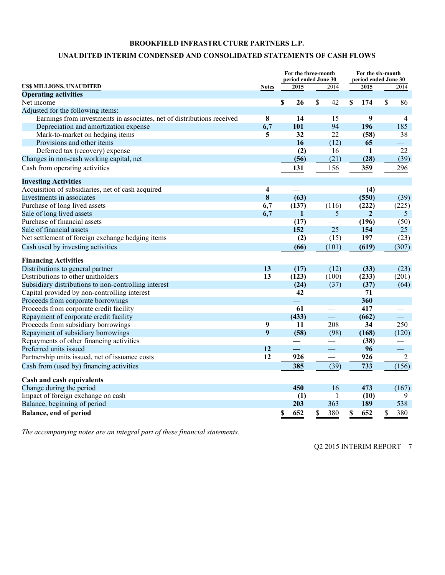# **UNAUDITED INTERIM CONDENSED AND CONSOLIDATED STATEMENTS OF CASH FLOWS**

|                                                                        |                 | For the three-month<br>period ended June 30 |                                   | For the six-month<br>period ended June 30 |                          |  |  |
|------------------------------------------------------------------------|-----------------|---------------------------------------------|-----------------------------------|-------------------------------------------|--------------------------|--|--|
| US\$ MILLIONS, UNAUDITED                                               | <b>Notes</b>    | 2015                                        | 2014                              | 2015                                      | 2014                     |  |  |
| <b>Operating activities</b>                                            |                 |                                             |                                   |                                           |                          |  |  |
| Net income                                                             |                 | \$<br>26                                    | \$<br>42                          | \$<br>174                                 | \$<br>86                 |  |  |
| Adjusted for the following items:                                      |                 |                                             |                                   |                                           |                          |  |  |
| Earnings from investments in associates, net of distributions received | 8               | 14                                          | 15                                | 9                                         | $\overline{4}$           |  |  |
| Depreciation and amortization expense                                  | 6,7             | 101                                         | 94                                | 196                                       | 185                      |  |  |
| Mark-to-market on hedging items                                        | 5               | 32                                          | 22                                | (58)                                      | 38                       |  |  |
| Provisions and other items                                             |                 | 16                                          | (12)                              | 65                                        | $\overline{\phantom{0}}$ |  |  |
| Deferred tax (recovery) expense                                        |                 | (2)                                         | 16                                | 1                                         | 22                       |  |  |
| Changes in non-cash working capital, net                               |                 | (56)                                        | (21)                              | (28)                                      | (39)                     |  |  |
| Cash from operating activities                                         |                 | 131                                         | 156                               | 359                                       | 296                      |  |  |
| <b>Investing Activities</b>                                            |                 |                                             |                                   |                                           |                          |  |  |
| Acquisition of subsidiaries, net of cash acquired                      | 4               |                                             |                                   | (4)                                       |                          |  |  |
| Investments in associates                                              | 8               | (63)                                        | $\qquad \qquad \rule{2mm}{2.5mm}$ | (550)                                     | (39)                     |  |  |
| Purchase of long lived assets                                          | 6,7             | (137)                                       | (116)                             | (222)                                     | (225)                    |  |  |
| Sale of long lived assets                                              | 6,7             | $\mathbf{1}$                                | $\overline{5}$                    | $\overline{2}$                            | 5                        |  |  |
| Purchase of financial assets                                           |                 | (17)                                        |                                   | (196)                                     | (50)                     |  |  |
| Sale of financial assets                                               |                 | 152                                         | 25                                | 154                                       | 25                       |  |  |
| Net settlement of foreign exchange hedging items                       |                 | (2)                                         | (15)                              | 197                                       | (23)                     |  |  |
| Cash used by investing activities                                      |                 | (66)                                        | (101)                             | (619)                                     | (307)                    |  |  |
| <b>Financing Activities</b>                                            |                 |                                             |                                   |                                           |                          |  |  |
| Distributions to general partner                                       | 13              | (17)                                        | (12)                              | (33)                                      | (23)                     |  |  |
| Distributions to other unitholders                                     | 13              | (123)                                       | (100)                             | (233)                                     | (201)                    |  |  |
| Subsidiary distributions to non-controlling interest                   |                 | (24)                                        | (37)                              | (37)                                      | (64)                     |  |  |
| Capital provided by non-controlling interest                           |                 | 42                                          | $\qquad \qquad$                   | 71                                        |                          |  |  |
| Proceeds from corporate borrowings                                     |                 | $\overline{\phantom{0}}$                    | $\overbrace{\phantom{aaaaa}}^{x}$ | 360                                       |                          |  |  |
| Proceeds from corporate credit facility                                |                 | 61                                          |                                   | 417                                       |                          |  |  |
| Repayment of corporate credit facility                                 |                 | (433)                                       | $\overline{\phantom{a}}$          | (662)                                     | $\overline{\phantom{a}}$ |  |  |
| Proceeds from subsidiary borrowings                                    | 9               | 11                                          | 208                               | 34                                        | 250                      |  |  |
| Repayment of subsidiary borrowings                                     | 9               | (58)                                        | (98)                              | (168)                                     | (120)                    |  |  |
| Repayments of other financing activities                               |                 |                                             |                                   | (38)                                      |                          |  |  |
| Preferred units issued                                                 | 12              | $\equiv$                                    | $\equiv$                          | 96                                        | $\overline{\phantom{a}}$ |  |  |
| Partnership units issued, net of issuance costs                        | $\overline{12}$ | 926                                         |                                   | 926                                       | $\overline{2}$           |  |  |
| Cash from (used by) financing activities                               |                 | 385                                         | (39)                              | 733                                       | (156)                    |  |  |
| Cash and cash equivalents                                              |                 |                                             |                                   |                                           |                          |  |  |
| Change during the period                                               |                 | 450                                         | 16                                | 473                                       | (167)                    |  |  |
| Impact of foreign exchange on cash                                     |                 | (1)                                         | 1                                 | (10)                                      | 9                        |  |  |
| Balance, beginning of period                                           |                 | 203                                         | 363                               | 189                                       | 538                      |  |  |
| Balance, end of period                                                 |                 | 652<br>\$                                   | \$<br>380                         | \$<br>652                                 | \$<br>380                |  |  |

*The accompanying notes are an integral part of these financial statements.*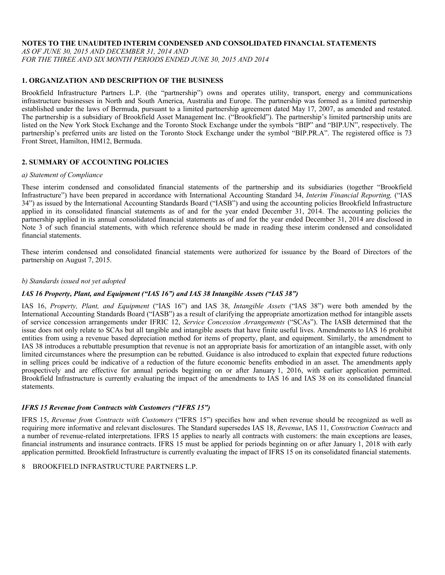#### **NOTES TO THE UNAUDITED INTERIM CONDENSED AND CONSOLIDATED FINANCIAL STATEMENTS**

*AS OF JUNE 30, 2015 AND DECEMBER 31, 2014 AND FOR THE THREE AND SIX MONTH PERIODS ENDED JUNE 30, 2015 AND 2014* 

# **1. ORGANIZATION AND DESCRIPTION OF THE BUSINESS**

Brookfield Infrastructure Partners L.P. (the "partnership") owns and operates utility, transport, energy and communications infrastructure businesses in North and South America, Australia and Europe. The partnership was formed as a limited partnership established under the laws of Bermuda, pursuant to a limited partnership agreement dated May 17, 2007, as amended and restated. The partnership is a subsidiary of Brookfield Asset Management Inc. ("Brookfield"). The partnership's limited partnership units are listed on the New York Stock Exchange and the Toronto Stock Exchange under the symbols "BIP" and "BIP.UN", respectively. The partnership's preferred units are listed on the Toronto Stock Exchange under the symbol "BIP.PR.A". The registered office is 73 Front Street, Hamilton, HM12, Bermuda.

# **2. SUMMARY OF ACCOUNTING POLICIES**

#### *a) Statement of Compliance*

These interim condensed and consolidated financial statements of the partnership and its subsidiaries (together "Brookfield Infrastructure") have been prepared in accordance with International Accounting Standard 34, *Interim Financial Reporting,* ("IAS 34") as issued by the International Accounting Standards Board ("IASB") and using the accounting policies Brookfield Infrastructure applied in its consolidated financial statements as of and for the year ended December 31, 2014. The accounting policies the partnership applied in its annual consolidated financial statements as of and for the year ended December 31, 2014 are disclosed in Note 3 of such financial statements, with which reference should be made in reading these interim condensed and consolidated financial statements.

These interim condensed and consolidated financial statements were authorized for issuance by the Board of Directors of the partnership on August 7, 2015.

#### *b) Standards issued not yet adopted*

# *IAS 16 Property, Plant, and Equipment ("IAS 16") and IAS 38 Intangible Assets ("IAS 38")*

IAS 16, *Property, Plant, and Equipment* ("IAS 16") and IAS 38, *Intangible Assets* ("IAS 38") were both amended by the International Accounting Standards Board ("IASB") as a result of clarifying the appropriate amortization method for intangible assets of service concession arrangements under IFRIC 12, *Service Concession Arrangements* ("SCAs"). The IASB determined that the issue does not only relate to SCAs but all tangible and intangible assets that have finite useful lives. Amendments to IAS 16 prohibit entities from using a revenue based depreciation method for items of property, plant, and equipment. Similarly, the amendment to IAS 38 introduces a rebuttable presumption that revenue is not an appropriate basis for amortization of an intangible asset, with only limited circumstances where the presumption can be rebutted. Guidance is also introduced to explain that expected future reductions in selling prices could be indicative of a reduction of the future economic benefits embodied in an asset. The amendments apply prospectively and are effective for annual periods beginning on or after January 1, 2016, with earlier application permitted. Brookfield Infrastructure is currently evaluating the impact of the amendments to IAS 16 and IAS 38 on its consolidated financial statements.

# *IFRS 15 Revenue from Contracts with Customers ("IFRS 15")*

IFRS 15, *Revenue from Contracts with Customers* ("IFRS 15") specifies how and when revenue should be recognized as well as requiring more informative and relevant disclosures. The Standard supersedes IAS 18, *Revenue*, IAS 11, *Construction Contracts* and a number of revenue-related interpretations. IFRS 15 applies to nearly all contracts with customers: the main exceptions are leases, financial instruments and insurance contracts. IFRS 15 must be applied for periods beginning on or after January 1, 2018 with early application permitted. Brookfield Infrastructure is currently evaluating the impact of IFRS 15 on its consolidated financial statements.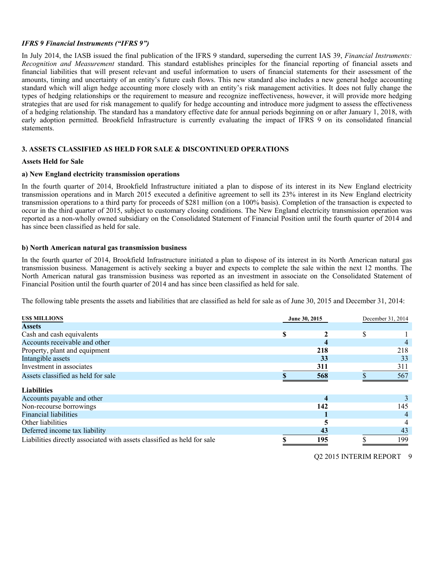### *IFRS 9 Financial Instruments ("IFRS 9")*

In July 2014, the IASB issued the final publication of the IFRS 9 standard, superseding the current IAS 39, *Financial Instruments: Recognition and Measurement* standard. This standard establishes principles for the financial reporting of financial assets and financial liabilities that will present relevant and useful information to users of financial statements for their assessment of the amounts, timing and uncertainty of an entity's future cash flows. This new standard also includes a new general hedge accounting standard which will align hedge accounting more closely with an entity's risk management activities. It does not fully change the types of hedging relationships or the requirement to measure and recognize ineffectiveness, however, it will provide more hedging strategies that are used for risk management to qualify for hedge accounting and introduce more judgment to assess the effectiveness of a hedging relationship. The standard has a mandatory effective date for annual periods beginning on or after January 1, 2018, with early adoption permitted. Brookfield Infrastructure is currently evaluating the impact of IFRS 9 on its consolidated financial statements.

# **3. ASSETS CLASSIFIED AS HELD FOR SALE & DISCONTINUED OPERATIONS**

#### **Assets Held for Sale**

#### **a) New England electricity transmission operations**

In the fourth quarter of 2014, Brookfield Infrastructure initiated a plan to dispose of its interest in its New England electricity transmission operations and in March 2015 executed a definitive agreement to sell its 23% interest in its New England electricity transmission operations to a third party for proceeds of \$281 million (on a 100% basis). Completion of the transaction is expected to occur in the third quarter of 2015, subject to customary closing conditions. The New England electricity transmission operation was reported as a non-wholly owned subsidiary on the Consolidated Statement of Financial Position until the fourth quarter of 2014 and has since been classified as held for sale.

#### **b) North American natural gas transmission business**

In the fourth quarter of 2014, Brookfield Infrastructure initiated a plan to dispose of its interest in its North American natural gas transmission business. Management is actively seeking a buyer and expects to complete the sale within the next 12 months. The North American natural gas transmission business was reported as an investment in associate on the Consolidated Statement of Financial Position until the fourth quarter of 2014 and has since been classified as held for sale.

The following table presents the assets and liabilities that are classified as held for sale as of June 30, 2015 and December 31, 2014:

| <b>USS MILLIONS</b>                                                     | June 30, 2015 |     | December 31, 2014 |     |
|-------------------------------------------------------------------------|---------------|-----|-------------------|-----|
| <b>Assets</b>                                                           |               |     |                   |     |
| Cash and cash equivalents                                               | S             |     | \$                |     |
| Accounts receivable and other                                           |               |     |                   |     |
| Property, plant and equipment                                           |               | 218 |                   | 218 |
| Intangible assets                                                       |               | 33  |                   | 33  |
| Investment in associates                                                |               | 311 |                   | 311 |
| Assets classified as held for sale                                      |               | 568 |                   | 567 |
| <b>Liabilities</b>                                                      |               |     |                   |     |
| Accounts payable and other                                              |               | 4   |                   |     |
| Non-recourse borrowings                                                 |               | 142 |                   | 145 |
| <b>Financial liabilities</b>                                            |               |     |                   |     |
| Other liabilities                                                       |               |     |                   |     |
| Deferred income tax liability                                           |               | 43  |                   | 43  |
| Liabilities directly associated with assets classified as held for sale |               | 195 |                   | 199 |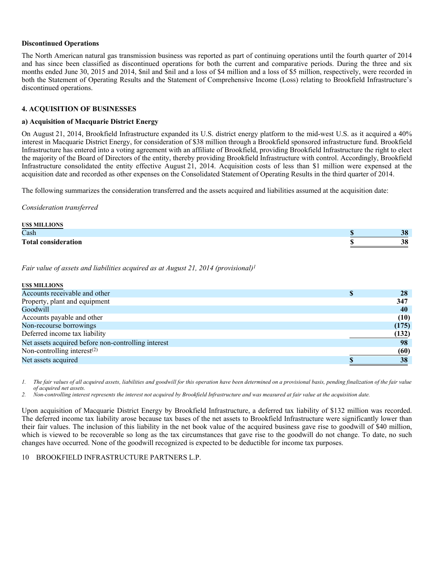#### **Discontinued Operations**

The North American natural gas transmission business was reported as part of continuing operations until the fourth quarter of 2014 and has since been classified as discontinued operations for both the current and comparative periods. During the three and six months ended June 30, 2015 and 2014, \$nil and \$nil and a loss of \$4 million and a loss of \$5 million, respectively, were recorded in both the Statement of Operating Results and the Statement of Comprehensive Income (Loss) relating to Brookfield Infrastructure's discontinued operations.

#### **4. ACQUISITION OF BUSINESSES**

#### **a) Acquisition of Macquarie District Energy**

On August 21, 2014, Brookfield Infrastructure expanded its U.S. district energy platform to the mid-west U.S. as it acquired a 40% interest in Macquarie District Energy, for consideration of \$38 million through a Brookfield sponsored infrastructure fund. Brookfield Infrastructure has entered into a voting agreement with an affiliate of Brookfield, providing Brookfield Infrastructure the right to elect the majority of the Board of Directors of the entity, thereby providing Brookfield Infrastructure with control. Accordingly, Brookfield Infrastructure consolidated the entity effective August 21, 2014. Acquisition costs of less than \$1 million were expensed at the acquisition date and recorded as other expenses on the Consolidated Statement of Operating Results in the third quarter of 2014.

The following summarizes the consideration transferred and the assets acquired and liabilities assumed at the acquisition date:

*Consideration transferred* 

| <b>USS MILLIONS</b>        |                 |
|----------------------------|-----------------|
| Cash                       | 20<br>J0        |
| <b>Total consideration</b> | <u>ാറ</u><br>JО |

*Fair value of assets and liabilities acquired as at August 21, 2014 (provisional)1*

| 28    |
|-------|
| 347   |
| 40    |
| (10)  |
| (175) |
| (132) |
| 98    |
| (60)  |
| 38    |
|       |

*1. The fair values of all acquired assets, liabilities and goodwill for this operation have been determined on a provisional basis, pending finalization of the fair value of acquired net assets.* 

*2. Non-controlling interest represents the interest not acquired by Brookfield Infrastructure and was measured at fair value at the acquisition date.* 

Upon acquisition of Macquarie District Energy by Brookfield Infrastructure, a deferred tax liability of \$132 million was recorded. The deferred income tax liability arose because tax bases of the net assets to Brookfield Infrastructure were significantly lower than their fair values. The inclusion of this liability in the net book value of the acquired business gave rise to goodwill of \$40 million, which is viewed to be recoverable so long as the tax circumstances that gave rise to the goodwill do not change. To date, no such changes have occurred. None of the goodwill recognized is expected to be deductible for income tax purposes.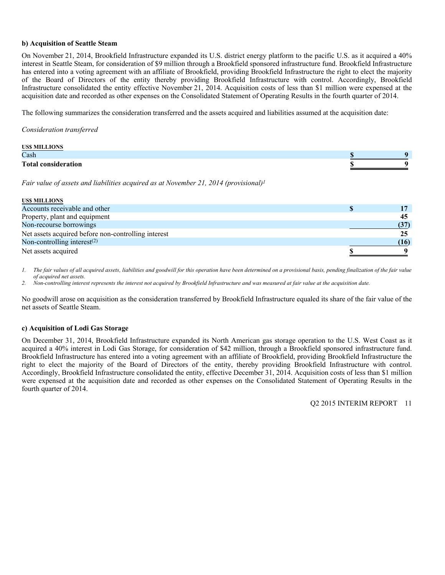#### **b) Acquisition of Seattle Steam**

On November 21, 2014, Brookfield Infrastructure expanded its U.S. district energy platform to the pacific U.S. as it acquired a 40% interest in Seattle Steam, for consideration of \$9 million through a Brookfield sponsored infrastructure fund. Brookfield Infrastructure has entered into a voting agreement with an affiliate of Brookfield, providing Brookfield Infrastructure the right to elect the majority of the Board of Directors of the entity thereby providing Brookfield Infrastructure with control. Accordingly, Brookfield Infrastructure consolidated the entity effective November 21, 2014. Acquisition costs of less than \$1 million were expensed at the acquisition date and recorded as other expenses on the Consolidated Statement of Operating Results in the fourth quarter of 2014.

The following summarizes the consideration transferred and the assets acquired and liabilities assumed at the acquisition date:

*Consideration transferred* 

| <b>USS MILLIONS</b>        |  |
|----------------------------|--|
| Cash                       |  |
| <b>Total consideration</b> |  |

*Fair value of assets and liabilities acquired as at November 21, 2014 (provisional)1*

| <b>USS MILLIONS</b>                                 |      |
|-----------------------------------------------------|------|
| Accounts receivable and other                       |      |
| Property, plant and equipment                       | 45   |
| Non-recourse borrowings                             | (37) |
| Net assets acquired before non-controlling interest | 25   |
| Non-controlling interest $^{(2)}$                   | (16) |
| Net assets acquired                                 |      |

*1. The fair values of all acquired assets, liabilities and goodwill for this operation have been determined on a provisional basis, pending finalization of the fair value of acquired net assets.* 

*2. Non-controlling interest represents the interest not acquired by Brookfield Infrastructure and was measured at fair value at the acquisition date.* 

No goodwill arose on acquisition as the consideration transferred by Brookfield Infrastructure equaled its share of the fair value of the net assets of Seattle Steam.

#### **c) Acquisition of Lodi Gas Storage**

On December 31, 2014, Brookfield Infrastructure expanded its North American gas storage operation to the U.S. West Coast as it acquired a 40% interest in Lodi Gas Storage, for consideration of \$42 million, through a Brookfield sponsored infrastructure fund. Brookfield Infrastructure has entered into a voting agreement with an affiliate of Brookfield, providing Brookfield Infrastructure the right to elect the majority of the Board of Directors of the entity, thereby providing Brookfield Infrastructure with control. Accordingly, Brookfield Infrastructure consolidated the entity, effective December 31, 2014. Acquisition costs of less than \$1 million were expensed at the acquisition date and recorded as other expenses on the Consolidated Statement of Operating Results in the fourth quarter of 2014.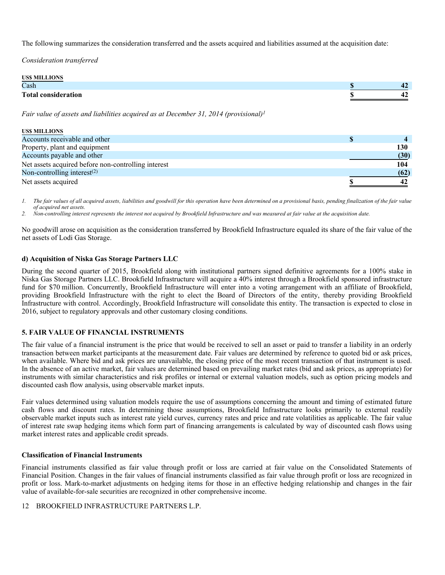The following summarizes the consideration transferred and the assets acquired and liabilities assumed at the acquisition date:

*Consideration transferred* 

| <b>USS MILLIONS</b>        |      |
|----------------------------|------|
| Cash                       | - 7  |
| <b>Total consideration</b> | - 12 |

*Fair value of assets and liabilities acquired as at December 31, 2014 (provisional)1*

| US\$ MILLIONS                                       |      |
|-----------------------------------------------------|------|
| Accounts receivable and other                       |      |
| Property, plant and equipment                       | 130  |
| Accounts payable and other                          | (30) |
| Net assets acquired before non-controlling interest | 104  |
| Non-controlling interest $(2)$                      | (62) |
| Net assets acquired                                 |      |

*1. The fair values of all acquired assets, liabilities and goodwill for this operation have been determined on a provisional basis, pending finalization of the fair value of acquired net assets.* 

*2. Non-controlling interest represents the interest not acquired by Brookfield Infrastructure and was measured at fair value at the acquisition date.* 

No goodwill arose on acquisition as the consideration transferred by Brookfield Infrastructure equaled its share of the fair value of the net assets of Lodi Gas Storage.

# **d) Acquisition of Niska Gas Storage Partners LLC**

During the second quarter of 2015, Brookfield along with institutional partners signed definitive agreements for a 100% stake in Niska Gas Storage Partners LLC. Brookfield Infrastructure will acquire a 40% interest through a Brookfield sponsored infrastructure fund for \$70 million. Concurrently, Brookfield Infrastructure will enter into a voting arrangement with an affiliate of Brookfield, providing Brookfield Infrastructure with the right to elect the Board of Directors of the entity, thereby providing Brookfield Infrastructure with control. Accordingly, Brookfield Infrastructure will consolidate this entity. The transaction is expected to close in 2016, subject to regulatory approvals and other customary closing conditions.

# **5. FAIR VALUE OF FINANCIAL INSTRUMENTS**

The fair value of a financial instrument is the price that would be received to sell an asset or paid to transfer a liability in an orderly transaction between market participants at the measurement date. Fair values are determined by reference to quoted bid or ask prices, when available. Where bid and ask prices are unavailable, the closing price of the most recent transaction of that instrument is used. In the absence of an active market, fair values are determined based on prevailing market rates (bid and ask prices, as appropriate) for instruments with similar characteristics and risk profiles or internal or external valuation models, such as option pricing models and discounted cash flow analysis, using observable market inputs.

Fair values determined using valuation models require the use of assumptions concerning the amount and timing of estimated future cash flows and discount rates. In determining those assumptions, Brookfield Infrastructure looks primarily to external readily observable market inputs such as interest rate yield curves, currency rates and price and rate volatilities as applicable. The fair value of interest rate swap hedging items which form part of financing arrangements is calculated by way of discounted cash flows using market interest rates and applicable credit spreads.

#### **Classification of Financial Instruments**

Financial instruments classified as fair value through profit or loss are carried at fair value on the Consolidated Statements of Financial Position. Changes in the fair values of financial instruments classified as fair value through profit or loss are recognized in profit or loss. Mark-to-market adjustments on hedging items for those in an effective hedging relationship and changes in the fair value of available-for-sale securities are recognized in other comprehensive income.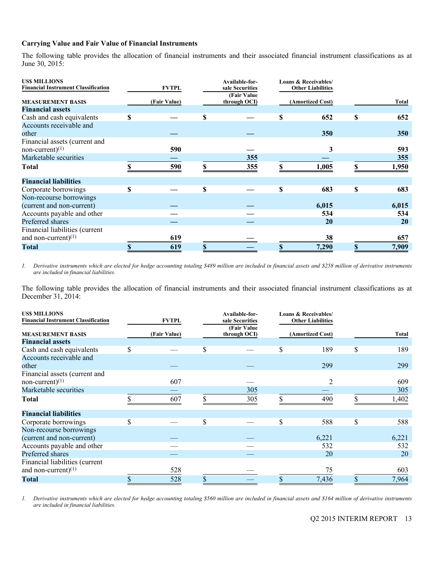# **Carrying Value and Fair Value of Financial Instruments**

The following table provides the allocation of financial instruments and their associated financial instrument classifications as at June 30, 2015:

| <b>USS MILLIONS</b><br><b>Financial Instrument Classification</b> |    | <b>FVTPL</b> | Available-for-<br>sale Securities | <b>Loans &amp; Receivables/</b><br><b>Other Liabilities</b> |    |            |
|-------------------------------------------------------------------|----|--------------|-----------------------------------|-------------------------------------------------------------|----|------------|
| <b>MEASUREMENT BASIS</b>                                          |    | (Fair Value) | (Fair Value)<br>through OCI)      | (Amortized Cost)                                            |    | Total      |
| <b>Financial assets</b>                                           |    |              |                                   |                                                             |    |            |
| Cash and cash equivalents                                         | \$ |              | \$                                | \$<br>652                                                   | S  | 652        |
| Accounts receivable and                                           |    |              |                                   |                                                             |    |            |
| other                                                             |    |              |                                   | 350                                                         |    | <b>350</b> |
| Financial assets (current and                                     |    |              |                                   |                                                             |    |            |
| non-current) $(1)$                                                |    | 590          |                                   | 3                                                           |    | 593        |
| Marketable securities                                             |    |              | 355                               |                                                             |    | 355        |
| Total                                                             |    | 590          | 355                               | \$<br>1,005                                                 |    | 1,950      |
| <b>Financial liabilities</b>                                      |    |              |                                   |                                                             |    |            |
| Corporate borrowings                                              | S  |              | \$                                | \$<br>683                                                   | \$ | 683        |
| Non-recourse borrowings                                           |    |              |                                   |                                                             |    |            |
| (current and non-current)                                         |    |              |                                   | 6,015                                                       |    | 6,015      |
| Accounts payable and other                                        |    |              |                                   | 534                                                         |    | 534        |
| Preferred shares                                                  |    |              |                                   | <b>20</b>                                                   |    | 20         |
| Financial liabilities (current                                    |    |              |                                   |                                                             |    |            |
| and non-current) $(1)$                                            |    | 619          |                                   | 38                                                          |    | 657        |
| <b>Total</b>                                                      |    | 619          | \$                                | 7,290                                                       |    | 7,909      |

*1. Derivative instruments which are elected for hedge accounting totaling \$489 million are included in financial assets and \$258 million of derivative instruments are included in financial liabilities.* 

The following table provides the allocation of financial instruments and their associated financial instrument classifications as at December 31, 2014:

| <b>USS MILLIONS</b><br><b>Financial Instrument Classification</b> | <b>FVTPL</b> |    | Available-for-<br>sale Securities<br>(Fair Value) | <b>Loans &amp; Receivables/</b><br><b>Other Liabilities</b> |           |
|-------------------------------------------------------------------|--------------|----|---------------------------------------------------|-------------------------------------------------------------|-----------|
| <b>MEASUREMENT BASIS</b>                                          | (Fair Value) |    | through OCI)                                      | (Amortized Cost)                                            | Total     |
| <b>Financial assets</b>                                           |              |    |                                                   |                                                             |           |
| Cash and cash equivalents                                         | \$           | S  |                                                   | \$<br>189                                                   | \$<br>189 |
| Accounts receivable and                                           |              |    |                                                   |                                                             |           |
| other                                                             |              |    |                                                   | 299                                                         | 299       |
| Financial assets (current and                                     |              |    |                                                   |                                                             |           |
| non-current) $(1)$                                                | 607          |    |                                                   | $\overline{2}$                                              | 609       |
| Marketable securities                                             |              |    | 305                                               |                                                             | 305       |
| <b>Total</b>                                                      | 607          |    | 305                                               | 490                                                         | 1,402     |
| <b>Financial liabilities</b>                                      |              |    |                                                   |                                                             |           |
| Corporate borrowings                                              | \$           | \$ |                                                   | \$<br>588                                                   | \$<br>588 |
| Non-recourse borrowings                                           |              |    |                                                   |                                                             |           |
| (current and non-current)                                         |              |    |                                                   | 6,221                                                       | 6,221     |
| Accounts payable and other                                        |              |    |                                                   | 532                                                         | 532       |
| Preferred shares                                                  |              |    |                                                   | 20                                                          | 20        |
| Financial liabilities (current                                    |              |    |                                                   |                                                             |           |
| and non-current) $(1)$                                            | 528          |    |                                                   | 75                                                          | 603       |
| <b>Total</b>                                                      | 528          |    |                                                   | 7,436                                                       | 7,964     |

*1. Derivative instruments which are elected for hedge accounting totaling \$560 million are included in financial assets and \$164 million of derivative instruments are included in financial liabilities.*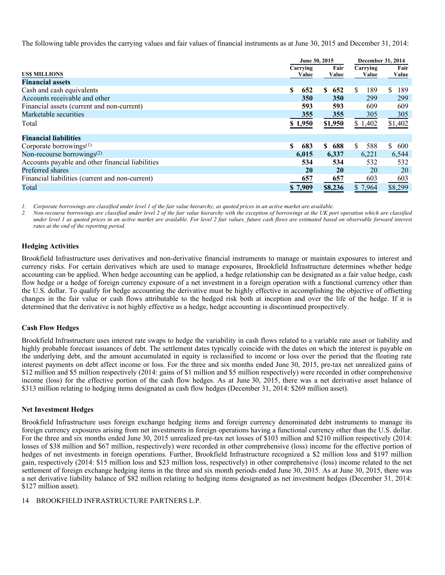The following table provides the carrying values and fair values of financial instruments as at June 30, 2015 and December 31, 2014:

|                                                  | June 30, 2015 |           |            | <b>December 31, 2014</b> |  |
|--------------------------------------------------|---------------|-----------|------------|--------------------------|--|
|                                                  | Carrying      | Fair      | Carrying   | Fair                     |  |
| USS MILLIONS                                     | Value         | Value     | Value      | Value                    |  |
| <b>Financial assets</b>                          |               |           |            |                          |  |
| Cash and cash equivalents                        | 652<br>S      | S<br>652  | S<br>189   | 189<br>\$.               |  |
| Accounts receivable and other                    | 350           | 350       | 299        | 299                      |  |
| Financial assets (current and non-current)       | 593           | 593       | 609        | 609                      |  |
| Marketable securities                            | 355           | 355       | 305        | 305                      |  |
| Total                                            | \$1,950       | \$1,950   | \$1,402    | \$1,402                  |  |
| <b>Financial liabilities</b>                     |               |           |            |                          |  |
| Corporate borrowings $(1)$                       | \$<br>683     | S<br>688  | \$.<br>588 | S.<br>600                |  |
| Non-recourse borrowings $(2)$                    | 6,015         | 6,337     | 6,221      | 6,544                    |  |
| Accounts payable and other financial liabilities | 534           | 534       | 532        | 532                      |  |
| Preferred shares                                 | 20            | <b>20</b> | 20         | 20                       |  |
| Financial liabilities (current and non-current)  | 657           | 657       | 603        | 603                      |  |
| Total                                            | \$7,909       | \$8,236   | \$7,964    | \$8,299                  |  |
|                                                  |               |           |            |                          |  |

*1. Corporate borrowings are classified under level 1 of the fair value hierarchy; as quoted prices in an active market are available.* 

*2. Non-recourse borrowings are classified under level 2 of the fair value hierarchy with the exception of borrowings at the UK port operation which are classified under level 1 as quoted prices in an active market are available. For level 2 fair values, future cash flows are estimated based on observable forward interest rates at the end of the reporting period.* 

# **Hedging Activities**

Brookfield Infrastructure uses derivatives and non-derivative financial instruments to manage or maintain exposures to interest and currency risks. For certain derivatives which are used to manage exposures, Brookfield Infrastructure determines whether hedge accounting can be applied. When hedge accounting can be applied, a hedge relationship can be designated as a fair value hedge, cash flow hedge or a hedge of foreign currency exposure of a net investment in a foreign operation with a functional currency other than the U.S. dollar. To qualify for hedge accounting the derivative must be highly effective in accomplishing the objective of offsetting changes in the fair value or cash flows attributable to the hedged risk both at inception and over the life of the hedge. If it is determined that the derivative is not highly effective as a hedge, hedge accounting is discontinued prospectively.

# **Cash Flow Hedges**

Brookfield Infrastructure uses interest rate swaps to hedge the variability in cash flows related to a variable rate asset or liability and highly probable forecast issuances of debt. The settlement dates typically coincide with the dates on which the interest is payable on the underlying debt, and the amount accumulated in equity is reclassified to income or loss over the period that the floating rate interest payments on debt affect income or loss. For the three and six months ended June 30, 2015, pre-tax net unrealized gains of \$12 million and \$5 million respectively (2014: gains of \$1 million and \$5 million respectively) were recorded in other comprehensive income (loss) for the effective portion of the cash flow hedges. As at June 30, 2015, there was a net derivative asset balance of \$313 million relating to hedging items designated as cash flow hedges (December 31, 2014: \$269 million asset).

#### **Net Investment Hedges**

Brookfield Infrastructure uses foreign exchange hedging items and foreign currency denominated debt instruments to manage its foreign currency exposures arising from net investments in foreign operations having a functional currency other than the U.S. dollar. For the three and six months ended June 30, 2015 unrealized pre-tax net losses of \$103 million and \$210 million respectively (2014: losses of \$38 million and \$67 million, respectively) were recorded in other comprehensive (loss) income for the effective portion of hedges of net investments in foreign operations. Further, Brookfield Infrastructure recognized a \$2 million loss and \$197 million gain, respectively (2014: \$15 million loss and \$23 million loss, respectively) in other comprehensive (loss) income related to the net settlement of foreign exchange hedging items in the three and six month periods ended June 30, 2015. As at June 30, 2015, there was a net derivative liability balance of \$82 million relating to hedging items designated as net investment hedges (December 31, 2014: \$127 million asset).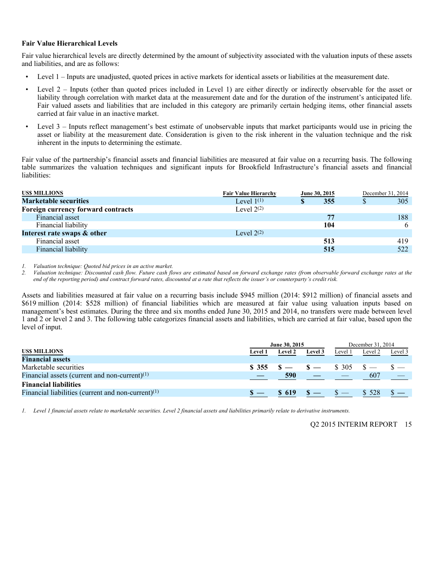#### **Fair Value Hierarchical Levels**

Fair value hierarchical levels are directly determined by the amount of subjectivity associated with the valuation inputs of these assets and liabilities, and are as follows:

- Level 1 Inputs are unadjusted, quoted prices in active markets for identical assets or liabilities at the measurement date.
- Level 2 Inputs (other than quoted prices included in Level 1) are either directly or indirectly observable for the asset or liability through correlation with market data at the measurement date and for the duration of the instrument's anticipated life. Fair valued assets and liabilities that are included in this category are primarily certain hedging items, other financial assets carried at fair value in an inactive market.
- Level 3 Inputs reflect management's best estimate of unobservable inputs that market participants would use in pricing the asset or liability at the measurement date. Consideration is given to the risk inherent in the valuation technique and the risk inherent in the inputs to determining the estimate.

Fair value of the partnership's financial assets and financial liabilities are measured at fair value on a recurring basis. The following table summarizes the valuation techniques and significant inputs for Brookfield Infrastructure's financial assets and financial liabilities:

| <b>USS MILLIONS</b>                | <b>Fair Value Hierarchy</b> | June 30, 2015 | December 31, 2014 |
|------------------------------------|-----------------------------|---------------|-------------------|
| <b>Marketable securities</b>       | Level $1^{(1)}$             | 355           | 305               |
| Foreign currency forward contracts | Level $2^{(2)}$             |               |                   |
| Financial asset                    |                             | 77            | 188               |
| Financial liability                |                             | 104           | 6                 |
| Interest rate swaps & other        | Level $2^{(2)}$             |               |                   |
| Financial asset                    |                             | 513           | 419               |
| Financial liability                |                             | 515           | 522               |

*1. Valuation technique: Quoted bid prices in an active market.* 

*2. Valuation technique: Discounted cash flow. Future cash flows are estimated based on forward exchange rates (from observable forward exchange rates at the end of the reporting period) and contract forward rates, discounted at a rate that reflects the issuer's or counterparty's credit risk.* 

Assets and liabilities measured at fair value on a recurring basis include \$945 million (2014: \$912 million) of financial assets and \$619 million (2014: \$528 million) of financial liabilities which are measured at fair value using valuation inputs based on management's best estimates. During the three and six months ended June 30, 2015 and 2014, no transfers were made between level 1 and 2 or level 2 and 3. The following table categorizes financial assets and liabilities, which are carried at fair value, based upon the level of input.

|                                                       | June 30, 2015 |                                                                                                                                                                                                                                                                                                                                                                                                                                                                                                           |         | December 31, 2014 |         |         |  |
|-------------------------------------------------------|---------------|-----------------------------------------------------------------------------------------------------------------------------------------------------------------------------------------------------------------------------------------------------------------------------------------------------------------------------------------------------------------------------------------------------------------------------------------------------------------------------------------------------------|---------|-------------------|---------|---------|--|
| <b>USS MILLIONS</b>                                   | Level 1       | <b>Level 2</b>                                                                                                                                                                                                                                                                                                                                                                                                                                                                                            | Level 3 | Level 1           | Level 2 | Level 3 |  |
| <b>Financial assets</b>                               |               |                                                                                                                                                                                                                                                                                                                                                                                                                                                                                                           |         |                   |         |         |  |
| Marketable securities                                 |               | $\textbf{\$355 \$} \quad \textbf{\$} \quad \textbf{\$} \quad \textbf{\$} \quad \textbf{\$} \quad \textbf{\$} \quad \textbf{\$} \quad \textbf{\$} \quad \textbf{\$} \quad \textbf{\$} \quad \textbf{\$} \quad \textbf{\$} \quad \textbf{\$} \quad \textbf{\$} \quad \textbf{\$} \quad \textbf{\$} \quad \textbf{\$} \quad \textbf{\$} \quad \textbf{\$} \quad \textbf{\$} \quad \textbf{\$} \quad \textbf{\$} \quad \textbf{\$} \quad \textbf{\$} \quad \textbf{\$} \quad \textbf{\$} \quad \textbf{\$} \$ |         |                   |         |         |  |
| Financial assets (current and non-current) $(1)$      |               | 590                                                                                                                                                                                                                                                                                                                                                                                                                                                                                                       |         |                   | 607     |         |  |
| <b>Financial liabilities</b>                          |               |                                                                                                                                                                                                                                                                                                                                                                                                                                                                                                           |         |                   |         |         |  |
| Financial liabilities (current and non-current) $(1)$ |               | \$619                                                                                                                                                                                                                                                                                                                                                                                                                                                                                                     |         |                   | \$ 528  |         |  |

*1. Level 1 financial assets relate to marketable securities. Level 2 financial assets and liabilities primarily relate to derivative instruments.*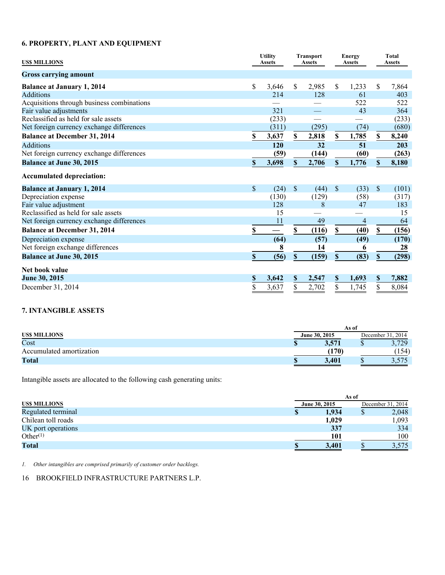# **6. PROPERTY, PLANT AND EQUIPMENT**

| <b>USS MILLIONS</b>                        |                           | <b>Utility</b><br><b>Assets</b> |                           |       |             |       |               |       |  |  |  | <b>Transport</b><br><b>Assets</b> |  | Energy<br><b>Assets</b> |  | Total<br><b>Assets</b> |
|--------------------------------------------|---------------------------|---------------------------------|---------------------------|-------|-------------|-------|---------------|-------|--|--|--|-----------------------------------|--|-------------------------|--|------------------------|
| <b>Gross carrying amount</b>               |                           |                                 |                           |       |             |       |               |       |  |  |  |                                   |  |                         |  |                        |
| <b>Balance at January 1, 2014</b>          | $\mathbb{S}$              | 3,646                           | \$                        | 2,985 | \$          | 1,233 | \$            | 7,864 |  |  |  |                                   |  |                         |  |                        |
| <b>Additions</b>                           |                           | 214                             |                           | 128   |             | 61    |               | 403   |  |  |  |                                   |  |                         |  |                        |
| Acquisitions through business combinations |                           |                                 |                           |       |             | 522   |               | 522   |  |  |  |                                   |  |                         |  |                        |
| Fair value adjustments                     |                           | 321                             |                           |       |             | 43    |               | 364   |  |  |  |                                   |  |                         |  |                        |
| Reclassified as held for sale assets       |                           | (233)                           |                           |       |             |       |               | (233) |  |  |  |                                   |  |                         |  |                        |
| Net foreign currency exchange differences  |                           | (311)                           |                           | (295) |             | (74)  |               | (680) |  |  |  |                                   |  |                         |  |                        |
| <b>Balance at December 31, 2014</b>        | S                         | 3,637                           | $\mathbf{s}$              | 2,818 | \$          | 1,785 | S             | 8,240 |  |  |  |                                   |  |                         |  |                        |
| <b>Additions</b>                           |                           | 120                             |                           | 32    |             | 51    |               | 203   |  |  |  |                                   |  |                         |  |                        |
| Net foreign currency exchange differences  |                           | (59)                            |                           | (144) |             | (60)  |               | (263) |  |  |  |                                   |  |                         |  |                        |
| <b>Balance at June 30, 2015</b>            | \$                        | 3,698                           | \$                        | 2,706 | $\mathbf S$ | 1,776 | S             | 8,180 |  |  |  |                                   |  |                         |  |                        |
| <b>Accumulated depreciation:</b>           |                           |                                 |                           |       |             |       |               |       |  |  |  |                                   |  |                         |  |                        |
| <b>Balance at January 1, 2014</b>          | \$                        | (24)                            | \$                        | (44)  | \$          | (33)  | $\$$          | (101) |  |  |  |                                   |  |                         |  |                        |
| Depreciation expense                       |                           | (130)                           |                           | (129) |             | (58)  |               | (317) |  |  |  |                                   |  |                         |  |                        |
| Fair value adjustment                      |                           | 128                             |                           | 8     |             | 47    |               | 183   |  |  |  |                                   |  |                         |  |                        |
| Reclassified as held for sale assets       |                           | 15                              |                           |       |             |       |               | 15    |  |  |  |                                   |  |                         |  |                        |
| Net foreign currency exchange differences  |                           | 11                              |                           | 49    |             | 4     |               | 64    |  |  |  |                                   |  |                         |  |                        |
| <b>Balance at December 31, 2014</b>        | $\mathbb S$               |                                 | $\boldsymbol{\mathsf{S}}$ | (116) | \$          | (40)  | <sup>\$</sup> | (156) |  |  |  |                                   |  |                         |  |                        |
| Depreciation expense                       |                           | (64)                            |                           | (57)  |             | (49)  |               | (170) |  |  |  |                                   |  |                         |  |                        |
| Net foreign exchange differences           |                           | 8                               |                           | 14    |             | 6     |               | 28    |  |  |  |                                   |  |                         |  |                        |
| <b>Balance at June 30, 2015</b>            | $\boldsymbol{\mathsf{S}}$ | (56)                            | $\boldsymbol{\mathsf{S}}$ | (159) | $\mathbb S$ | (83)  | $\mathbf S$   | (298) |  |  |  |                                   |  |                         |  |                        |
| Net book value                             |                           |                                 |                           |       |             |       |               |       |  |  |  |                                   |  |                         |  |                        |
| June 30, 2015                              | \$                        | 3,642                           | \$                        | 2,547 | $\mathbb S$ | 1,693 | $\mathbb S$   | 7,882 |  |  |  |                                   |  |                         |  |                        |
| December 31, 2014                          | \$                        | 3,637                           | \$                        | 2,702 | \$          | 1,745 | \$            | 8,084 |  |  |  |                                   |  |                         |  |                        |

# **7. INTANGIBLE ASSETS**

|                          | As of         |       |  |                    |  |  |
|--------------------------|---------------|-------|--|--------------------|--|--|
| <b>USS MILLIONS</b>      | June 30, 2015 |       |  | 2014<br>December 5 |  |  |
| Cost                     |               | 571   |  | 3,729              |  |  |
| Accumulated amortization |               | (170) |  | 154)               |  |  |
| Total                    |               | 3.401 |  | <u>J.JIJ</u>       |  |  |

Intangible assets are allocated to the following cash generating units:

|                      | As of |               |                   |       |  |  |
|----------------------|-------|---------------|-------------------|-------|--|--|
| US\$ MILLIONS        |       | June 30, 2015 | December 31, 2014 |       |  |  |
| Regulated terminal   |       | 1,934         |                   | 2,048 |  |  |
| Chilean toll roads   |       | 1,029         |                   | 1,093 |  |  |
| UK port operations   |       | 337           |                   | 334   |  |  |
| Other <sup>(1)</sup> |       | 101           |                   | 100   |  |  |
| <b>Total</b>         |       | 3.401         |                   | 3,575 |  |  |

*1. Other intangibles are comprised primarily of customer order backlogs.*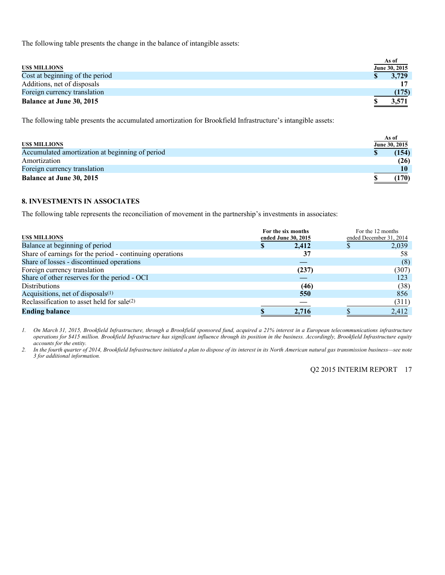The following table presents the change in the balance of intangible assets:

| <b>USS MILLIONS</b>             | As of<br>June 30, 2015 |
|---------------------------------|------------------------|
| Cost at beginning of the period | 3,729                  |
| Additions, net of disposals     |                        |
| Foreign currency translation    | (175)                  |
| <b>Balance at June 30, 2015</b> | 3,571                  |

The following table presents the accumulated amortization for Brookfield Infrastructure's intangible assets:

|                                                 | As of |               |
|-------------------------------------------------|-------|---------------|
| <b>USS MILLIONS</b>                             |       | June 30, 2015 |
| Accumulated amortization at beginning of period |       | (154)         |
| Amortization                                    |       | (26)          |
| Foreign currency translation                    |       | 10            |
| <b>Balance at June 30, 2015</b>                 |       | .170)         |

# **8. INVESTMENTS IN ASSOCIATES**

The following table represents the reconciliation of movement in the partnership's investments in associates:

| <b>USS MILLIONS</b>                                      | For the six months<br>ended June 30, 2015 | For the 12 months<br>ended December 31, 2014 |
|----------------------------------------------------------|-------------------------------------------|----------------------------------------------|
| Balance at beginning of period                           | 2,412                                     | 2,039                                        |
| Share of earnings for the period - continuing operations | 37                                        | 58                                           |
| Share of losses - discontinued operations                |                                           | (8)                                          |
| Foreign currency translation                             | (237)                                     | (307)                                        |
| Share of other reserves for the period - OCI             |                                           | 123                                          |
| <b>Distributions</b>                                     | (46)                                      | (38)                                         |
| Acquisitions, net of disposals $(1)$                     | 550                                       | 856                                          |
| Reclassification to asset held for sale(2)               |                                           | (311)                                        |
| <b>Ending balance</b>                                    | 2.716                                     | 2,412                                        |

*1. On March 31, 2015, Brookfield Infrastructure, through a Brookfield sponsored fund, acquired a 21% interest in a European telecommunications infrastructure operations for \$415 million. Brookfield Infrastructure has significant influence through its position in the business. Accordingly, Brookfield Infrastructure equity accounts for the entity.* 

*2. In the fourth quarter of 2014, Brookfield Infrastructure initiated a plan to dispose of its interest in its North American natural gas transmission business—see note 3 for additional information.*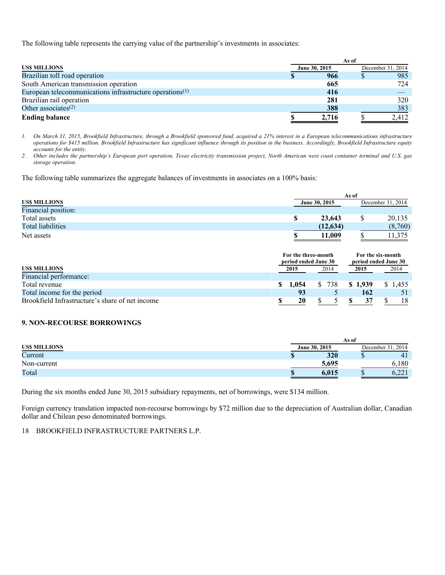The following table represents the carrying value of the partnership's investments in associates:

|                                                             | As of |               |                   |       |  |  |  |
|-------------------------------------------------------------|-------|---------------|-------------------|-------|--|--|--|
| <b>USS MILLIONS</b>                                         |       | June 30, 2015 | December 31, 2014 |       |  |  |  |
| Brazilian toll road operation                               |       | 966           |                   | 985   |  |  |  |
| South American transmission operation                       |       | 665           |                   | 724   |  |  |  |
| European telecommunications infrastructure operations $(1)$ |       | 416           |                   |       |  |  |  |
| Brazilian rail operation                                    |       | 281           |                   | 320   |  |  |  |
| Other associates $(2)$                                      |       | 388           |                   | 383   |  |  |  |
| <b>Ending balance</b>                                       |       | 2,716         |                   | 2,412 |  |  |  |

*1. On March 31, 2015, Brookfield Infrastructure, through a Brookfield sponsored fund, acquired a 21% interest in a European telecommunications infrastructure operations for \$415 million. Brookfield Infrastructure has significant influence through its position in the business. Accordingly, Brookfield Infrastructure equity accounts for the entity.* 

*2. Other includes the partnership's European port operation, Texas electricity transmission project, North American west coast container terminal and U.S. gas storage operation.* 

The following table summarizes the aggregate balances of investments in associates on a 100% basis:

|                          | As of |               |  |         |  |  |  |  |
|--------------------------|-------|---------------|--|---------|--|--|--|--|
| <b>USS MILLIONS</b>      |       | June 30, 2015 |  |         |  |  |  |  |
| Financial position:      |       |               |  |         |  |  |  |  |
| Total assets             |       | 23,643        |  | 20,135  |  |  |  |  |
| <b>Total liabilities</b> |       | (12, 634)     |  | (8,760) |  |  |  |  |
| Net assets               |       | 11.009        |  | 375     |  |  |  |  |

|                                                 |     | For the three-month<br>period ended June 30 |              | For the six-month<br>period ended June 30 |      |         |      |          |
|-------------------------------------------------|-----|---------------------------------------------|--------------|-------------------------------------------|------|---------|------|----------|
| US\$ MILLIONS                                   |     | 2015                                        | 2014         |                                           | 2015 |         | 2014 |          |
| Financial performance:                          |     |                                             |              |                                           |      |         |      |          |
| Total revenue                                   | S – | 1.054                                       | <sup>S</sup> | 738                                       |      | \$1.939 |      | \$ 1.455 |
| Total income for the period                     |     |                                             |              |                                           |      | 162     |      |          |
| Brookfield Infrastructure's share of net income |     | 20                                          |              |                                           |      |         |      | 18       |

#### **9. NON-RECOURSE BORROWINGS**

|                     | As of         |                      |  |  |  |  |  |
|---------------------|---------------|----------------------|--|--|--|--|--|
| <b>USS MILLIONS</b> | June 30, 2015 | 2014<br>December 31. |  |  |  |  |  |
| Current             | 320<br>ιD     | 41                   |  |  |  |  |  |
| Non-current         | 5,695         | 6,180                |  |  |  |  |  |
| Total               | 6.015         | $\sim$<br>0.ZZ 1     |  |  |  |  |  |

During the six months ended June 30, 2015 subsidiary repayments, net of borrowings, were \$134 million.

Foreign currency translation impacted non-recourse borrowings by \$72 million due to the depreciation of Australian dollar, Canadian dollar and Chilean peso denominated borrowings.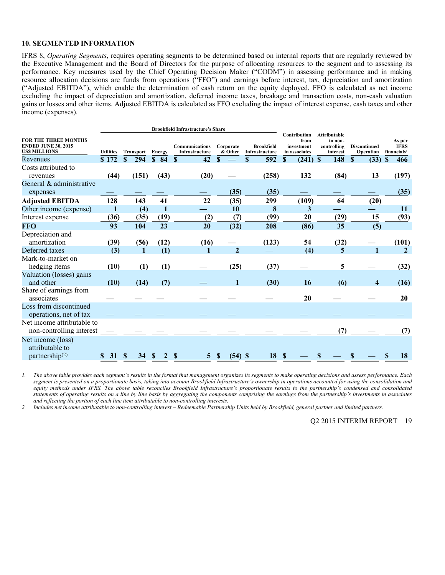#### **10. SEGMENTED INFORMATION**

IFRS 8, *Operating Segments*, requires operating segments to be determined based on internal reports that are regularly reviewed by the Executive Management and the Board of Directors for the purpose of allocating resources to the segment and to assessing its performance. Key measures used by the Chief Operating Decision Maker ("CODM") in assessing performance and in making resource allocation decisions are funds from operations ("FFO") and earnings before interest, tax, depreciation and amortization ("Adjusted EBITDA"), which enable the determination of cash return on the equity deployed. FFO is calculated as net income excluding the impact of depreciation and amortization, deferred income taxes, breakage and transaction costs, non-cash valuation gains or losses and other items. Adjusted EBITDA is calculated as FFO excluding the impact of interest expense, cash taxes and other income (expenses).

|                                                                                  |                  |                     |                                 | <b>Brookfield Infrastructure's Share</b> |                            |                                     |                                                     |                                                           |                                  |                                                  |
|----------------------------------------------------------------------------------|------------------|---------------------|---------------------------------|------------------------------------------|----------------------------|-------------------------------------|-----------------------------------------------------|-----------------------------------------------------------|----------------------------------|--------------------------------------------------|
| <b>FOR THE THREE MONTHS</b><br><b>ENDED JUNE 30, 2015</b><br><b>USS MILLIONS</b> | <b>Utilities</b> | <b>Transport</b>    | <b>Energy</b>                   | Communications<br>Infrastructure         | Corporate<br>& Other       | <b>Brookfield</b><br>Infrastructure | Contribution<br>from<br>investment<br>in associates | <b>Attributable</b><br>to non-<br>controlling<br>interest | <b>Discontinued</b><br>Operation | As per<br><b>IFRS</b><br>financials <sup>1</sup> |
| Revenues                                                                         | \$172            | $\mathbf{s}$<br>294 | \$84                            | 42<br>S                                  | $\mathbf{s}$               | S<br>592                            | $\mathbf{s}$<br>$(241)$ \$                          | 148                                                       | <sup>\$</sup><br>(33)            | 466<br>\$                                        |
| Costs attributed to                                                              |                  |                     |                                 |                                          |                            |                                     |                                                     |                                                           |                                  |                                                  |
| revenues                                                                         | (44)             | (151)               | (43)                            | (20)                                     |                            | (258)                               | 132                                                 | (84)                                                      | 13                               | (197)                                            |
| General & administrative                                                         |                  |                     |                                 |                                          |                            |                                     |                                                     |                                                           |                                  |                                                  |
| expenses                                                                         |                  |                     |                                 |                                          | (35)                       | (35)                                |                                                     |                                                           |                                  | (35)                                             |
| <b>Adjusted EBITDA</b>                                                           | 128              | 143                 | 41                              | 22                                       | (35)                       | 299                                 | (109)                                               | 64                                                        | (20)                             |                                                  |
| Other income (expense)                                                           | 1                | (4)                 | 1                               |                                          | 10                         | 8                                   | 3                                                   |                                                           |                                  | 11                                               |
| Interest expense                                                                 | (36)             | (35)                | (19)                            | (2)                                      | (7)                        | (99)                                | 20                                                  | (29)                                                      | 15                               | (93)                                             |
| <b>FFO</b>                                                                       | 93               | 104                 | 23                              | 20                                       | (32)                       | 208                                 | (86)                                                | 35                                                        | (5)                              |                                                  |
| Depreciation and                                                                 |                  |                     |                                 |                                          |                            |                                     |                                                     |                                                           |                                  |                                                  |
| amortization                                                                     | (39)             | (56)                | (12)                            | (16)                                     |                            | (123)                               | 54                                                  | (32)                                                      |                                  | (101)                                            |
| Deferred taxes                                                                   | (3)              | 1                   | (1)                             | 1                                        | $\overline{2}$             |                                     | (4)                                                 | 5                                                         | 1                                | $\overline{2}$                                   |
| Mark-to-market on                                                                |                  |                     |                                 |                                          |                            |                                     |                                                     |                                                           |                                  |                                                  |
| hedging items                                                                    | (10)             | (1)                 | (1)                             |                                          | (25)                       | (37)                                |                                                     | 5                                                         |                                  | (32)                                             |
| Valuation (losses) gains                                                         |                  |                     |                                 |                                          |                            |                                     |                                                     |                                                           |                                  |                                                  |
| and other                                                                        | (10)             | (14)                | (7)                             |                                          | 1                          | (30)                                | <b>16</b>                                           | (6)                                                       | 4                                | (16)                                             |
| Share of earnings from                                                           |                  |                     |                                 |                                          |                            |                                     |                                                     |                                                           |                                  |                                                  |
| associates                                                                       |                  |                     |                                 |                                          |                            |                                     | 20                                                  |                                                           |                                  | 20                                               |
| Loss from discontinued                                                           |                  |                     |                                 |                                          |                            |                                     |                                                     |                                                           |                                  |                                                  |
| operations, net of tax                                                           |                  |                     |                                 |                                          |                            |                                     |                                                     |                                                           |                                  |                                                  |
| Net income attributable to                                                       |                  |                     |                                 |                                          |                            |                                     |                                                     |                                                           |                                  |                                                  |
| non-controlling interest                                                         |                  |                     |                                 |                                          |                            |                                     |                                                     | (7)                                                       |                                  | (7)                                              |
| Net income (loss)                                                                |                  |                     |                                 |                                          |                            |                                     |                                                     |                                                           |                                  |                                                  |
| attributable to                                                                  |                  |                     |                                 |                                          |                            |                                     |                                                     |                                                           |                                  |                                                  |
| partnership <sup>(2)</sup>                                                       | 31<br>S.         | $\mathbf{\$}$<br>34 | $\mathbf{\$}$<br>$\overline{2}$ | S<br>5                                   | $\mathbf{\$}$<br>$(54)$ \$ | 18                                  | \$                                                  |                                                           |                                  | 18<br>\$                                         |

*1. The above table provides each segment's results in the format that management organizes its segments to make operating decisions and assess performance. Each segment is presented on a proportionate basis, taking into account Brookfield Infrastructure's ownership in operations accounted for using the consolidation and equity methods under IFRS. The above table reconciles Brookfield Infrastructure's proportionate results to the partnership's condensed and consolidated statements of operating results on a line by line basis by aggregating the components comprising the earnings from the partnership's investments in associates and reflecting the portion of each line item attributable to non-controlling interests.* 

*2. Includes net income attributable to non-controlling interest – Redeemable Partnership Units held by Brookfield, general partner and limited partners.*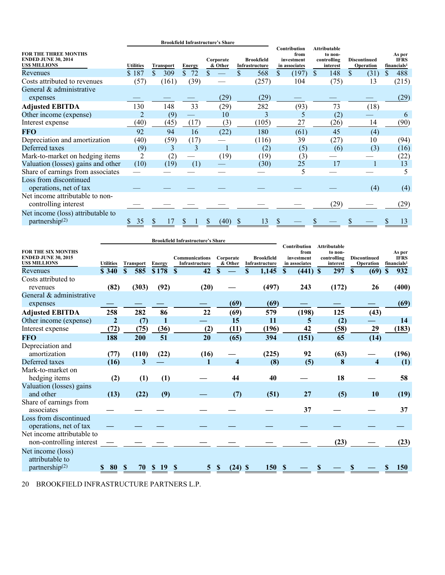|                                                                                  |                  |                  |                    | <b>Brookfield Infrastructure's Share</b> |                                     |                                                     |                                                           |                                  |                                                  |
|----------------------------------------------------------------------------------|------------------|------------------|--------------------|------------------------------------------|-------------------------------------|-----------------------------------------------------|-----------------------------------------------------------|----------------------------------|--------------------------------------------------|
| <b>FOR THE THREE MONTHS</b><br><b>ENDED JUNE 30, 2014</b><br><b>USS MILLIONS</b> | <b>Utilities</b> | <b>Transport</b> | <b>Energy</b>      | Corporate<br>& Other                     | <b>Brookfield</b><br>Infrastructure | Contribution<br>from<br>investment<br>in associates | <b>Attributable</b><br>to non-<br>controlling<br>interest | <b>Discontinued</b><br>Operation | As per<br><b>IFRS</b><br>financials <sup>1</sup> |
| Revenues                                                                         | \$187            | \$<br>309        | 72<br>$\mathbb{S}$ | \$.                                      | 568<br>\$.                          | \$<br>(197)                                         | 148<br>$\mathbb{S}$                                       | \$<br>(31)                       | 488<br>\$                                        |
| Costs attributed to revenues                                                     | (57)             | (161)            | (39)               |                                          | (257)                               | 104                                                 | (75)                                                      | 13                               | (215)                                            |
| General & administrative                                                         |                  |                  |                    |                                          |                                     |                                                     |                                                           |                                  |                                                  |
| expenses                                                                         |                  |                  |                    | (29)                                     | (29)                                |                                                     |                                                           |                                  | (29)                                             |
| <b>Adjusted EBITDA</b>                                                           | 130              | 148              | 33                 | (29)                                     | 282                                 | (93)                                                | 73                                                        | (18)                             |                                                  |
| Other income (expense)                                                           | $\overline{2}$   | (9)              |                    | 10                                       | 3                                   | 5                                                   | (2)                                                       |                                  | 6                                                |
| Interest expense                                                                 | (40)             | (45)             | (17)               | (3)                                      | (105)                               | 27                                                  | (26)                                                      | 14                               | (90)                                             |
| <b>FFO</b>                                                                       | 92               | 94               | 16                 | (22)                                     | 180                                 | (61)                                                | 45                                                        | (4)                              |                                                  |
| Depreciation and amortization                                                    | (40)             | (59)             | (17)               |                                          | (116)                               | 39                                                  | (27)                                                      | 10                               | (94)                                             |
| Deferred taxes                                                                   | (9)              | 3                | 3                  |                                          | (2)                                 | (5)                                                 | (6)                                                       | (3)                              | (16)                                             |
| Mark-to-market on hedging items                                                  | 2                | (2)              |                    | (19)                                     | (19)                                | (3)                                                 |                                                           |                                  | (22)                                             |
| Valuation (losses) gains and other                                               | (10)             | (19)             | (1)                |                                          | (30)                                | 25                                                  | 17                                                        |                                  | 13                                               |
| Share of earnings from associates                                                |                  |                  |                    |                                          |                                     | 5                                                   |                                                           |                                  | 5                                                |
| Loss from discontinued<br>operations, net of tax                                 |                  |                  |                    |                                          |                                     |                                                     |                                                           | (4)                              | (4)                                              |
| Net income attributable to non-                                                  |                  |                  |                    |                                          |                                     |                                                     |                                                           |                                  |                                                  |
| controlling interest                                                             |                  |                  |                    |                                          |                                     |                                                     | (29)                                                      |                                  | (29)                                             |
| Net income (loss) attributable to<br>partnership $(2)$                           | 35               | 17               |                    | (40)                                     | 13                                  |                                                     |                                                           |                                  | 13                                               |

|                                                                                | <b>Brookfield Infrastructure's Share</b> |                    |                     |                                         |                      |                                     |                                                            |                                                           |                                         |                                                  |
|--------------------------------------------------------------------------------|------------------------------------------|--------------------|---------------------|-----------------------------------------|----------------------|-------------------------------------|------------------------------------------------------------|-----------------------------------------------------------|-----------------------------------------|--------------------------------------------------|
| <b>FOR THE SIX MONTHS</b><br><b>ENDED JUNE 30, 2015</b><br><b>USS MILLIONS</b> | <b>Utilities</b>                         | <b>Transport</b>   | Energy              | <b>Communications</b><br>Infrastructure | Corporate<br>& Other | <b>Brookfield</b><br>Infrastructure | <b>Contribution</b><br>from<br>investment<br>in associates | <b>Attributable</b><br>to non-<br>controlling<br>interest | <b>Discontinued</b><br><b>Operation</b> | As per<br><b>IFRS</b><br>financials <sup>1</sup> |
| Revenues                                                                       | \$340                                    | $\mathbf S$<br>585 | \$178               | 42<br>$\mathbf{s}$                      | $\mathbf{s}$         | \$<br>1,145                         | (441)<br><sup>\$</sup>                                     | 297<br><sup>\$</sup>                                      | S<br>(69)                               | 932<br>\$                                        |
| Costs attributed to<br>revenues                                                | (82)                                     | (303)              | (92)                | (20)                                    |                      | (497)                               | 243                                                        | (172)                                                     | 26                                      | (400)                                            |
| General & administrative<br>expenses                                           |                                          |                    |                     |                                         | (69)                 | (69)                                |                                                            |                                                           |                                         | (69)                                             |
| <b>Adjusted EBITDA</b>                                                         | 258                                      | 282                | 86                  | 22                                      | (69)                 | 579                                 | (198)                                                      | 125                                                       | (43)                                    |                                                  |
| Other income (expense)                                                         | $\overline{2}$                           | (7)                | 1                   |                                         | 15                   | 11                                  | 5                                                          | (2)                                                       |                                         | 14                                               |
| Interest expense                                                               | (72)                                     | (75)               | (36)                | (2)                                     | (11)                 | (196)                               | 42                                                         | (58)                                                      | 29                                      | (183)                                            |
| <b>FFO</b>                                                                     | 188                                      | 200                | 51                  | 20                                      | (65)                 | 394                                 | (151)                                                      | 65                                                        | (14)                                    |                                                  |
| Depreciation and<br>amortization                                               | (77)                                     | (110)              | (22)                | (16)                                    |                      | (225)                               | 92                                                         | (63)                                                      |                                         | (196)                                            |
| Deferred taxes                                                                 | (16)                                     | 3                  |                     | 1                                       | $\overline{\bf 4}$   | (8)                                 | (5)                                                        | 8                                                         | $\overline{\mathbf{4}}$                 | (1)                                              |
| Mark-to-market on<br>hedging items                                             | (2)                                      | (1)                | (1)                 |                                         | 44                   | 40                                  |                                                            | 18                                                        |                                         | 58                                               |
| Valuation (losses) gains<br>and other                                          | (13)                                     | (22)               | (9)                 |                                         | (7)                  | (51)                                | 27                                                         | (5)                                                       | 10                                      | (19)                                             |
| Share of earnings from<br>associates                                           |                                          |                    |                     |                                         |                      |                                     | 37                                                         |                                                           |                                         | 37                                               |
| Loss from discontinued<br>operations, net of tax                               |                                          |                    |                     |                                         |                      |                                     |                                                            |                                                           |                                         |                                                  |
| Net income attributable to<br>non-controlling interest                         |                                          |                    |                     |                                         |                      |                                     |                                                            | (23)                                                      |                                         | (23)                                             |
| Net income (loss)<br>attributable to<br>partnership $(2)$                      | 80                                       | 70                 | -19<br><sup>S</sup> | <b>S</b>                                | (24)                 | 150<br>-S                           |                                                            |                                                           |                                         | <b>150</b>                                       |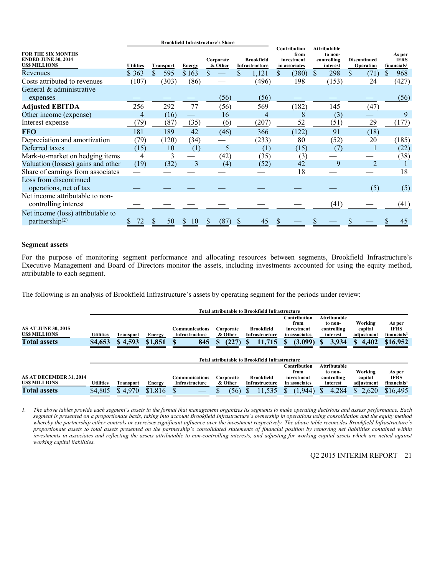|                                                                                |                  |                  |               | <b>Brookfield Infrastructure's Share</b> |                                     |                                                            |                                                           |                                  |                                                  |
|--------------------------------------------------------------------------------|------------------|------------------|---------------|------------------------------------------|-------------------------------------|------------------------------------------------------------|-----------------------------------------------------------|----------------------------------|--------------------------------------------------|
| <b>FOR THE SIX MONTHS</b><br><b>ENDED JUNE 30, 2014</b><br><b>USS MILLIONS</b> | <b>Utilities</b> | <b>Transport</b> | <b>Energy</b> | Corporate<br>& Other                     | <b>Brookfield</b><br>Infrastructure | <b>Contribution</b><br>from<br>investment<br>in associates | <b>Attributable</b><br>to non-<br>controlling<br>interest | <b>Discontinued</b><br>Operation | As per<br><b>IFRS</b><br>financials <sup>1</sup> |
| Revenues                                                                       | \$363            | \$<br>595        | \$163         |                                          | 1,121                               | (380)<br>\$                                                | 298<br>\$.                                                | \$<br>(71)                       | 968<br>S                                         |
| Costs attributed to revenues                                                   | (107)            | (303)            | (86)          |                                          | (496)                               | 198                                                        | (153)                                                     | 24                               | (427)                                            |
| General & administrative                                                       |                  |                  |               |                                          |                                     |                                                            |                                                           |                                  |                                                  |
| expenses                                                                       |                  |                  |               | (56)                                     | (56)                                |                                                            |                                                           |                                  | (56)                                             |
| <b>Adjusted EBITDA</b>                                                         | 256              | 292              | 77            | (56)                                     | 569                                 | (182)                                                      | 145                                                       | (47)                             |                                                  |
| Other income (expense)                                                         | 4                | (16)             |               | 16                                       | 4                                   | 8                                                          | (3)                                                       |                                  | 9                                                |
| Interest expense                                                               | (79)             | (87)             | (35)          | (6)                                      | (207)                               | 52                                                         | (51)                                                      | 29                               | (177)                                            |
| <b>FFO</b>                                                                     | 181              | 189              | 42            | (46)                                     | 366                                 | (122)                                                      | 91                                                        | (18)                             |                                                  |
| Depreciation and amortization                                                  | (79)             | (120)            | (34)          |                                          | (233)                               | 80                                                         | (52)                                                      | 20                               | (185)                                            |
| Deferred taxes                                                                 | (15)             | 10               | (1)           | 5                                        | (1)                                 | (15)                                                       | (7)                                                       |                                  | (22)                                             |
| Mark-to-market on hedging items                                                | 4                | 3                |               | (42)                                     | (35)                                | (3)                                                        |                                                           |                                  | (38)                                             |
| Valuation (losses) gains and other                                             | (19)             | (32)             | 3             | (4)                                      | (52)                                | 42                                                         | 9                                                         | $\overline{2}$                   |                                                  |
| Share of earnings from associates                                              |                  |                  |               |                                          |                                     | 18                                                         |                                                           |                                  | 18                                               |
| Loss from discontinued                                                         |                  |                  |               |                                          |                                     |                                                            |                                                           |                                  |                                                  |
| operations, net of tax                                                         |                  |                  |               |                                          |                                     |                                                            |                                                           | (5)                              | (5)                                              |
| Net income attributable to non-                                                |                  |                  |               |                                          |                                     |                                                            |                                                           |                                  |                                                  |
| controlling interest                                                           |                  |                  |               |                                          |                                     |                                                            | (41)                                                      |                                  | (41)                                             |
| Net income (loss) attributable to                                              |                  |                  |               |                                          |                                     |                                                            |                                                           |                                  |                                                  |
| partnership $(2)$                                                              |                  | 50               | S<br>10       | (87                                      | 45                                  |                                                            |                                                           |                                  | 45                                               |

#### **Segment assets**

For the purpose of monitoring segment performance and allocating resources between segments, Brookfield Infrastructure's Executive Management and Board of Directors monitor the assets, including investments accounted for using the equity method, attributable to each segment.

The following is an analysis of Brookfield Infrastructure's assets by operating segment for the periods under review:

|                                                                          | <b>Total attributable to Brookfield Infrastructure</b> |                      |                          |                                                |                                     |                                                                                                         |                                                                              |                                                             |                                                           |                                                              |  |
|--------------------------------------------------------------------------|--------------------------------------------------------|----------------------|--------------------------|------------------------------------------------|-------------------------------------|---------------------------------------------------------------------------------------------------------|------------------------------------------------------------------------------|-------------------------------------------------------------|-----------------------------------------------------------|--------------------------------------------------------------|--|
| <b>AS AT JUNE 30, 2015</b><br><b>USS MILLIONS</b><br><b>Total assets</b> | <b>Utilities</b><br>\$4,653                            | Transport<br>\$4,593 | <b>Energy</b><br>\$1,851 | <b>Communications</b><br>Infrastructure<br>845 | Corporate<br>& Other<br>(227)<br>Ъ. | <b>Brookfield</b><br>Infrastructure<br>11,715<br><b>Total attributable to Brookfield Infrastructure</b> | <b>Contribution</b><br>from<br>investment<br>in associates<br>(3,099)<br>пĐ. | Attributable<br>to non-<br>controlling<br>interest<br>3,934 | Working<br>capital<br>adjustment<br>4,402<br>$\mathbf{r}$ | As per<br><b>IFRS</b><br>financials <sup>1</sup><br>\$16,952 |  |
|                                                                          |                                                        |                      |                          |                                                |                                     |                                                                                                         | <b>Contribution</b>                                                          | Attributable                                                |                                                           |                                                              |  |
|                                                                          |                                                        |                      |                          |                                                |                                     |                                                                                                         | from                                                                         | to non-                                                     | Working                                                   | As per                                                       |  |
| AS AT DECEMBER 31, 2014                                                  |                                                        |                      |                          | Communications                                 | Corporate                           | <b>Brookfield</b>                                                                                       | investment                                                                   | controlling                                                 | capital                                                   | <b>IFRS</b>                                                  |  |
| <b>USS MILLIONS</b>                                                      | <b>Utilities</b>                                       | Transport            | <b>Energy</b>            | Infrastructure                                 | & Other                             | Infrastructure                                                                                          | in associates                                                                | interest                                                    | adjustment                                                | financials <sup>1</sup>                                      |  |
| <b>Total assets</b>                                                      | \$4,805                                                | \$4.970              | \$1,816                  |                                                | (56)                                | 11,535                                                                                                  | (1,944)                                                                      | 4,284                                                       | 2,620<br>S.                                               | \$16,495                                                     |  |

*1. The above tables provide each segment's assets in the format that management organizes its segments to make operating decisions and assess performance. Each segment is presented on a proportionate basis, taking into account Brookfield Infrastructure's ownership in operations using consolidation and the equity method whereby the partnership either controls or exercises significant influence over the investment respectively. The above table reconciles Brookfield Infrastructure's proportionate assets to total assets presented on the partnership's consolidated statements of financial position by removing net liabilities contained within investments in associates and reflecting the assets attributable to non-controlling interests, and adjusting for working capital assets which are netted against working capital liabilities.*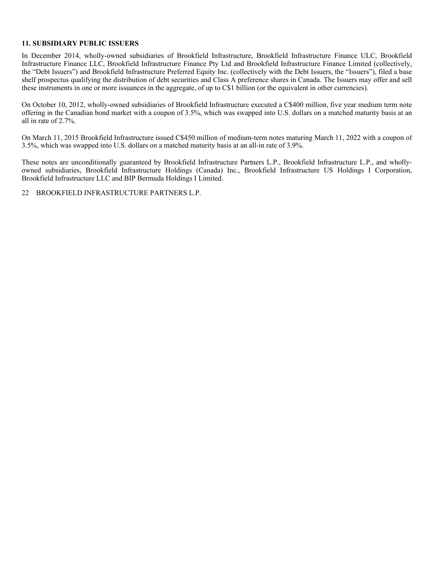#### **11. SUBSIDIARY PUBLIC ISSUERS**

In December 2014, wholly-owned subsidiaries of Brookfield Infrastructure, Brookfield Infrastructure Finance ULC, Brookfield Infrastructure Finance LLC, Brookfield Infrastructure Finance Pty Ltd and Brookfield Infrastructure Finance Limited (collectively, the "Debt Issuers") and Brookfield Infrastructure Preferred Equity Inc. (collectively with the Debt Issuers, the "Issuers"), filed a base shelf prospectus qualifying the distribution of debt securities and Class A preference shares in Canada. The Issuers may offer and sell these instruments in one or more issuances in the aggregate, of up to C\$1 billion (or the equivalent in other currencies).

On October 10, 2012, wholly-owned subsidiaries of Brookfield Infrastructure executed a C\$400 million, five year medium term note offering in the Canadian bond market with a coupon of 3.5%, which was swapped into U.S. dollars on a matched maturity basis at an all in rate of 2.7%.

On March 11, 2015 Brookfield Infrastructure issued C\$450 million of medium-term notes maturing March 11, 2022 with a coupon of 3.5%, which was swapped into U.S. dollars on a matched maturity basis at an all-in rate of 3.9%.

These notes are unconditionally guaranteed by Brookfield Infrastructure Partners L.P., Brookfield Infrastructure L.P., and whollyowned subsidiaries, Brookfield Infrastructure Holdings (Canada) Inc., Brookfield Infrastructure US Holdings I Corporation, Brookfield Infrastructure LLC and BIP Bermuda Holdings I Limited.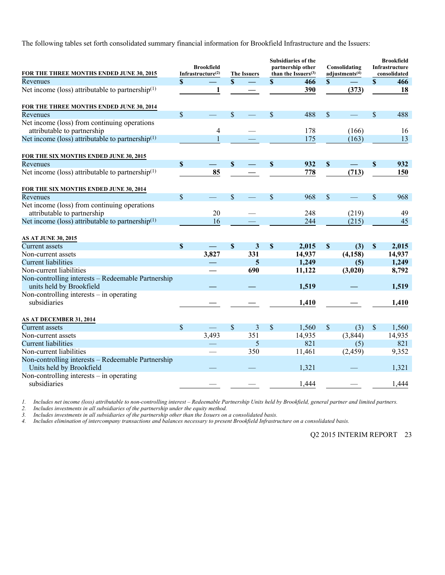The following tables set forth consolidated summary financial information for Brookfield Infrastructure and the Issuers:

| FOR THE THREE MONTHS ENDED JUNE 30, 2015                                       |                           | <b>Brookfield</b><br>Infrastructure(2) |               | <b>The Issuers</b> |                           | <b>Subsidiaries of the</b><br>partnership other<br>than the Issuers $(3)$ |              | Consolidating<br>adjustments <sup>(4)</sup> |                           | <b>Brookfield</b><br>Infrastructure<br>consolidated |
|--------------------------------------------------------------------------------|---------------------------|----------------------------------------|---------------|--------------------|---------------------------|---------------------------------------------------------------------------|--------------|---------------------------------------------|---------------------------|-----------------------------------------------------|
| Revenues                                                                       | $\mathbf S$               |                                        | $\mathbf S$   |                    | \$                        | 466                                                                       | $\mathbf{s}$ |                                             | $\mathbf{s}$              | 466                                                 |
| Net income (loss) attributable to partnership <sup>(1)</sup>                   |                           | 1                                      |               |                    |                           | 390                                                                       |              | (373)                                       |                           | 18                                                  |
| FOR THE THREE MONTHS ENDED JUNE 30, 2014                                       |                           |                                        |               |                    |                           |                                                                           |              |                                             |                           |                                                     |
| Revenues                                                                       | $\mathsf{\$}$             |                                        | $\mathbf S$   |                    | $\mathsf{\$}$             | 488                                                                       | $\mathbf S$  |                                             | $\mathcal{S}$             | 488                                                 |
| Net income (loss) from continuing operations                                   |                           |                                        |               |                    |                           |                                                                           |              |                                             |                           |                                                     |
| attributable to partnership                                                    |                           | 4                                      |               |                    |                           | 178                                                                       |              | (166)                                       |                           | 16                                                  |
| Net income (loss) attributable to partnership <sup>(1)</sup>                   |                           |                                        |               |                    |                           | 175                                                                       |              | (163)                                       |                           | 13                                                  |
| FOR THE SIX MONTHS ENDED JUNE 30, 2015                                         |                           |                                        |               |                    |                           |                                                                           |              |                                             |                           |                                                     |
| Revenues                                                                       | $\boldsymbol{\mathsf{S}}$ |                                        | <sup>\$</sup> |                    | $\boldsymbol{\mathsf{S}}$ | 932                                                                       | \$           |                                             | $\mathbf S$               | 932                                                 |
| Net income (loss) attributable to partnership $(1)$                            |                           | 85                                     |               |                    |                           | 778                                                                       |              | (713)                                       |                           | 150                                                 |
| FOR THE SIX MONTHS ENDED JUNE 30, 2014                                         |                           |                                        |               |                    |                           |                                                                           |              |                                             |                           |                                                     |
| Revenues                                                                       | \$                        |                                        | $\mathbf S$   | <u>e a</u>         | \$                        | 968                                                                       | \$           |                                             | $\mathsf{\$}$             | 968                                                 |
| Net income (loss) from continuing operations                                   |                           | 20                                     |               |                    |                           |                                                                           |              |                                             |                           |                                                     |
| attributable to partnership                                                    |                           |                                        |               |                    |                           | 248                                                                       |              | (219)                                       |                           | 49                                                  |
| Net income (loss) attributable to partnership <sup>(1)</sup>                   |                           | 16                                     |               |                    |                           | 244                                                                       |              | (215)                                       |                           | 45                                                  |
| <b>AS AT JUNE 30, 2015</b>                                                     |                           |                                        |               |                    |                           |                                                                           |              |                                             |                           |                                                     |
| <b>Current</b> assets                                                          | $\mathbf S$               |                                        | $\mathbf S$   | 3                  | $\boldsymbol{\mathsf{S}}$ | 2,015                                                                     | $\mathbf S$  | (3)                                         | $\boldsymbol{\mathsf{S}}$ | 2,015                                               |
| Non-current assets                                                             |                           | 3,827                                  |               | 331                |                           | 14,937                                                                    |              | (4, 158)                                    |                           | 14,937                                              |
| <b>Current liabilities</b>                                                     |                           |                                        |               | 5                  |                           | 1,249                                                                     |              | (5)                                         |                           | 1,249                                               |
| Non-current liabilities                                                        |                           |                                        |               | 690                |                           | 11,122                                                                    |              | (3,020)                                     |                           | 8,792                                               |
| Non-controlling interests - Redeemable Partnership                             |                           |                                        |               |                    |                           |                                                                           |              |                                             |                           |                                                     |
| units held by Brookfield                                                       |                           |                                        |               |                    |                           | 1,519                                                                     |              |                                             |                           | 1,519                                               |
| Non-controlling interests – in operating                                       |                           |                                        |               |                    |                           |                                                                           |              |                                             |                           |                                                     |
| subsidiaries                                                                   |                           |                                        |               |                    |                           | 1,410                                                                     |              |                                             |                           | 1,410                                               |
| AS AT DECEMBER 31, 2014                                                        |                           |                                        |               |                    |                           |                                                                           |              |                                             |                           |                                                     |
| <b>Current</b> assets                                                          | $\mathsf{\$}$             |                                        | $\mathbb{S}$  | $\mathfrak{Z}$     | \$                        | 1,560                                                                     | \$           | (3)                                         | \$                        | 1,560                                               |
|                                                                                |                           | 3,493                                  |               | 351                |                           | 14,935                                                                    |              | (3, 844)                                    |                           | 14,935                                              |
| Non-current assets<br><b>Current liabilities</b>                               |                           |                                        |               | 5                  |                           | 821                                                                       |              | (5)                                         |                           | 821                                                 |
|                                                                                |                           |                                        |               | 350                |                           |                                                                           |              |                                             |                           |                                                     |
| Non-current liabilities                                                        |                           |                                        |               |                    |                           | 11,461                                                                    |              | (2, 459)                                    |                           | 9,352                                               |
| Non-controlling interests - Redeemable Partnership<br>Units held by Brookfield |                           |                                        |               |                    |                           | 1,321                                                                     |              |                                             |                           | 1,321                                               |
| Non-controlling interests $-$ in operating<br>subsidiaries                     |                           |                                        |               |                    |                           | 1,444                                                                     |              |                                             |                           | 1,444                                               |
|                                                                                |                           |                                        |               |                    |                           |                                                                           |              |                                             |                           |                                                     |

*1. Includes net income (loss) attributable to non-controlling interest – Redeemable Partnership Units held by Brookfield, general partner and limited partners.* 

*2. Includes investments in all subsidiaries of the partnership under the equity method.* 

*3. Includes investments in all subsidiaries of the partnership other than the Issuers on a consolidated basis.* 

*4. Includes elimination of intercompany transactions and balances necessary to present Brookfield Infrastructure on a consolidated basis.*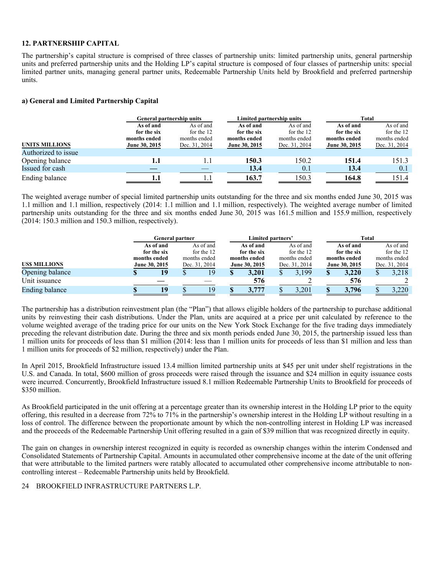#### **12. PARTNERSHIP CAPITAL**

The partnership's capital structure is comprised of three classes of partnership units: limited partnership units, general partnership units and preferred partnership units and the Holding LP's capital structure is composed of four classes of partnership units: special limited partner units, managing general partner units, Redeemable Partnership Units held by Brookfield and preferred partnership units.

#### **a) General and Limited Partnership Capital**

|                       |               | General partnership units | Limited partnership units |               | Total         |               |  |  |  |
|-----------------------|---------------|---------------------------|---------------------------|---------------|---------------|---------------|--|--|--|
|                       | As of and     | As of and                 | As of and                 | As of and     | As of and     | As of and     |  |  |  |
|                       | for the six   | for the 12                | for the six               | for the 12    | for the six   | for the 12    |  |  |  |
|                       | months ended  | months ended              | months ended              | months ended  | months ended  | months ended  |  |  |  |
| <b>UNITS MILLIONS</b> | June 30, 2015 | Dec. 31, 2014             | June 30, 2015             | Dec. 31, 2014 | June 30, 2015 | Dec. 31, 2014 |  |  |  |
| Authorized to issue   |               |                           |                           |               |               |               |  |  |  |
| Opening balance       | 1.1           | 1.1                       | 150.3                     | 150.2         | 151.4         | 151.3         |  |  |  |
| Issued for cash       |               |                           | 13.4                      | 0.1           | 13.4          | 0.1           |  |  |  |
| Ending balance        |               |                           | 163.7                     | 150.3         | 164.8         | 151.4         |  |  |  |

The weighted average number of special limited partnership units outstanding for the three and six months ended June 30, 2015 was 1.1 million and 1.1 million, respectively (2014: 1.1 million and 1.1 million, respectively). The weighted average number of limited partnership units outstanding for the three and six months ended June 30, 2015 was 161.5 million and 155.9 million, respectively (2014: 150.3 million and 150.3 million, respectively).

|                     |              | <b>General partner</b> |  |               |               | Limited partners' |               |              | Total         |              |               |            |  |  |
|---------------------|--------------|------------------------|--|---------------|---------------|-------------------|---------------|--------------|---------------|--------------|---------------|------------|--|--|
|                     |              | As of and              |  | As of and     |               | As of and         |               | As of and    |               | As of and    |               | As of and  |  |  |
|                     |              | for the six            |  | for the 12    |               | for the six       |               | for the 12   |               | for the six  |               | for the 12 |  |  |
|                     | months ended |                        |  | months ended  |               | months ended      |               | months ended |               | months ended | months ended  |            |  |  |
| <b>USS MILLIONS</b> |              | June 30, 2015          |  | Dec. 31, 2014 | June 30, 2015 |                   | Dec. 31, 2014 |              | June 30, 2015 |              | Dec. 31, 2014 |            |  |  |
| Opening balance     |              |                        |  | 19            | \$            | 3.201             |               | 3.199        |               | 3.220        |               | 3,218      |  |  |
| Unit issuance       |              |                        |  |               |               | 576               |               |              |               | 576          |               |            |  |  |
| Ending balance      |              | 19                     |  | 19            |               | 3,777             |               | 3,201        |               | 3.796        |               | 3.220      |  |  |

The partnership has a distribution reinvestment plan (the "Plan") that allows eligible holders of the partnership to purchase additional units by reinvesting their cash distributions. Under the Plan, units are acquired at a price per unit calculated by reference to the volume weighted average of the trading price for our units on the New York Stock Exchange for the five trading days immediately preceding the relevant distribution date. During the three and six month periods ended June 30, 2015, the partnership issued less than 1 million units for proceeds of less than \$1 million (2014: less than 1 million units for proceeds of less than \$1 million and less than 1 million units for proceeds of \$2 million, respectively) under the Plan.

In April 2015, Brookfield Infrastructure issued 13.4 million limited partnership units at \$45 per unit under shelf registrations in the U.S. and Canada. In total, \$600 million of gross proceeds were raised through the issuance and \$24 million in equity issuance costs were incurred. Concurrently, Brookfield Infrastructure issued 8.1 million Redeemable Partnership Units to Brookfield for proceeds of \$350 million.

As Brookfield participated in the unit offering at a percentage greater than its ownership interest in the Holding LP prior to the equity offering, this resulted in a decrease from 72% to 71% in the partnership's ownership interest in the Holding LP without resulting in a loss of control. The difference between the proportionate amount by which the non-controlling interest in Holding LP was increased and the proceeds of the Redeemable Partnership Unit offering resulted in a gain of \$39 million that was recognized directly in equity.

The gain on changes in ownership interest recognized in equity is recorded as ownership changes within the interim Condensed and Consolidated Statements of Partnership Capital. Amounts in accumulated other comprehensive income at the date of the unit offering that were attributable to the limited partners were ratably allocated to accumulated other comprehensive income attributable to noncontrolling interest – Redeemable Partnership units held by Brookfield.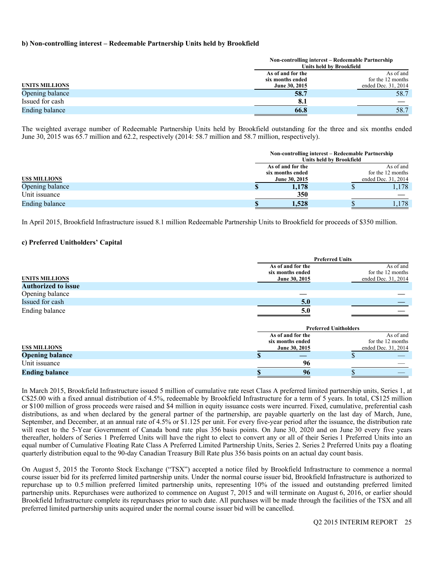#### **b) Non-controlling interest – Redeemable Partnership Units held by Brookfield**

|                 |                   | Non-controlling interest – Redeemable Partnership<br>Units held by Brookfield |
|-----------------|-------------------|-------------------------------------------------------------------------------|
|                 | As of and for the | As of and                                                                     |
|                 | six months ended  | for the 12 months                                                             |
| UNITS MILLIONS  | June 30, 2015     | ended Dec. 31, 2014                                                           |
| Opening balance | 58.7              | 58.7                                                                          |
| Issued for cash | 8.1               |                                                                               |
| Ending balance  | 66.8              | 58.7                                                                          |

The weighted average number of Redeemable Partnership Units held by Brookfield outstanding for the three and six months ended June 30, 2015 was 65.7 million and 62.2, respectively (2014: 58.7 million and 58.7 million, respectively).

|                     | Non-controlling interest – Redeemable Partnership | <b>Units held by Brookfield</b> |                     |
|---------------------|---------------------------------------------------|---------------------------------|---------------------|
|                     | As of and for the                                 |                                 | As of and           |
|                     | six months ended                                  |                                 | for the 12 months   |
| <b>USS MILLIONS</b> | June 30, 2015                                     |                                 | ended Dec. 31, 2014 |
| Opening balance     | 1,178                                             |                                 | 1,178               |
| Unit issuance       | 350                                               |                                 |                     |
| Ending balance      | 1,528                                             |                                 | .178                |

In April 2015, Brookfield Infrastructure issued 8.1 million Redeemable Partnership Units to Brookfield for proceeds of \$350 million.

#### **c) Preferred Unitholders' Capital**

|                            |                                                        | <b>Preferred Units</b>       |                                                       |
|----------------------------|--------------------------------------------------------|------------------------------|-------------------------------------------------------|
| <b>UNITS MILLIONS</b>      | As of and for the<br>six months ended<br>June 30, 2015 |                              | As of and<br>for the 12 months<br>ended Dec. 31, 2014 |
| <b>Authorized to issue</b> |                                                        |                              |                                                       |
| Opening balance            |                                                        |                              |                                                       |
| Issued for cash            | 5.0                                                    |                              |                                                       |
| Ending balance             | 5.0                                                    |                              |                                                       |
|                            |                                                        | <b>Preferred Unitholders</b> |                                                       |
|                            | As of and for the<br>six months ended                  |                              | As of and<br>for the 12 months                        |
| <b>USS MILLIONS</b>        | June 30, 2015                                          |                              | ended Dec. 31, 2014                                   |
| <b>Opening balance</b>     |                                                        |                              |                                                       |
| Unit issuance              | 96                                                     |                              |                                                       |
| <b>Ending balance</b>      | 96                                                     |                              |                                                       |

In March 2015, Brookfield Infrastructure issued 5 million of cumulative rate reset Class A preferred limited partnership units, Series 1, at C\$25.00 with a fixed annual distribution of 4.5%, redeemable by Brookfield Infrastructure for a term of 5 years. In total, C\$125 million or \$100 million of gross proceeds were raised and \$4 million in equity issuance costs were incurred. Fixed, cumulative, preferential cash distributions, as and when declared by the general partner of the partnership, are payable quarterly on the last day of March, June, September, and December, at an annual rate of 4.5% or \$1.125 per unit. For every five-year period after the issuance, the distribution rate will reset to the 5-Year Government of Canada bond rate plus 356 basis points. On June 30, 2020 and on June 30 every five years thereafter, holders of Series 1 Preferred Units will have the right to elect to convert any or all of their Series 1 Preferred Units into an equal number of Cumulative Floating Rate Class A Preferred Limited Partnership Units, Series 2. Series 2 Preferred Units pay a floating quarterly distribution equal to the 90-day Canadian Treasury Bill Rate plus 356 basis points on an actual day count basis.

On August 5, 2015 the Toronto Stock Exchange ("TSX") accepted a notice filed by Brookfield Infrastructure to commence a normal course issuer bid for its preferred limited partnership units. Under the normal course issuer bid, Brookfield Infrastructure is authorized to repurchase up to 0.5 million preferred limited partnership units, representing 10% of the issued and outstanding preferred limited partnership units. Repurchases were authorized to commence on August 7, 2015 and will terminate on August 6, 2016, or earlier should Brookfield Infrastructure complete its repurchases prior to such date. All purchases will be made through the facilities of the TSX and all preferred limited partnership units acquired under the normal course issuer bid will be cancelled.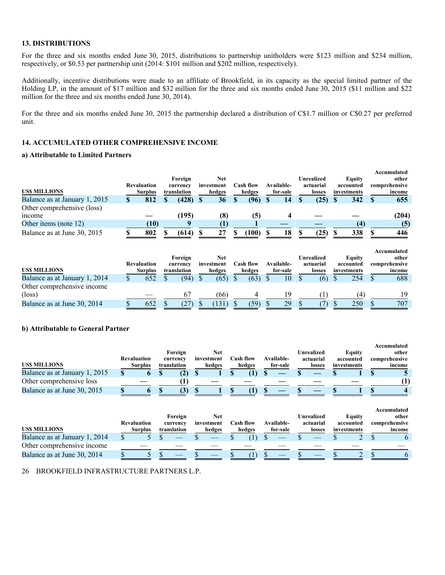#### **13. DISTRIBUTIONS**

For the three and six months ended June 30, 2015, distributions to partnership unitholders were \$123 million and \$234 million, respectively, or \$0.53 per partnership unit (2014: \$101 million and \$202 million, respectively).

Additionally, incentive distributions were made to an affiliate of Brookfield, in its capacity as the special limited partner of the Holding LP, in the amount of \$17 million and \$32 million for the three and six months ended June 30, 2015 (\$11 million and \$22 million for the three and six months ended June 30, 2014).

For the three and six months ended June 30, 2015 the partnership declared a distribution of C\$1.7 million or C\$0.27 per preferred unit.

# **14. ACCUMULATED OTHER COMPREHENSIVE INCOME**

### **a) Attributable to Limited Partners**

|                               |                    |             |            |                  |            |            |             | Accumulated   |
|-------------------------------|--------------------|-------------|------------|------------------|------------|------------|-------------|---------------|
|                               |                    | Foreign     | Net        |                  |            | Unrealized | Equity      | other         |
|                               | <b>Revaluation</b> | currency    | investment | <b>Cash flow</b> | Available- | actuarial  | accounted   | comprehensive |
| <b>USS MILLIONS</b>           | <b>Surplus</b>     | translation | hedges     | hedges           | for-sale   | losses     | investments | income        |
| Balance as at January 1, 2015 | 812                | (428)       | 36         | (96)             | 14         | (25)       | 342         | 655           |
| Other comprehensive (loss)    |                    |             |            |                  |            |            |             |               |
| <i>ncome</i>                  |                    | (195)       | (8         | (5)              |            |            |             | (204)         |
| Other items (note 12)         | (10)               |             |            |                  |            |            | (4)         | (5)           |
| Balance as at June 30, 2015   | 802                | (614)       | 27         | (100)            | 18         | (25)       | 338         | 446           |

|                               |                                      |                         |                      |                     |                        |                     |                          | Accumulated             |
|-------------------------------|--------------------------------------|-------------------------|----------------------|---------------------|------------------------|---------------------|--------------------------|-------------------------|
|                               |                                      | Foreign                 | Net                  |                     |                        | Unrealized          | Equity                   | other                   |
| <b>USS MILLIONS</b>           | <b>Revaluation</b><br><b>Surplus</b> | currency<br>translation | investment<br>hedges | Cash flow<br>hedges | Available-<br>for-sale | actuarial<br>losses | accounted<br>investments | comprehensive<br>income |
| Balance as at January 1, 2014 | 652                                  | (94)                    | (65)                 | (63)                | 10                     | (6)                 | 254                      | 688                     |
| Other comprehensive income    |                                      |                         |                      |                     |                        |                     |                          |                         |
| $(\text{loss})$               |                                      |                         | (66)                 |                     | 19                     |                     |                          | 19                      |
| Balance as at June 30, 2014   | 652                                  |                         | 131                  | (59)                | 29                     |                     | 250                      | 707                     |

# **b) Attributable to General Partner**

| <b>USS MILLIONS</b>           | <b>Revaluation</b><br><b>Surplus</b> | Foreign<br>currency<br>translation | Net<br>investment<br>hedges | C <b>ash flow</b><br>hedges | Available-<br>for-sale | Unrealized<br>actuarial<br>losses | Equity<br>accounted<br>investments | Accumulated<br>other<br>comprehensive<br>income |
|-------------------------------|--------------------------------------|------------------------------------|-----------------------------|-----------------------------|------------------------|-----------------------------------|------------------------------------|-------------------------------------------------|
| Balance as at January 1, 2015 |                                      |                                    |                             |                             |                        |                                   |                                    |                                                 |
| Other comprehensive loss      |                                      |                                    |                             |                             |                        |                                   |                                    |                                                 |
| Balance as at June 30, 2015   |                                      |                                    |                             |                             |                        |                                   |                                    |                                                 |

|                               |             |             |            |           |            |            |             | Accumulated   |
|-------------------------------|-------------|-------------|------------|-----------|------------|------------|-------------|---------------|
|                               |             | Foreign     | Net        |           |            | Unrealized | Equity      | other         |
|                               | Revaluation | currency    | investment | Cash flow | Available- | actuarial  | accounted   | comprehensive |
| <b>USS MILLIONS</b>           | Surplus     | translation | hedges     | hedges    | for-sale   | losses     | investments | income        |
| Balance as at January 1, 2014 |             |             |            |           |            |            |             |               |
| Other comprehensive income    |             |             |            |           |            |            |             |               |
| Balance as at June 30, 2014   |             |             |            |           |            |            |             |               |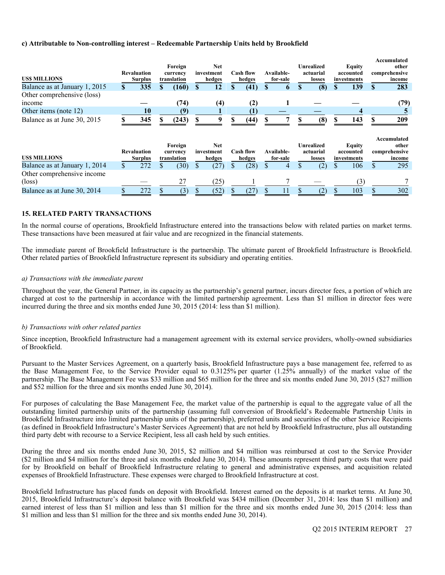#### **c) Attributable to Non-controlling interest – Redeemable Partnership Units held by Brookfield**

| <b>USS MILLIONS</b>                           |     | <b>Revaluation</b><br><b>Surplus</b> | Foreign<br>currency<br>translation |               | <b>Net</b><br>investment<br>hedges | <b>Cash flow</b><br>hedges | Available-<br>for-sale | <b>Unrealized</b><br>actuarial<br>losses | Equity<br>accounted<br>investments | Accumulated<br>other<br>comprehensive<br>income |
|-----------------------------------------------|-----|--------------------------------------|------------------------------------|---------------|------------------------------------|----------------------------|------------------------|------------------------------------------|------------------------------------|-------------------------------------------------|
| Balance as at January 1, 2015                 |     | 335                                  | (160)                              | <sup>\$</sup> | 12                                 | (41)                       | $\mathbf b$            | (8)                                      | 139                                | \$<br>283                                       |
| Other comprehensive (loss)<br>income          |     |                                      | (74)                               |               | (4)                                | (2)                        |                        |                                          |                                    | (79)                                            |
| Other items (note 12)                         |     | 10                                   | (9)                                |               |                                    | $\mathbf{I}$               |                        |                                          |                                    |                                                 |
| Balance as at June 30, 2015                   |     | 345                                  | (243)                              |               |                                    | (44)                       |                        | (8)                                      | 143                                | 209                                             |
| <b>USS MILLIONS</b>                           |     | <b>Revaluation</b><br><b>Surplus</b> | Foreign<br>currency<br>translation |               | <b>Net</b><br>investment<br>hedges | <b>Cash flow</b><br>hedges | Available-<br>for-sale | <b>Unrealized</b><br>actuarial<br>losses | Equity<br>accounted<br>investments | Accumulated<br>other<br>comprehensive<br>income |
| Balance as at January 1, 2014                 | \$. | 272                                  | (30)                               | \$.           | (27)                               | (28)                       |                        | (2)                                      | 106                                | \$<br>295                                       |
| Other comprehensive income<br>$(\text{loss})$ |     |                                      | 27                                 |               | (25)                               |                            |                        |                                          | (3)                                |                                                 |
| Balance as at June 30, 2014                   |     | 272                                  | (3)                                |               | (52)                               | (27)                       | 11                     | (2)                                      | 103                                | 302                                             |

# **15. RELATED PARTY TRANSACTIONS**

In the normal course of operations, Brookfield Infrastructure entered into the transactions below with related parties on market terms. These transactions have been measured at fair value and are recognized in the financial statements.

The immediate parent of Brookfield Infrastructure is the partnership. The ultimate parent of Brookfield Infrastructure is Brookfield. Other related parties of Brookfield Infrastructure represent its subsidiary and operating entities.

#### *a) Transactions with the immediate parent*

Throughout the year, the General Partner, in its capacity as the partnership's general partner, incurs director fees, a portion of which are charged at cost to the partnership in accordance with the limited partnership agreement. Less than \$1 million in director fees were incurred during the three and six months ended June 30, 2015 (2014: less than \$1 million).

#### *b) Transactions with other related parties*

Since inception, Brookfield Infrastructure had a management agreement with its external service providers, wholly-owned subsidiaries of Brookfield.

Pursuant to the Master Services Agreement, on a quarterly basis, Brookfield Infrastructure pays a base management fee, referred to as the Base Management Fee, to the Service Provider equal to 0.3125% per quarter (1.25% annually) of the market value of the partnership. The Base Management Fee was \$33 million and \$65 million for the three and six months ended June 30, 2015 (\$27 million and \$52 million for the three and six months ended June 30, 2014).

For purposes of calculating the Base Management Fee, the market value of the partnership is equal to the aggregate value of all the outstanding limited partnership units of the partnership (assuming full conversion of Brookfield's Redeemable Partnership Units in Brookfield Infrastructure into limited partnership units of the partnership), preferred units and securities of the other Service Recipients (as defined in Brookfield Infrastructure's Master Services Agreement) that are not held by Brookfield Infrastructure, plus all outstanding third party debt with recourse to a Service Recipient, less all cash held by such entities.

During the three and six months ended June 30, 2015, \$2 million and \$4 million was reimbursed at cost to the Service Provider (\$2 million and \$4 million for the three and six months ended June 30, 2014). These amounts represent third party costs that were paid for by Brookfield on behalf of Brookfield Infrastructure relating to general and administrative expenses, and acquisition related expenses of Brookfield Infrastructure. These expenses were charged to Brookfield Infrastructure at cost.

Brookfield Infrastructure has placed funds on deposit with Brookfield. Interest earned on the deposits is at market terms. At June 30, 2015, Brookfield Infrastructure's deposit balance with Brookfield was \$434 million (December 31, 2014: less than \$1 million) and earned interest of less than \$1 million and less than \$1 million for the three and six months ended June 30, 2015 (2014: less than \$1 million and less than \$1 million for the three and six months ended June 30, 2014).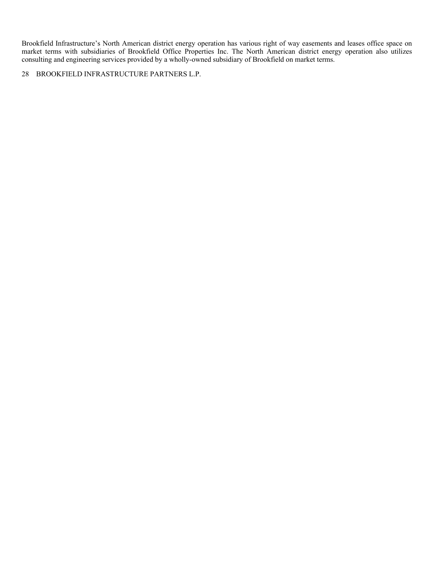Brookfield Infrastructure's North American district energy operation has various right of way easements and leases office space on market terms with subsidiaries of Brookfield Office Properties Inc. The North American district energy operation also utilizes consulting and engineering services provided by a wholly-owned subsidiary of Brookfield on market terms.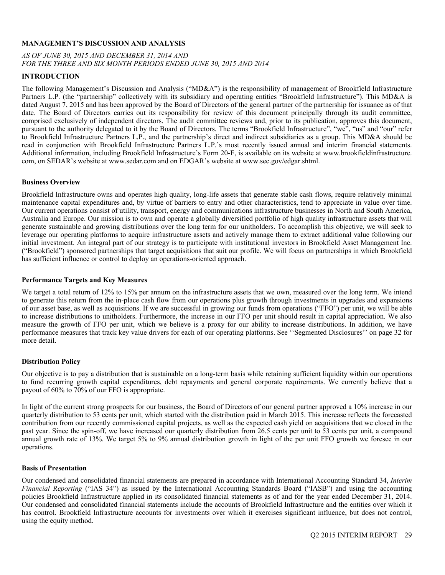#### **MANAGEMENT'S DISCUSSION AND ANALYSIS**

# *AS OF JUNE 30, 2015 AND DECEMBER 31, 2014 AND FOR THE THREE AND SIX MONTH PERIODS ENDED JUNE 30, 2015 AND 2014*

#### **INTRODUCTION**

The following Management's Discussion and Analysis ("MD&A") is the responsibility of management of Brookfield Infrastructure Partners L.P. (the "partnership" collectively with its subsidiary and operating entities "Brookfield Infrastructure"). This MD&A is dated August 7, 2015 and has been approved by the Board of Directors of the general partner of the partnership for issuance as of that date. The Board of Directors carries out its responsibility for review of this document principally through its audit committee, comprised exclusively of independent directors. The audit committee reviews and, prior to its publication, approves this document, pursuant to the authority delegated to it by the Board of Directors. The terms "Brookfield Infrastructure", "we", "us" and "our" refer to Brookfield Infrastructure Partners L.P., and the partnership's direct and indirect subsidiaries as a group. This MD&A should be read in conjunction with Brookfield Infrastructure Partners L.P.'s most recently issued annual and interim financial statements. Additional information, including Brookfield Infrastructure's Form 20-F, is available on its website at www.brookfieldinfrastructure. com, on SEDAR's website at www.sedar.com and on EDGAR's website at www.sec.gov/edgar.shtml.

#### **Business Overview**

Brookfield Infrastructure owns and operates high quality, long-life assets that generate stable cash flows, require relatively minimal maintenance capital expenditures and, by virtue of barriers to entry and other characteristics, tend to appreciate in value over time. Our current operations consist of utility, transport, energy and communications infrastructure businesses in North and South America, Australia and Europe. Our mission is to own and operate a globally diversified portfolio of high quality infrastructure assets that will generate sustainable and growing distributions over the long term for our unitholders. To accomplish this objective, we will seek to leverage our operating platforms to acquire infrastructure assets and actively manage them to extract additional value following our initial investment. An integral part of our strategy is to participate with institutional investors in Brookfield Asset Management Inc. ("Brookfield") sponsored partnerships that target acquisitions that suit our profile. We will focus on partnerships in which Brookfield has sufficient influence or control to deploy an operations-oriented approach.

#### **Performance Targets and Key Measures**

We target a total return of 12% to 15% per annum on the infrastructure assets that we own, measured over the long term. We intend to generate this return from the in-place cash flow from our operations plus growth through investments in upgrades and expansions of our asset base, as well as acquisitions. If we are successful in growing our funds from operations ("FFO") per unit, we will be able to increase distributions to unitholders. Furthermore, the increase in our FFO per unit should result in capital appreciation. We also measure the growth of FFO per unit, which we believe is a proxy for our ability to increase distributions. In addition, we have performance measures that track key value drivers for each of our operating platforms. See ''Segmented Disclosures'' on page 32 for more detail.

#### **Distribution Policy**

Our objective is to pay a distribution that is sustainable on a long-term basis while retaining sufficient liquidity within our operations to fund recurring growth capital expenditures, debt repayments and general corporate requirements. We currently believe that a payout of 60% to 70% of our FFO is appropriate.

In light of the current strong prospects for our business, the Board of Directors of our general partner approved a 10% increase in our quarterly distribution to 53 cents per unit, which started with the distribution paid in March 2015. This increase reflects the forecasted contribution from our recently commissioned capital projects, as well as the expected cash yield on acquisitions that we closed in the past year. Since the spin-off, we have increased our quarterly distribution from 26.5 cents per unit to 53 cents per unit, a compound annual growth rate of 13%. We target 5% to 9% annual distribution growth in light of the per unit FFO growth we foresee in our operations.

#### **Basis of Presentation**

Our condensed and consolidated financial statements are prepared in accordance with International Accounting Standard 34, *Interim Financial Reporting* ("IAS 34") as issued by the International Accounting Standards Board ("IASB") and using the accounting policies Brookfield Infrastructure applied in its consolidated financial statements as of and for the year ended December 31, 2014. Our condensed and consolidated financial statements include the accounts of Brookfield Infrastructure and the entities over which it has control. Brookfield Infrastructure accounts for investments over which it exercises significant influence, but does not control, using the equity method.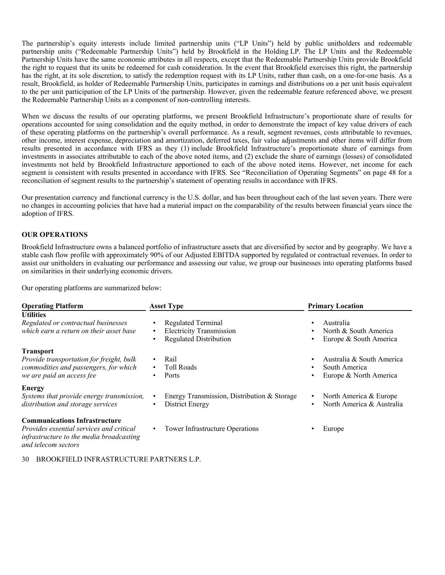The partnership's equity interests include limited partnership units ("LP Units") held by public unitholders and redeemable partnership units ("Redeemable Partnership Units") held by Brookfield in the Holding LP. The LP Units and the Redeemable Partnership Units have the same economic attributes in all respects, except that the Redeemable Partnership Units provide Brookfield the right to request that its units be redeemed for cash consideration. In the event that Brookfield exercises this right, the partnership has the right, at its sole discretion, to satisfy the redemption request with its LP Units, rather than cash, on a one-for-one basis. As a result, Brookfield, as holder of Redeemable Partnership Units, participates in earnings and distributions on a per unit basis equivalent to the per unit participation of the LP Units of the partnership. However, given the redeemable feature referenced above, we present the Redeemable Partnership Units as a component of non-controlling interests.

When we discuss the results of our operating platforms, we present Brookfield Infrastructure's proportionate share of results for operations accounted for using consolidation and the equity method, in order to demonstrate the impact of key value drivers of each of these operating platforms on the partnership's overall performance. As a result, segment revenues, costs attributable to revenues, other income, interest expense, depreciation and amortization, deferred taxes, fair value adjustments and other items will differ from results presented in accordance with IFRS as they (1) include Brookfield Infrastructure's proportionate share of earnings from investments in associates attributable to each of the above noted items, and (2) exclude the share of earnings (losses) of consolidated investments not held by Brookfield Infrastructure apportioned to each of the above noted items. However, net income for each segment is consistent with results presented in accordance with IFRS. See "Reconciliation of Operating Segments" on page 48 for a reconciliation of segment results to the partnership's statement of operating results in accordance with IFRS.

Our presentation currency and functional currency is the U.S. dollar, and has been throughout each of the last seven years. There were no changes in accounting policies that have had a material impact on the comparability of the results between financial years since the adoption of IFRS.

#### **OUR OPERATIONS**

Brookfield Infrastructure owns a balanced portfolio of infrastructure assets that are diversified by sector and by geography. We have a stable cash flow profile with approximately 90% of our Adjusted EBITDA supported by regulated or contractual revenues. In order to assist our unitholders in evaluating our performance and assessing our value, we group our businesses into operating platforms based on similarities in their underlying economic drivers.

Our operating platforms are summarized below:

| <b>Operating Platform</b>                                                                                                                                  | <b>Asset Type</b>                                                                                                            | <b>Primary Location</b>                                                       |  |  |  |  |
|------------------------------------------------------------------------------------------------------------------------------------------------------------|------------------------------------------------------------------------------------------------------------------------------|-------------------------------------------------------------------------------|--|--|--|--|
| <b>Utilities</b><br>Regulated or contractual businesses<br>which earn a return on their asset base                                                         | <b>Regulated Terminal</b><br>$\bullet$<br><b>Electricity Transmission</b><br>$\bullet$<br><b>Regulated Distribution</b><br>٠ | Australia<br>North & South America<br>Europe & South America<br>٠             |  |  |  |  |
| <b>Transport</b><br>Provide transportation for freight, bulk<br>commodities and passengers, for which<br>we are paid an access fee                         | Rail<br>$\bullet$<br><b>Toll Roads</b><br>$\bullet$<br>Ports<br>$\bullet$                                                    | Australia & South America<br>South America<br>Europe & North America          |  |  |  |  |
| <b>Energy</b><br>Systems that provide energy transmission,<br>distribution and storage services                                                            | Energy Transmission, Distribution & Storage<br>$\bullet$<br>District Energy<br>$\bullet$                                     | North America & Europe<br>$\bullet$<br>North America & Australia<br>$\bullet$ |  |  |  |  |
| <b>Communications Infrastructure</b><br><i>Provides essential services and critical</i><br>infrastructure to the media broadcasting<br>and telecom sectors | Tower Infrastructure Operations<br>$\bullet$                                                                                 | Europe                                                                        |  |  |  |  |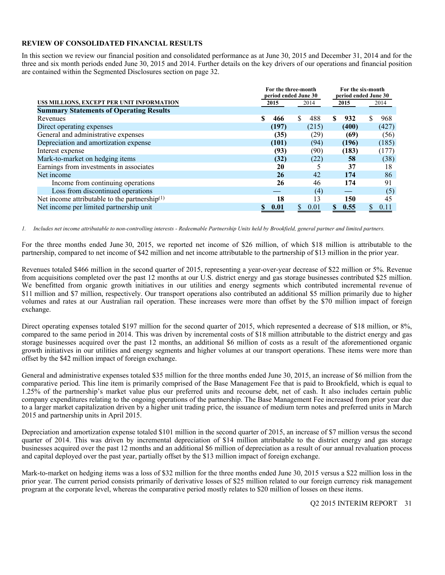#### **REVIEW OF CONSOLIDATED FINANCIAL RESULTS**

In this section we review our financial position and consolidated performance as at June 30, 2015 and December 31, 2014 and for the three and six month periods ended June 30, 2015 and 2014. Further details on the key drivers of our operations and financial position are contained within the Segmented Disclosures section on page 32.

|                                                           |           | For the three-month  |           | For the six-month    |
|-----------------------------------------------------------|-----------|----------------------|-----------|----------------------|
|                                                           |           | period ended June 30 |           | period ended June 30 |
| US\$ MILLIONS, EXCEPT PER UNIT INFORMATION                | 2015      | 2014                 | 2015      | 2014                 |
| <b>Summary Statements of Operating Results</b>            |           |                      |           |                      |
| Revenues                                                  | \$<br>466 | \$.<br>488           | \$<br>932 | 968                  |
| Direct operating expenses                                 | (197)     | (215)                | (400)     | (427)                |
| General and administrative expenses                       | (35)      | (29)                 | (69)      | (56)                 |
| Depreciation and amortization expense                     | (101)     | (94)                 | (196)     | (185)                |
| Interest expense                                          | (93)      | (90)                 | (183)     | (177)                |
| Mark-to-market on hedging items                           | (32)      | (22)                 | 58        | (38)                 |
| Earnings from investments in associates                   | 20        |                      | 37        | 18                   |
| Net income                                                | 26        | 42                   | 174       | 86                   |
| Income from continuing operations                         | 26        | 46                   | 174       | 91                   |
| Loss from discontinued operations                         |           | (4)                  |           | (5)                  |
| Net income attributable to the partnership <sup>(1)</sup> | 18        | 13                   | 150       | 45                   |
| Net income per limited partnership unit                   | 0.01      | 0.01                 | 0.55      | 0.11                 |

*1. Includes net income attributable to non-controlling interests - Redeemable Partnership Units held by Brookfield, general partner and limited partners.* 

For the three months ended June 30, 2015, we reported net income of \$26 million, of which \$18 million is attributable to the partnership, compared to net income of \$42 million and net income attributable to the partnership of \$13 million in the prior year.

Revenues totaled \$466 million in the second quarter of 2015, representing a year-over-year decrease of \$22 million or 5%. Revenue from acquisitions completed over the past 12 months at our U.S. district energy and gas storage businesses contributed \$25 million. We benefitted from organic growth initiatives in our utilities and energy segments which contributed incremental revenue of \$11 million and \$7 million, respectively. Our transport operations also contributed an additional \$5 million primarily due to higher volumes and rates at our Australian rail operation. These increases were more than offset by the \$70 million impact of foreign exchange.

Direct operating expenses totaled \$197 million for the second quarter of 2015, which represented a decrease of \$18 million, or 8%, compared to the same period in 2014. This was driven by incremental costs of \$18 million attributable to the district energy and gas storage businesses acquired over the past 12 months, an additional \$6 million of costs as a result of the aforementioned organic growth initiatives in our utilities and energy segments and higher volumes at our transport operations. These items were more than offset by the \$42 million impact of foreign exchange.

General and administrative expenses totaled \$35 million for the three months ended June 30, 2015, an increase of \$6 million from the comparative period. This line item is primarily comprised of the Base Management Fee that is paid to Brookfield, which is equal to 1.25% of the partnership's market value plus our preferred units and recourse debt, net of cash. It also includes certain public company expenditures relating to the ongoing operations of the partnership. The Base Management Fee increased from prior year due to a larger market capitalization driven by a higher unit trading price, the issuance of medium term notes and preferred units in March 2015 and partnership units in April 2015.

Depreciation and amortization expense totaled \$101 million in the second quarter of 2015, an increase of \$7 million versus the second quarter of 2014. This was driven by incremental depreciation of \$14 million attributable to the district energy and gas storage businesses acquired over the past 12 months and an additional \$6 million of depreciation as a result of our annual revaluation process and capital deployed over the past year, partially offset by the \$13 million impact of foreign exchange.

Mark-to-market on hedging items was a loss of \$32 million for the three months ended June 30, 2015 versus a \$22 million loss in the prior year. The current period consists primarily of derivative losses of \$25 million related to our foreign currency risk management program at the corporate level, whereas the comparative period mostly relates to \$20 million of losses on these items.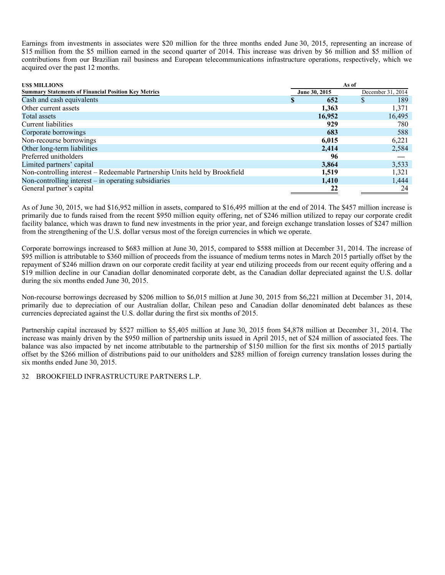Earnings from investments in associates were \$20 million for the three months ended June 30, 2015, representing an increase of \$15 million from the \$5 million earned in the second quarter of 2014. This increase was driven by \$6 million and \$5 million of contributions from our Brazilian rail business and European telecommunications infrastructure operations, respectively, which we acquired over the past 12 months.

| <b>USS MILLIONS</b>                                                        | As of    |               |   |                   |
|----------------------------------------------------------------------------|----------|---------------|---|-------------------|
| <b>Summary Statements of Financial Position Key Metrics</b>                |          | June 30, 2015 |   | December 31, 2014 |
| Cash and cash equivalents                                                  | <b>J</b> | 652           | S | 189               |
| Other current assets                                                       |          | 1,363         |   | 1,371             |
| Total assets                                                               |          | 16,952        |   | 16,495            |
| Current liabilities                                                        |          | 929           |   | 780               |
| Corporate borrowings                                                       |          | 683           |   | 588               |
| Non-recourse borrowings                                                    |          | 6,015         |   | 6,221             |
| Other long-term liabilities                                                |          | 2,414         |   | 2,584             |
| Preferred unitholders                                                      |          | 96            |   |                   |
| Limited partners' capital                                                  |          | 3,864         |   | 3,533             |
| Non-controlling interest - Redeemable Partnership Units held by Brookfield |          | 1,519         |   | 1,321             |
| Non-controlling interest $-$ in operating subsidiaries                     |          | 1,410         |   | 1,444             |
| General partner's capital                                                  |          | 22            |   | 24                |

As of June 30, 2015, we had \$16,952 million in assets, compared to \$16,495 million at the end of 2014. The \$457 million increase is primarily due to funds raised from the recent \$950 million equity offering, net of \$246 million utilized to repay our corporate credit facility balance, which was drawn to fund new investments in the prior year, and foreign exchange translation losses of \$247 million from the strengthening of the U.S. dollar versus most of the foreign currencies in which we operate.

Corporate borrowings increased to \$683 million at June 30, 2015, compared to \$588 million at December 31, 2014. The increase of \$95 million is attributable to \$360 million of proceeds from the issuance of medium terms notes in March 2015 partially offset by the repayment of \$246 million drawn on our corporate credit facility at year end utilizing proceeds from our recent equity offering and a \$19 million decline in our Canadian dollar denominated corporate debt, as the Canadian dollar depreciated against the U.S. dollar during the six months ended June 30, 2015.

Non-recourse borrowings decreased by \$206 million to \$6,015 million at June 30, 2015 from \$6,221 million at December 31, 2014, primarily due to depreciation of our Australian dollar, Chilean peso and Canadian dollar denominated debt balances as these currencies depreciated against the U.S. dollar during the first six months of 2015.

Partnership capital increased by \$527 million to \$5,405 million at June 30, 2015 from \$4,878 million at December 31, 2014. The increase was mainly driven by the \$950 million of partnership units issued in April 2015, net of \$24 million of associated fees. The balance was also impacted by net income attributable to the partnership of \$150 million for the first six months of 2015 partially offset by the \$266 million of distributions paid to our unitholders and \$285 million of foreign currency translation losses during the six months ended June 30, 2015.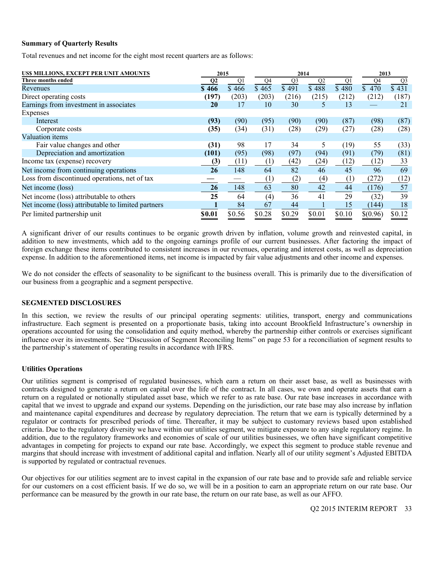#### **Summary of Quarterly Results**

Total revenues and net income for the eight most recent quarters are as follows:

| US\$ MILLIONS, EXCEPT PER UNIT AMOUNTS             | 2015<br>2014   |        |        |                |                |                |                | 2013           |
|----------------------------------------------------|----------------|--------|--------|----------------|----------------|----------------|----------------|----------------|
| Three months ended                                 | Q <sub>2</sub> | Q1     | Q4     | Q <sub>3</sub> | Q <sub>2</sub> | Q <sub>1</sub> | Q <sub>4</sub> | Q <sub>3</sub> |
| Revenues                                           | \$466          | \$466  | \$465  | \$491          | \$488          | \$480          | 470<br>\$      | \$431          |
| Direct operating costs                             | (197)          | (203)  | (203)  | (216)          | (215)          | (212)          | (212)          | (187)          |
| Earnings from investment in associates             | 20             | 17     | 10     | 30             | 5              | 13             |                | 21             |
| Expenses                                           |                |        |        |                |                |                |                |                |
| Interest                                           | (93)           | (90)   | (95)   | (90)           | (90)           | (87)           | (98)           | (87)           |
| Corporate costs                                    | (35)           | (34)   | (31)   | (28)           | (29)           | (27)           | (28)           | (28)           |
| Valuation items                                    |                |        |        |                |                |                |                |                |
| Fair value changes and other                       | (31)           | 98     | 17     | 34             | 5.             | (19)           | 55             | (33)           |
| Depreciation and amortization                      | (101)          | (95)   | (98)   | (97)           | (94)           | (91)           | (79)           | (81)           |
| Income tax (expense) recovery                      | (3)            | (11)   | (1)    | (42)           | (24)           | (12)           | (12)           | 33             |
| Net income from continuing operations              | 26             | 148    | 64     | 82             | 46             | 45             | 96             | 69             |
| Loss from discontinued operations, net of tax      |                |        | (1)    | (2)            | (4)            | (1)            | (272)          | (12)           |
| Net income (loss)                                  | 26             | 148    | 63     | 80             | 42             | 44             | (176)          | 57             |
| Net income (loss) attributable to others           | 25             | 64     | (4)    | 36             | 41             | 29             | (32)           | 39             |
| Net income (loss) attributable to limited partners |                | 84     | 67     | 44             |                | 15             | (144)          | 18             |
| Per limited partnership unit                       | \$0.01         | \$0.56 | \$0.28 | \$0.29         | \$0.01         | \$0.10         | \$(0.96)       | \$0.12         |

A significant driver of our results continues to be organic growth driven by inflation, volume growth and reinvested capital, in addition to new investments, which add to the ongoing earnings profile of our current businesses. After factoring the impact of foreign exchange these items contributed to consistent increases in our revenues, operating and interest costs, as well as depreciation expense. In addition to the aforementioned items, net income is impacted by fair value adjustments and other income and expenses.

We do not consider the effects of seasonality to be significant to the business overall. This is primarily due to the diversification of our business from a geographic and a segment perspective.

#### **SEGMENTED DISCLOSURES**

In this section, we review the results of our principal operating segments: utilities, transport, energy and communications infrastructure. Each segment is presented on a proportionate basis, taking into account Brookfield Infrastructure's ownership in operations accounted for using the consolidation and equity method, whereby the partnership either controls or exercises significant influence over its investments. See "Discussion of Segment Reconciling Items" on page 53 for a reconciliation of segment results to the partnership's statement of operating results in accordance with IFRS.

# **Utilities Operations**

Our utilities segment is comprised of regulated businesses, which earn a return on their asset base, as well as businesses with contracts designed to generate a return on capital over the life of the contract. In all cases, we own and operate assets that earn a return on a regulated or notionally stipulated asset base, which we refer to as rate base. Our rate base increases in accordance with capital that we invest to upgrade and expand our systems. Depending on the jurisdiction, our rate base may also increase by inflation and maintenance capital expenditures and decrease by regulatory depreciation. The return that we earn is typically determined by a regulator or contracts for prescribed periods of time. Thereafter, it may be subject to customary reviews based upon established criteria. Due to the regulatory diversity we have within our utilities segment, we mitigate exposure to any single regulatory regime. In addition, due to the regulatory frameworks and economies of scale of our utilities businesses, we often have significant competitive advantages in competing for projects to expand our rate base. Accordingly, we expect this segment to produce stable revenue and margins that should increase with investment of additional capital and inflation. Nearly all of our utility segment's Adjusted EBITDA is supported by regulated or contractual revenues.

Our objectives for our utilities segment are to invest capital in the expansion of our rate base and to provide safe and reliable service for our customers on a cost efficient basis. If we do so, we will be in a position to earn an appropriate return on our rate base. Our performance can be measured by the growth in our rate base, the return on our rate base, as well as our AFFO.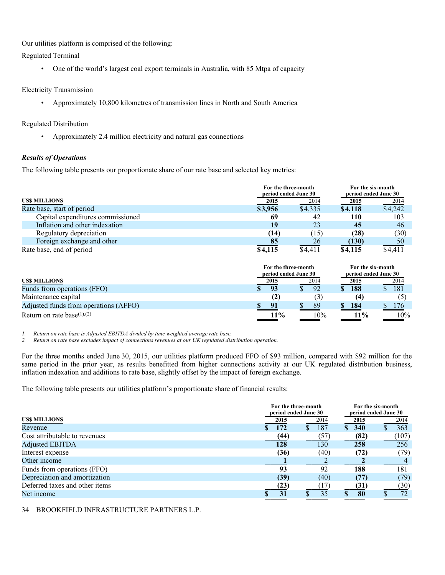Our utilities platform is comprised of the following:

Regulated Terminal

• One of the world's largest coal export terminals in Australia, with 85 Mtpa of capacity

# Electricity Transmission

• Approximately 10,800 kilometres of transmission lines in North and South America

# Regulated Distribution

• Approximately 2.4 million electricity and natural gas connections

# *Results of Operations*

The following table presents our proportionate share of our rate base and selected key metrics:

|                                   | For the three-month<br>period ended June 30 | For the six-month<br>period ended June 30 |         |         |
|-----------------------------------|---------------------------------------------|-------------------------------------------|---------|---------|
| <b>USS MILLIONS</b>               | 2015                                        | 2014                                      | 2015    | 2014    |
| Rate base, start of period        | \$3,956                                     | \$4,335                                   | \$4,118 | \$4,242 |
| Capital expenditures commissioned | 69                                          | 42                                        | 110     | 103     |
| Inflation and other indexation    | 19                                          | 23                                        | 45      | 46      |
| Regulatory depreciation           | (14)                                        | (15)                                      | (28)    | (30)    |
| Foreign exchange and other        | 85                                          | 26                                        | (130)   | 50      |
| Rate base, end of period          | \$4,115                                     | \$4.411                                   | \$4,115 | \$4,411 |

|                                       | For the three-month<br>period ended June 30 |  |      |  |        |  |      |
|---------------------------------------|---------------------------------------------|--|------|--|--------|--|------|
| <b>USS MILLIONS</b>                   | 2015                                        |  | 2014 |  | 2015   |  | 2014 |
| Funds from operations (FFO)           | 93                                          |  | 92   |  | 188    |  | 181  |
| Maintenance capital                   |                                             |  |      |  |        |  |      |
| Adjusted funds from operations (AFFO) | 91                                          |  | 89   |  | 184    |  | 176  |
| Return on rate base $(1),(2)$         | 11%                                         |  | 10%  |  | $11\%$ |  | 10%  |

*1. Return on rate base is Adjusted EBITDA divided by time weighted average rate base.* 

*2. Return on rate base excludes impact of connections revenues at our UK regulated distribution operation.* 

For the three months ended June 30, 2015, our utilities platform produced FFO of \$93 million, compared with \$92 million for the same period in the prior year, as results benefitted from higher connections activity at our UK regulated distribution business, inflation indexation and additions to rate base, slightly offset by the impact of foreign exchange.

The following table presents our utilities platform's proportionate share of financial results:

|                                | For the three-month<br>period ended June 30 |               | For the six-month<br>period ended June 30 |    |      |  |       |
|--------------------------------|---------------------------------------------|---------------|-------------------------------------------|----|------|--|-------|
| <b>USS MILLIONS</b>            | 2015                                        |               | 2014                                      |    | 2015 |  | 2014  |
| Revenue                        | 172                                         | <sup>\$</sup> | 187                                       | S. | 340  |  | 363   |
| Cost attributable to revenues  | (44)                                        |               | (57)                                      |    | (82) |  | (107) |
| <b>Adjusted EBITDA</b>         | 128                                         |               | 130                                       |    | 258  |  | 256   |
| Interest expense               | (36)                                        |               | (40)                                      |    | (72) |  | (79)  |
| Other income                   |                                             |               |                                           |    |      |  |       |
| Funds from operations (FFO)    | 93                                          |               | 92                                        |    | 188  |  | 181   |
| Depreciation and amortization  | (39)                                        |               | (40)                                      |    | (77) |  | (79)  |
| Deferred taxes and other items | (23)                                        |               | 17                                        |    | (31  |  | (30)  |
| Net income                     | 31                                          |               | 35                                        | ¢  | 80   |  | 72    |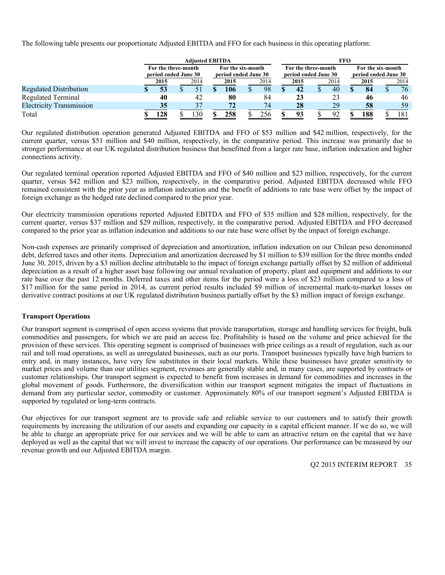The following table presents our proportionate Adjusted EBITDA and FFO for each business in this operating platform:

|                                 | <b>Adiusted EBITDA</b>                      |  |                 |                                           |      |  | <b>FFO</b> |                                             |      |  |                                           |  |      |  |      |
|---------------------------------|---------------------------------------------|--|-----------------|-------------------------------------------|------|--|------------|---------------------------------------------|------|--|-------------------------------------------|--|------|--|------|
|                                 | For the three-month<br>period ended June 30 |  |                 | For the six-month<br>period ended June 30 |      |  |            | For the three-month<br>period ended June 30 |      |  | For the six-month<br>period ended June 30 |  |      |  |      |
|                                 | 2015                                        |  | 2014            |                                           | 2015 |  | 2014       |                                             | 2015 |  | 2014                                      |  | 2015 |  | 2014 |
| <b>Regulated Distribution</b>   |                                             |  |                 |                                           | 106  |  | 98         |                                             | 42   |  | 40                                        |  | 84   |  | 76   |
| <b>Regulated Terminal</b>       | 40                                          |  | 42              |                                           | 80   |  | 84         |                                             | 23   |  | 23                                        |  | 46   |  | 46   |
| <b>Electricity Transmission</b> | 35                                          |  |                 |                                           | 72   |  | 74         |                                             | 28   |  | 29                                        |  | 58   |  | 59   |
| Total                           | 128                                         |  | $\overline{30}$ |                                           | 258  |  |            |                                             | 93   |  | $\Omega$                                  |  | 188  |  | 181  |

Our regulated distribution operation generated Adjusted EBITDA and FFO of \$53 million and \$42 million, respectively, for the current quarter, versus \$51 million and \$40 million, respectively, in the comparative period. This increase was primarily due to stronger performance at our UK regulated distribution business that benefitted from a larger rate base, inflation indexation and higher connections activity.

Our regulated terminal operation reported Adjusted EBITDA and FFO of \$40 million and \$23 million, respectively, for the current quarter, versus \$42 million and \$23 million, respectively, in the comparative period. Adjusted EBITDA decreased while FFO remained consistent with the prior year as inflation indexation and the benefit of additions to rate base were offset by the impact of foreign exchange as the hedged rate declined compared to the prior year.

Our electricity transmission operations reported Adjusted EBITDA and FFO of \$35 million and \$28 million, respectively, for the current quarter, versus \$37 million and \$29 million, respectively, in the comparative period. Adjusted EBITDA and FFO decreased compared to the prior year as inflation indexation and additions to our rate base were offset by the impact of foreign exchange.

Non-cash expenses are primarily comprised of depreciation and amortization, inflation indexation on our Chilean peso denominated debt, deferred taxes and other items. Depreciation and amortization decreased by \$1 million to \$39 million for the three months ended June 30, 2015, driven by a \$3 million decline attributable to the impact of foreign exchange partially offset by \$2 million of additional depreciation as a result of a higher asset base following our annual revaluation of property, plant and equipment and additions to our rate base over the past 12 months. Deferred taxes and other items for the period were a loss of \$23 million compared to a loss of \$17 million for the same period in 2014, as current period results included \$9 million of incremental mark-to-market losses on derivative contract positions at our UK regulated distribution business partially offset by the \$3 million impact of foreign exchange.

# **Transport Operations**

Our transport segment is comprised of open access systems that provide transportation, storage and handling services for freight, bulk commodities and passengers, for which we are paid an access fee. Profitability is based on the volume and price achieved for the provision of these services. This operating segment is comprised of businesses with price ceilings as a result of regulation, such as our rail and toll road operations, as well as unregulated businesses, such as our ports. Transport businesses typically have high barriers to entry and, in many instances, have very few substitutes in their local markets. While these businesses have greater sensitivity to market prices and volume than our utilities segment, revenues are generally stable and, in many cases, are supported by contracts or customer relationships. Our transport segment is expected to benefit from increases in demand for commodities and increases in the global movement of goods. Furthermore, the diversification within our transport segment mitigates the impact of fluctuations in demand from any particular sector, commodity or customer. Approximately 80% of our transport segment's Adjusted EBITDA is supported by regulated or long-term contracts.

Our objectives for our transport segment are to provide safe and reliable service to our customers and to satisfy their growth requirements by increasing the utilization of our assets and expanding our capacity in a capital efficient manner. If we do so, we will be able to charge an appropriate price for our services and we will be able to earn an attractive return on the capital that we have deployed as well as the capital that we will invest to increase the capacity of our operations. Our performance can be measured by our revenue growth and our Adjusted EBITDA margin.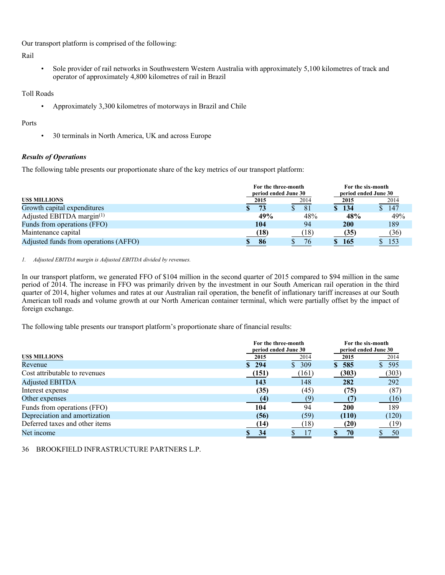Our transport platform is comprised of the following:

Rail

• Sole provider of rail networks in Southwestern Western Australia with approximately 5,100 kilometres of track and operator of approximately 4,800 kilometres of rail in Brazil

Toll Roads

• Approximately 3,300 kilometres of motorways in Brazil and Chile

# Ports

• 30 terminals in North America, UK and across Europe

# *Results of Operations*

The following table presents our proportionate share of the key metrics of our transport platform:

|                                       | For the three-month<br>period ended June 30 | For the six-month<br>period ended June 30 |            |      |
|---------------------------------------|---------------------------------------------|-------------------------------------------|------------|------|
| <b>USS MILLIONS</b>                   | 2015                                        | 2014                                      | 2015       | 2014 |
| Growth capital expenditures           | 73                                          | 81                                        | 134        | 147  |
| Adjusted EBITDA margin $(1)$          | 49%                                         | 48%                                       | 48%        | 49%  |
| Funds from operations (FFO)           | 104                                         | 94                                        | <b>200</b> | 189  |
| Maintenance capital                   | (18)                                        | (18)                                      | (35)       | (36) |
| Adjusted funds from operations (AFFO) | 86                                          | 76                                        | \$165      | 153  |

#### *1. Adjusted EBITDA margin is Adjusted EBITDA divided by revenues.*

In our transport platform, we generated FFO of \$104 million in the second quarter of 2015 compared to \$94 million in the same period of 2014. The increase in FFO was primarily driven by the investment in our South American rail operation in the third quarter of 2014, higher volumes and rates at our Australian rail operation, the benefit of inflationary tariff increases at our South American toll roads and volume growth at our North American container terminal, which were partially offset by the impact of foreign exchange.

The following table presents our transport platform's proportionate share of financial results:

|                                |       | For the three-month<br>period ended June 30 | For the six-month | period ended June 30 |
|--------------------------------|-------|---------------------------------------------|-------------------|----------------------|
| <b>USS MILLIONS</b>            | 2015  | 2014                                        | 2015              | 2014                 |
| Revenue                        | \$294 | \$309                                       | \$585             | \$595                |
| Cost attributable to revenues  | (151) | (161)                                       | (303)             | (303)                |
| <b>Adjusted EBITDA</b>         | 143   | 148                                         | 282               | 292                  |
| Interest expense               | (35)  | (45)                                        | (75)              | (87)                 |
| Other expenses                 | (4)   | 79                                          |                   | (16)                 |
| Funds from operations (FFO)    | 104   | 94                                          | 200               | 189                  |
| Depreciation and amortization  | (56)  | (59)                                        | (110)             | (120)                |
| Deferred taxes and other items | (14)  | (18)                                        | (20)              | (19)                 |
| Net income                     | 34    |                                             | 70                | 50                   |
|                                |       |                                             |                   |                      |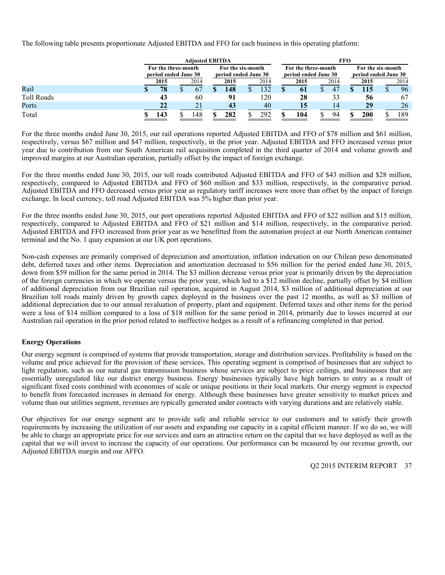The following table presents proportionate Adjusted EBITDA and FFO for each business in this operating platform:

|                   | <b>Adiusted EBITDA</b>                      |  |      |                                           |      |  | <b>FFO</b> |                                             |      |  |                                           |  |      |  |      |
|-------------------|---------------------------------------------|--|------|-------------------------------------------|------|--|------------|---------------------------------------------|------|--|-------------------------------------------|--|------|--|------|
|                   | For the three-month<br>period ended June 30 |  |      | For the six-month<br>period ended June 30 |      |  |            | For the three-month<br>period ended June 30 |      |  | For the six-month<br>period ended June 30 |  |      |  |      |
|                   | 2015                                        |  | 2014 |                                           | 2015 |  | 2014       |                                             | 2015 |  | 2014                                      |  | 2015 |  | 2014 |
| Rail              | 78                                          |  | 67   |                                           | 148  |  |            |                                             | 61   |  | 47                                        |  |      |  | 96   |
| <b>Toll Roads</b> | 43                                          |  | 60   |                                           | 91   |  | 120        |                                             | 28   |  | 33                                        |  | 56   |  | 67   |
| Ports             | 22                                          |  | 21   |                                           | 43   |  | 40         |                                             | 15   |  | 14                                        |  | 29   |  | 26   |
| Total             | 143                                         |  | 148  |                                           | 282  |  | 292        |                                             | 104  |  | -94                                       |  | 200  |  | 189  |

For the three months ended June 30, 2015, our rail operations reported Adjusted EBITDA and FFO of \$78 million and \$61 million, respectively, versus \$67 million and \$47 million, respectively, in the prior year. Adjusted EBITDA and FFO increased versus prior year due to contribution from our South American rail acquisition completed in the third quarter of 2014 and volume growth and improved margins at our Australian operation, partially offset by the impact of foreign exchange.

For the three months ended June 30, 2015, our toll roads contributed Adjusted EBITDA and FFO of \$43 million and \$28 million, respectively, compared to Adjusted EBITDA and FFO of \$60 million and \$33 million, respectively, in the comparative period. Adjusted EBITDA and FFO decreased versus prior year as regulatory tariff increases were more than offset by the impact of foreign exchange. In local currency, toll road Adjusted EBITDA was 5% higher than prior year.

For the three months ended June 30, 2015, our port operations reported Adjusted EBITDA and FFO of \$22 million and \$15 million, respectively, compared to Adjusted EBITDA and FFO of \$21 million and \$14 million, respectively, in the comparative period. Adjusted EBITDA and FFO increased from prior year as we benefitted from the automation project at our North American container terminal and the No. 1 quay expansion at our UK port operations.

Non-cash expenses are primarily comprised of depreciation and amortization, inflation indexation on our Chilean peso denominated debt, deferred taxes and other items. Depreciation and amortization decreased to \$56 million for the period ended June 30, 2015, down from \$59 million for the same period in 2014. The \$3 million decrease versus prior year is primarily driven by the depreciation of the foreign currencies in which we operate versus the prior year, which led to a \$12 million decline, partially offset by \$4 million of additional depreciation from our Brazilian rail operation, acquired in August 2014, \$3 million of additional depreciation at our Brazilian toll roads mainly driven by growth capex deployed in the business over the past 12 months, as well as \$3 million of additional depreciation due to our annual revaluation of property, plant and equipment. Deferred taxes and other items for the period were a loss of \$14 million compared to a loss of \$18 million for the same period in 2014, primarily due to losses incurred at our Australian rail operation in the prior period related to ineffective hedges as a result of a refinancing completed in that period.

# **Energy Operations**

Our energy segment is comprised of systems that provide transportation, storage and distribution services. Profitability is based on the volume and price achieved for the provision of these services. This operating segment is comprised of businesses that are subject to light regulation, such as our natural gas transmission business whose services are subject to price ceilings, and businesses that are essentially unregulated like our district energy business. Energy businesses typically have high barriers to entry as a result of significant fixed costs combined with economies of scale or unique positions in their local markets. Our energy segment is expected to benefit from forecasted increases in demand for energy. Although these businesses have greater sensitivity to market prices and volume than our utilities segment, revenues are typically generated under contracts with varying durations and are relatively stable.

Our objectives for our energy segment are to provide safe and reliable service to our customers and to satisfy their growth requirements by increasing the utilization of our assets and expanding our capacity in a capital efficient manner. If we do so, we will be able to charge an appropriate price for our services and earn an attractive return on the capital that we have deployed as well as the capital that we will invest to increase the capacity of our operations. Our performance can be measured by our revenue growth, our Adjusted EBITDA margin and our AFFO.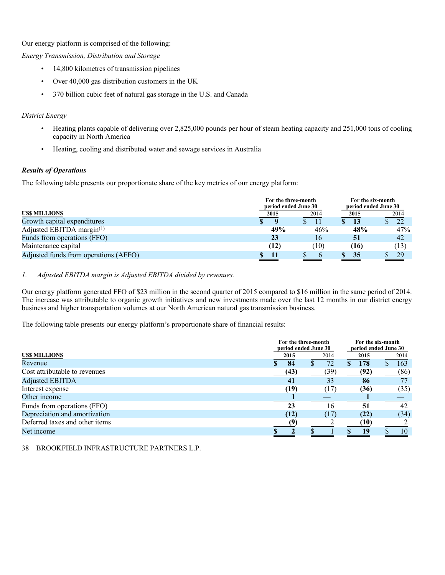Our energy platform is comprised of the following:

*Energy Transmission, Distribution and Storage* 

- 14,800 kilometres of transmission pipelines
- Over 40,000 gas distribution customers in the UK
- 370 billion cubic feet of natural gas storage in the U.S. and Canada

# *District Energy*

- Heating plants capable of delivering over 2,825,000 pounds per hour of steam heating capacity and 251,000 tons of cooling capacity in North America
- Heating, cooling and distributed water and sewage services in Australia

# *Results of Operations*

The following table presents our proportionate share of the key metrics of our energy platform:

|                                       | For the three-month<br>period ended June 30 |      | For the six-month<br>period ended June 30 |  |      |
|---------------------------------------|---------------------------------------------|------|-------------------------------------------|--|------|
| <b>USS MILLIONS</b>                   | 2015                                        | 2014 | 2015                                      |  | 2014 |
| Growth capital expenditures           |                                             |      | 13                                        |  | 22   |
| Adjusted EBITDA margin(1)             | 49%                                         | 46%  | 48%                                       |  | 47%  |
| Funds from operations (FFO)           | 23                                          | 16   | 51                                        |  | 42   |
| Maintenance capital                   | (12)                                        | (10) | (16)                                      |  | (13) |
| Adjusted funds from operations (AFFO) |                                             |      | 35                                        |  | 29   |

# *1. Adjusted EBITDA margin is Adjusted EBITDA divided by revenues.*

Our energy platform generated FFO of \$23 million in the second quarter of 2015 compared to \$16 million in the same period of 2014. The increase was attributable to organic growth initiatives and new investments made over the last 12 months in our district energy business and higher transportation volumes at our North American natural gas transmission business.

The following table presents our energy platform's proportionate share of financial results:

|                                |      | For the three-month  | For the six-month    |      |
|--------------------------------|------|----------------------|----------------------|------|
|                                |      | period ended June 30 | period ended June 30 |      |
| <b>USS MILLIONS</b>            | 2015 | 2014                 | 2015                 | 2014 |
| Revenue                        | 84   | 72                   | 178                  | 163  |
| Cost attributable to revenues  | (43) | (39)                 | (92)                 | (86) |
| <b>Adjusted EBITDA</b>         | 41   | 33                   | 86                   | 77   |
| Interest expense               | (19) | (17)                 | (36)                 | (35) |
| Other income                   |      |                      |                      |      |
| Funds from operations (FFO)    | 23   | 16                   | 51                   | 42   |
| Depreciation and amortization  | (12) | (17)                 | (22)                 | (34) |
| Deferred taxes and other items |      |                      | (10)                 |      |
| Net income                     |      |                      | 19                   | 10   |
|                                |      |                      |                      |      |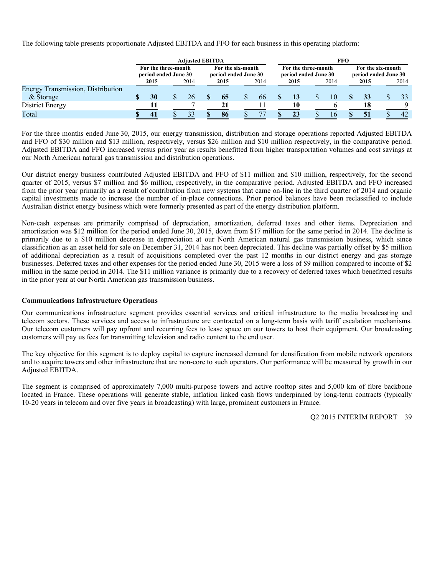The following table presents proportionate Adjusted EBITDA and FFO for each business in this operating platform:

| <b>Adiusted EBITDA</b> |  |      |                                             |      |      | FFO                                       |                                             |  |      |  |                                           |  |      |
|------------------------|--|------|---------------------------------------------|------|------|-------------------------------------------|---------------------------------------------|--|------|--|-------------------------------------------|--|------|
|                        |  |      |                                             |      |      |                                           | For the three-month<br>period ended June 30 |  |      |  | For the six-month<br>period ended June 30 |  |      |
| 2015                   |  | 2014 |                                             | 2015 | 2014 |                                           | 2015                                        |  | 2014 |  | 2015                                      |  | 2014 |
|                        |  |      |                                             |      |      |                                           |                                             |  |      |  |                                           |  |      |
| 30                     |  | 26   |                                             | 65   | 66   |                                           |                                             |  | 10   |  | 33                                        |  | 33   |
|                        |  |      |                                             |      |      |                                           | 10                                          |  |      |  | 18                                        |  |      |
| 41                     |  | 33   |                                             | 86   |      |                                           | 23                                          |  | 16   |  | 51                                        |  | 42   |
|                        |  |      | For the three-month<br>period ended June 30 |      |      | For the six-month<br>period ended June 30 |                                             |  |      |  |                                           |  |      |

For the three months ended June 30, 2015, our energy transmission, distribution and storage operations reported Adjusted EBITDA and FFO of \$30 million and \$13 million, respectively, versus \$26 million and \$10 million respectively, in the comparative period. Adjusted EBITDA and FFO increased versus prior year as results benefitted from higher transportation volumes and cost savings at our North American natural gas transmission and distribution operations.

Our district energy business contributed Adjusted EBITDA and FFO of \$11 million and \$10 million, respectively, for the second quarter of 2015, versus \$7 million and \$6 million, respectively, in the comparative period. Adjusted EBITDA and FFO increased from the prior year primarily as a result of contribution from new systems that came on-line in the third quarter of 2014 and organic capital investments made to increase the number of in-place connections. Prior period balances have been reclassified to include Australian district energy business which were formerly presented as part of the energy distribution platform.

Non-cash expenses are primarily comprised of depreciation, amortization, deferred taxes and other items. Depreciation and amortization was \$12 million for the period ended June 30, 2015, down from \$17 million for the same period in 2014. The decline is primarily due to a \$10 million decrease in depreciation at our North American natural gas transmission business, which since classification as an asset held for sale on December 31, 2014 has not been depreciated. This decline was partially offset by \$5 million of additional depreciation as a result of acquisitions completed over the past 12 months in our district energy and gas storage businesses. Deferred taxes and other expenses for the period ended June 30, 2015 were a loss of \$9 million compared to income of \$2 million in the same period in 2014. The \$11 million variance is primarily due to a recovery of deferred taxes which benefitted results in the prior year at our North American gas transmission business.

#### **Communications Infrastructure Operations**

Our communications infrastructure segment provides essential services and critical infrastructure to the media broadcasting and telecom sectors. These services and access to infrastructure are contracted on a long-term basis with tariff escalation mechanisms. Our telecom customers will pay upfront and recurring fees to lease space on our towers to host their equipment. Our broadcasting customers will pay us fees for transmitting television and radio content to the end user.

The key objective for this segment is to deploy capital to capture increased demand for densification from mobile network operators and to acquire towers and other infrastructure that are non-core to such operators. Our performance will be measured by growth in our Adjusted EBITDA.

The segment is comprised of approximately 7,000 multi-purpose towers and active rooftop sites and 5,000 km of fibre backbone located in France. These operations will generate stable, inflation linked cash flows underpinned by long-term contracts (typically 10-20 years in telecom and over five years in broadcasting) with large, prominent customers in France.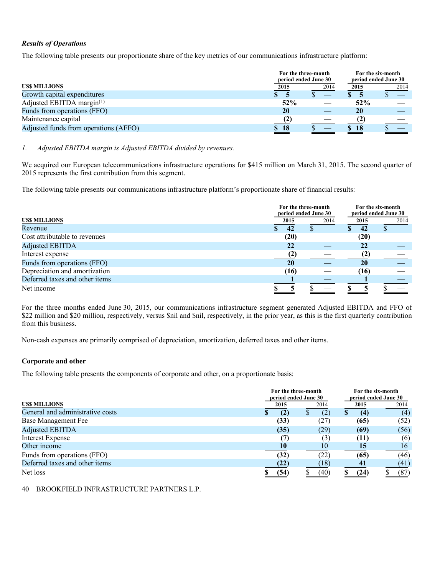# *Results of Operations*

The following table presents our proportionate share of the key metrics of our communications infrastructure platform:

|                                       |      | For the three-month<br>period ended June 30 |      | For the six-month<br>period ended June 30 |
|---------------------------------------|------|---------------------------------------------|------|-------------------------------------------|
| <b>USS MILLIONS</b>                   | 2015 | 2014                                        | 2015 | 2014                                      |
| Growth capital expenditures           |      |                                             |      |                                           |
| Adjusted EBITDA margin $(1)$          | 52%  |                                             | 52%  |                                           |
| Funds from operations (FFO)           | 20   |                                             | 20   |                                           |
| Maintenance capital                   | (2)  |                                             |      |                                           |
| Adjusted funds from operations (AFFO) | \$18 |                                             | \$18 |                                           |
|                                       |      |                                             |      |                                           |

# *1. Adjusted EBITDA margin is Adjusted EBITDA divided by revenues.*

We acquired our European telecommunications infrastructure operations for \$415 million on March 31, 2015. The second quarter of 2015 represents the first contribution from this segment.

The following table presents our communications infrastructure platform's proportionate share of financial results:

|                                |      | For the three-month<br>period ended June 30 |      | For the six-month<br>period ended June 30 |
|--------------------------------|------|---------------------------------------------|------|-------------------------------------------|
| <b>USS MILLIONS</b>            | 2015 | 2014                                        |      | 2014                                      |
| Revenue                        | 42   |                                             | 42   |                                           |
| Cost attributable to revenues  | (20) |                                             | (20) |                                           |
| <b>Adjusted EBITDA</b>         | 22   |                                             | 22   |                                           |
| Interest expense               | (2)  |                                             | (2)  |                                           |
| Funds from operations (FFO)    | 20   |                                             | 20   |                                           |
| Depreciation and amortization  | (16) |                                             | (16) |                                           |
| Deferred taxes and other items |      |                                             |      |                                           |
| Net income                     |      |                                             |      |                                           |

For the three months ended June 30, 2015, our communications infrastructure segment generated Adjusted EBITDA and FFO of \$22 million and \$20 million, respectively, versus \$nil and \$nil, respectively, in the prior year, as this is the first quarterly contribution from this business.

Non-cash expenses are primarily comprised of depreciation, amortization, deferred taxes and other items.

# **Corporate and other**

The following table presents the components of corporate and other, on a proportionate basis:

|                                  |      | For the three-month<br>period ended June 30 |          | For the six-month<br>period ended June 30 |
|----------------------------------|------|---------------------------------------------|----------|-------------------------------------------|
| <b>USS MILLIONS</b>              |      | 2014<br>2015                                | 2015     | 2014                                      |
| General and administrative costs | (2)  | (2)                                         | S<br>(4) | (4)                                       |
| Base Management Fee              | (33) | 27                                          | (65)     | (52)                                      |
| <b>Adjusted EBITDA</b>           | (35) | (29)                                        | (69)     | (56)                                      |
| <b>Interest Expense</b>          | (7   | (3)                                         | (11)     | (6)                                       |
| Other income                     | 10   | 10                                          | 15       | 16                                        |
| Funds from operations (FFO)      | (32) | (22)                                        | (65)     | (46)                                      |
| Deferred taxes and other items   | (22) | (18)                                        | 41       | (41)                                      |
| Net loss                         | (54) | (40)                                        | (24)     | (87)                                      |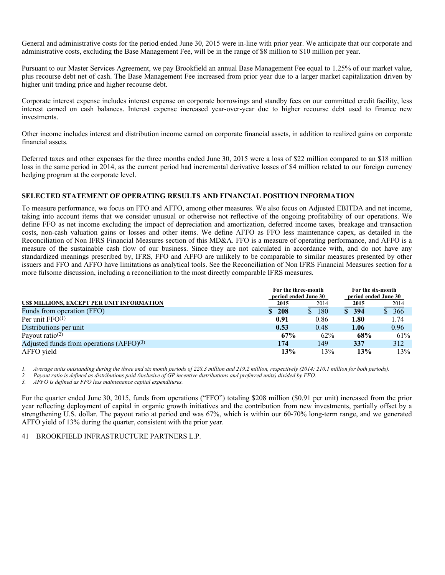General and administrative costs for the period ended June 30, 2015 were in-line with prior year. We anticipate that our corporate and administrative costs, excluding the Base Management Fee, will be in the range of \$8 million to \$10 million per year.

Pursuant to our Master Services Agreement, we pay Brookfield an annual Base Management Fee equal to 1.25% of our market value, plus recourse debt net of cash. The Base Management Fee increased from prior year due to a larger market capitalization driven by higher unit trading price and higher recourse debt.

Corporate interest expense includes interest expense on corporate borrowings and standby fees on our committed credit facility, less interest earned on cash balances. Interest expense increased year-over-year due to higher recourse debt used to finance new investments.

Other income includes interest and distribution income earned on corporate financial assets, in addition to realized gains on corporate financial assets.

Deferred taxes and other expenses for the three months ended June 30, 2015 were a loss of \$22 million compared to an \$18 million loss in the same period in 2014, as the current period had incremental derivative losses of \$4 million related to our foreign currency hedging program at the corporate level.

#### **SELECTED STATEMENT OF OPERATING RESULTS AND FINANCIAL POSITION INFORMATION**

To measure performance, we focus on FFO and AFFO, among other measures. We also focus on Adjusted EBITDA and net income, taking into account items that we consider unusual or otherwise not reflective of the ongoing profitability of our operations. We define FFO as net income excluding the impact of depreciation and amortization, deferred income taxes, breakage and transaction costs, non-cash valuation gains or losses and other items. We define AFFO as FFO less maintenance capex, as detailed in the Reconciliation of Non IFRS Financial Measures section of this MD&A. FFO is a measure of operating performance, and AFFO is a measure of the sustainable cash flow of our business. Since they are not calculated in accordance with, and do not have any standardized meanings prescribed by, IFRS, FFO and AFFO are unlikely to be comparable to similar measures presented by other issuers and FFO and AFFO have limitations as analytical tools. See the Reconciliation of Non IFRS Financial Measures section for a more fulsome discussion, including a reconciliation to the most directly comparable IFRS measures.

|                                            | For the three-month<br>period ended June 30 | For the six-month<br>period ended June 30 |                   |       |
|--------------------------------------------|---------------------------------------------|-------------------------------------------|-------------------|-------|
| US\$ MILLIONS, EXCEPT PER UNIT INFORMATION | 2015                                        | 2014                                      | 2015              | 2014  |
| Funds from operation (FFO)                 | \$208                                       | 180<br><sup>S</sup>                       | $\frac{1}{2}$ 394 | \$366 |
| Per unit $FFO(1)$                          | 0.91                                        | 0.86                                      | 1.80              | 1.74  |
| Distributions per unit                     | 0.53                                        | 0.48                                      | 1.06              | 0.96  |
| Payout ratio $(2)$                         | 67%                                         | 62%                                       | 68%               | 61%   |
| Adjusted funds from operations $(AFFO)(3)$ | 174                                         | 149                                       | 337               | 312   |
| AFFO yield                                 | 13%                                         | 13%                                       | 13%               | 13%   |

*1. Average units outstanding during the three and six month periods of 228.3 million and 219.2 million, respectively (2014: 210.1 million for both periods).* 

*2. Payout ratio is defined as distributions paid (inclusive of GP incentive distributions and preferred units) divided by FFO.* 

*3. AFFO is defined as FFO less maintenance capital expenditures.* 

For the quarter ended June 30, 2015, funds from operations ("FFO") totaling \$208 million (\$0.91 per unit) increased from the prior year reflecting deployment of capital in organic growth initiatives and the contribution from new investments, partially offset by a strengthening U.S. dollar. The payout ratio at period end was 67%, which is within our 60-70% long-term range, and we generated AFFO yield of 13% during the quarter, consistent with the prior year.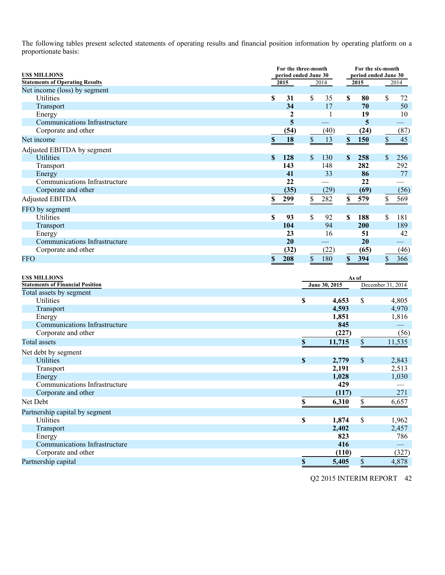The following tables present selected statements of operating results and financial position information by operating platform on a proportionate basis:

| For the three-month<br><b>US\$ MILLIONS</b><br>period ended June 30<br><b>Statements of Operating Results</b><br>2015 |                    |      |                           |               |               | For the six-month<br>2015 |                         | period ended June 30<br>2014 |  |
|-----------------------------------------------------------------------------------------------------------------------|--------------------|------|---------------------------|---------------|---------------|---------------------------|-------------------------|------------------------------|--|
| Net income (loss) by segment                                                                                          |                    |      |                           | 2014          |               |                           |                         |                              |  |
| Utilities                                                                                                             | \$                 | 31   | \$                        | 35            | \$            | 80                        | \$                      | 72                           |  |
| Transport                                                                                                             |                    | 34   |                           | 17            |               | 70                        |                         | 50                           |  |
| Energy                                                                                                                |                    | 2    |                           |               |               | 19                        |                         | 10                           |  |
| Communications Infrastructure                                                                                         |                    | 5    |                           |               |               | 5                         |                         |                              |  |
| Corporate and other                                                                                                   |                    | (54) |                           | (40)          |               | (24)                      |                         | (87)                         |  |
| Net income                                                                                                            | $\pmb{\mathbb{S}}$ | 18   | $\boldsymbol{\mathsf{S}}$ | 13            | $\mathbb S$   | 150                       | $\mathbb S$             | 45                           |  |
| Adjusted EBITDA by segment                                                                                            |                    |      |                           |               |               |                           |                         |                              |  |
| <b>Utilities</b>                                                                                                      | $\mathbf S$        | 128  | \$                        | 130           | <sup>\$</sup> | 258                       | \$                      | 256                          |  |
| Transport                                                                                                             |                    | 143  |                           | 148           |               | 282                       |                         | 292                          |  |
| Energy                                                                                                                |                    | 41   |                           | 33            |               | 86                        |                         | 77                           |  |
| Communications Infrastructure                                                                                         |                    | 22   |                           |               |               | 22                        |                         |                              |  |
| Corporate and other                                                                                                   |                    | (35) |                           | (29)          |               | (69)                      |                         | (56)                         |  |
| <b>Adjusted EBITDA</b>                                                                                                | \$                 | 299  | \$                        | 282           | \$            | 579                       | $\overline{\mathbf{z}}$ | 569                          |  |
| FFO by segment                                                                                                        |                    |      |                           |               |               |                           |                         |                              |  |
| Utilities                                                                                                             | \$                 | 93   | \$                        | 92            | S             | 188                       | \$                      | 181                          |  |
| Transport                                                                                                             |                    | 104  |                           | 94            |               | 200                       |                         | 189                          |  |
| Energy                                                                                                                |                    | 23   |                           | 16            |               | 51                        |                         | 42                           |  |
| Communications Infrastructure                                                                                         |                    | 20   |                           |               |               | 20                        |                         |                              |  |
| Corporate and other                                                                                                   |                    | (32) |                           | (22)          |               | (65)                      |                         | (46)                         |  |
| FFO                                                                                                                   | $\$$               | 208  | $\$$                      | 180           | $\mathbb S$   | 394                       | $\mathbb S$             | 366                          |  |
|                                                                                                                       |                    |      |                           |               |               |                           |                         |                              |  |
|                                                                                                                       |                    |      |                           |               |               |                           |                         |                              |  |
| <b>USS MILLIONS</b><br><b>Statements of Financial Position</b>                                                        |                    |      |                           |               |               | As of                     |                         |                              |  |
| Total assets by segment                                                                                               |                    |      |                           | June 30, 2015 |               |                           | December 31, 2014       |                              |  |
| Utilities                                                                                                             |                    |      | \$                        |               | 4,653         | \$                        |                         | 4,805                        |  |
| Transport                                                                                                             |                    |      |                           |               | 4,593         |                           |                         | 4,970                        |  |
| Energy                                                                                                                |                    |      |                           |               | 1,851         |                           |                         | 1,816                        |  |
| Communications Infrastructure                                                                                         |                    |      |                           |               | 845           |                           |                         |                              |  |
| Corporate and other                                                                                                   |                    |      |                           |               | (227)         |                           |                         | (56)                         |  |
| Total assets                                                                                                          |                    |      | \$                        |               | 11,715        | \$                        |                         | 11,535                       |  |
|                                                                                                                       |                    |      |                           |               |               |                           |                         |                              |  |
| Net debt by segment                                                                                                   |                    |      |                           |               |               |                           |                         |                              |  |
| <b>Utilities</b>                                                                                                      |                    |      | $\mathbb S$               |               | 2,779         | $\$$                      |                         | 2,843                        |  |
| Transport                                                                                                             |                    |      |                           |               | 2,191         |                           |                         | 2,513                        |  |
| Energy<br>Communications Infrastructure                                                                               |                    |      |                           |               | 1,028<br>429  |                           |                         | 1,030                        |  |
| Corporate and other                                                                                                   |                    |      |                           |               | (117)         |                           |                         | 271                          |  |
|                                                                                                                       |                    |      |                           |               |               |                           |                         |                              |  |
| Net Debt                                                                                                              |                    |      | $\mathbb S$               |               | 6,310         | \$                        |                         | 6,657                        |  |
| Partnership capital by segment                                                                                        |                    |      |                           |               |               |                           |                         |                              |  |
| Utilities                                                                                                             |                    |      | $\overline{\mathbb{S}}$   |               | 1,874         | $\overline{\mathbb{S}}$   |                         | 1,962                        |  |
| Transport                                                                                                             |                    |      |                           |               | 2,402         |                           |                         | 2,457                        |  |
| Energy                                                                                                                |                    |      |                           |               | 823           |                           |                         | 786                          |  |
| Communications Infrastructure                                                                                         |                    |      |                           |               | 416           |                           |                         |                              |  |
| Corporate and other                                                                                                   |                    |      |                           |               | (110)         |                           |                         | (327)                        |  |

**Partnership capital 8** 5,405 **\$** 4,878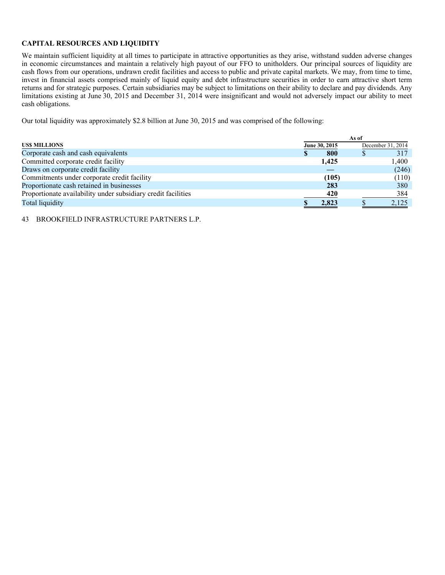# **CAPITAL RESOURCES AND LIQUIDITY**

We maintain sufficient liquidity at all times to participate in attractive opportunities as they arise, withstand sudden adverse changes in economic circumstances and maintain a relatively high payout of our FFO to unitholders. Our principal sources of liquidity are cash flows from our operations, undrawn credit facilities and access to public and private capital markets. We may, from time to time, invest in financial assets comprised mainly of liquid equity and debt infrastructure securities in order to earn attractive short term returns and for strategic purposes. Certain subsidiaries may be subject to limitations on their ability to declare and pay dividends. Any limitations existing at June 30, 2015 and December 31, 2014 were insignificant and would not adversely impact our ability to meet cash obligations.

Our total liquidity was approximately \$2.8 billion at June 30, 2015 and was comprised of the following:

| As of         |       |  |                   |  |  |
|---------------|-------|--|-------------------|--|--|
| June 30, 2015 |       |  | December 31, 2014 |  |  |
|               | 800   |  | 317               |  |  |
|               | 1,425 |  | 1.400             |  |  |
|               |       |  | (246)             |  |  |
|               | (105) |  | (110)             |  |  |
|               | 283   |  | 380               |  |  |
|               | 420   |  | 384               |  |  |
|               | 2,823 |  | 2,125             |  |  |
|               |       |  |                   |  |  |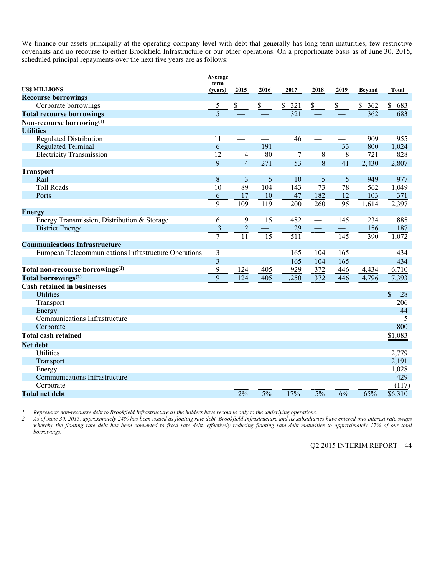We finance our assets principally at the operating company level with debt that generally has long-term maturities, few restrictive covenants and no recourse to either Brookfield Infrastructure or our other operations. On a proportionate basis as of June 30, 2015, scheduled principal repayments over the next five years are as follows:

|                                                       | Average         |                  |                          |                  |                  |                          |           |           |
|-------------------------------------------------------|-----------------|------------------|--------------------------|------------------|------------------|--------------------------|-----------|-----------|
| US\$ MILLIONS                                         | term<br>(years) | 2015             | 2016                     | 2017             | 2018             | 2019                     | Beyond    | Total     |
| <b>Recourse borrowings</b>                            |                 |                  |                          |                  |                  |                          |           |           |
| Corporate borrowings                                  | 5               |                  | $s-$                     | \$321            | <u>s—</u>        | $s-$                     | \$<br>362 | \$<br>683 |
| <b>Total recourse borrowings</b>                      | $\overline{5}$  |                  |                          | $\overline{321}$ |                  |                          | 362       | 683       |
| Non-recourse borrowing <sup>(1)</sup>                 |                 |                  |                          |                  |                  |                          |           |           |
| <b>Utilities</b>                                      |                 |                  |                          |                  |                  |                          |           |           |
| <b>Regulated Distribution</b>                         | 11              |                  |                          | 46               |                  |                          | 909       | 955       |
| <b>Regulated Terminal</b>                             | 6               | $\equiv$         | 191                      |                  | ш,               | 33                       | 800       | 1,024     |
| <b>Electricity Transmission</b>                       | 12              |                  | 80                       | 7                |                  | 8                        | 721       | 828       |
|                                                       | 9               | $\frac{4}{4}$    | $\overline{271}$         | $\overline{53}$  | $\frac{8}{8}$    | 41                       | 2,430     | 2,807     |
| <b>Transport</b>                                      |                 |                  |                          |                  |                  |                          |           |           |
| Rail                                                  | 8               | 3                | 5                        | 10               | 5                | 5                        | 949       | 977       |
| <b>Toll Roads</b>                                     | 10              | 89               | 104                      | 143              | 73               | 78                       | 562       | 1,049     |
| Ports                                                 | 6               | 17               | 10                       | 47               | 182              | 12                       | 103       | 371       |
|                                                       | 9               | $\overline{109}$ | 119                      | 200              | 260              | $\overline{95}$          | 1,614     | 2,397     |
| <b>Energy</b>                                         |                 |                  |                          |                  |                  |                          |           |           |
| Energy Transmission, Distribution & Storage           | 6               | 9                | 15                       | 482              |                  | 145                      | 234       | 885       |
| <b>District Energy</b>                                | 13              | $\overline{c}$   | $\overline{\phantom{0}}$ | 29               |                  | $\overline{\phantom{m}}$ | 156       | 187       |
|                                                       | $\overline{7}$  | 11               | 15                       | 511              | $\frac{1}{1}$    | 145                      | 390       | 1,072     |
| <b>Communications Infrastructure</b>                  |                 |                  |                          |                  |                  |                          |           |           |
| European Telecommunications Infrastructure Operations | 3               |                  |                          | 165              | 104              | 165                      |           | 434       |
|                                                       | $\overline{3}$  |                  |                          | $\overline{165}$ | $\overline{104}$ | $\overline{165}$         |           | 434       |
| Total non-recourse borrowings <sup>(1)</sup>          | 9               | 124              | 405                      | 929              | 372              | 446                      | 4,434     | 6,710     |
| Total borrowings <sup>(2)</sup>                       | 9               | 124              | 405                      | 1,250            | $\overline{372}$ | 446                      | 4,796     | 7,393     |
| <b>Cash retained in businesses</b>                    |                 |                  |                          |                  |                  |                          |           |           |
| <b>Utilities</b>                                      |                 |                  |                          |                  |                  |                          |           | \$<br>28  |
| Transport                                             |                 |                  |                          |                  |                  |                          |           | 206       |
| Energy                                                |                 |                  |                          |                  |                  |                          |           | 44        |
| Communications Infrastructure                         |                 |                  |                          |                  |                  |                          |           | 5         |
| Corporate                                             |                 |                  |                          |                  |                  |                          |           | 800       |
| <b>Total cash retained</b>                            |                 |                  |                          |                  |                  |                          |           | \$1,083   |
| <b>Net debt</b>                                       |                 |                  |                          |                  |                  |                          |           |           |
| Utilities                                             |                 |                  |                          |                  |                  |                          |           | 2,779     |
| Transport                                             |                 |                  |                          |                  |                  |                          |           | 2,191     |
| Energy                                                |                 |                  |                          |                  |                  |                          |           | 1,028     |
| Communications Infrastructure                         |                 |                  |                          |                  |                  |                          |           | 429       |
| Corporate                                             |                 |                  |                          |                  |                  |                          |           | (117)     |
| <b>Total net debt</b>                                 |                 | 2%               | 5%                       | 17%              | 5%               | 6%                       | 65%       | \$6,310   |
|                                                       |                 |                  |                          |                  |                  |                          |           |           |

*1. Represents non-recourse debt to Brookfield Infrastructure as the holders have recourse only to the underlying operations.* 

*2. As of June 30, 2015, approximately 24% has been issued as floating rate debt. Brookfield Infrastructure and its subsidiaries have entered into interest rate swaps whereby the floating rate debt has been converted to fixed rate debt, effectively reducing floating rate debt maturities to approximately 17% of our total borrowings.*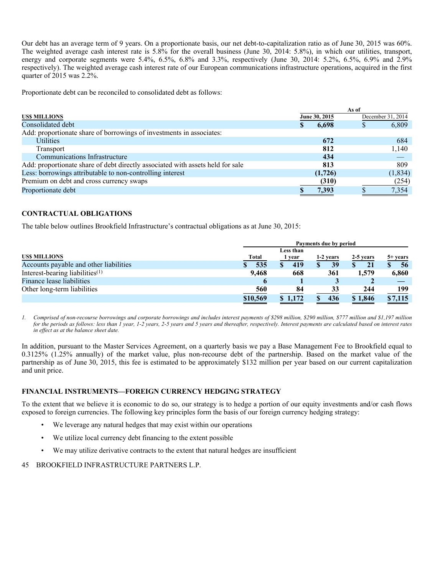Our debt has an average term of 9 years. On a proportionate basis, our net debt-to-capitalization ratio as of June 30, 2015 was 60%. The weighted average cash interest rate is 5.8% for the overall business (June 30, 2014: 5.8%), in which our utilities, transport, energy and corporate segments were 5.4%, 6.5%, 6.8% and 3.3%, respectively (June 30, 2014: 5.2%, 6.5%, 6.9% and 2.9% respectively). The weighted average cash interest rate of our European communications infrastructure operations, acquired in the first quarter of 2015 was 2.2%.

Proportionate debt can be reconciled to consolidated debt as follows:

|                                                                                | As of         |         |   |                   |  |
|--------------------------------------------------------------------------------|---------------|---------|---|-------------------|--|
| <b>USS MILLIONS</b>                                                            | June 30, 2015 |         |   | December 31, 2014 |  |
| Consolidated debt                                                              | S             | 6,698   | D | 6,809             |  |
| Add: proportionate share of borrowings of investments in associates:           |               |         |   |                   |  |
| <b>Utilities</b>                                                               |               | 672     |   | 684               |  |
| Transport                                                                      |               | 812     |   | 1,140             |  |
| Communications Infrastructure                                                  |               | 434     |   |                   |  |
| Add: proportionate share of debt directly associated with assets held for sale |               | 813     |   | 809               |  |
| Less: borrowings attributable to non-controlling interest                      |               | (1,726) |   | (1, 834)          |  |
| Premium on debt and cross currency swaps                                       |               | (310)   |   | (254)             |  |
| Proportionate debt                                                             |               | 7,393   |   | 7,354             |  |

# **CONTRACTUAL OBLIGATIONS**

The table below outlines Brookfield Infrastructure's contractual obligations as at June 30, 2015:

|                                        | Payments due by period |           |           |           |                |  |  |  |  |  |
|----------------------------------------|------------------------|-----------|-----------|-----------|----------------|--|--|--|--|--|
|                                        |                        | Less than |           |           |                |  |  |  |  |  |
| <b>USS MILLIONS</b>                    | <b>Total</b>           | year      | 1-2 years | 2-5 years | $5+ years$     |  |  |  |  |  |
| Accounts payable and other liabilities | 535                    | 419       | 39        |           | 56             |  |  |  |  |  |
| Interest-bearing liabilities $(1)$     | 9,468                  | 668       | 361       | 1,579     | 6,860          |  |  |  |  |  |
| Finance lease liabilities              | $\mathbf b$            |           | Ĵ         |           |                |  |  |  |  |  |
| Other long-term liabilities            | 560                    | 84        | 33        | 244       | 199            |  |  |  |  |  |
|                                        | \$10,569               | \$1,172   | 436       | \$1,846   | <u>\$7,115</u> |  |  |  |  |  |
|                                        |                        |           |           |           |                |  |  |  |  |  |

*1. Comprised of non-recourse borrowings and corporate borrowings and includes interest payments of \$298 million, \$290 million, \$777 million and \$1,197 million for the periods as follows: less than 1 year, 1-2 years, 2-5 years and 5 years and thereafter, respectively. Interest payments are calculated based on interest rates in effect as at the balance sheet date.* 

In addition, pursuant to the Master Services Agreement, on a quarterly basis we pay a Base Management Fee to Brookfield equal to 0.3125% (1.25% annually) of the market value, plus non-recourse debt of the partnership. Based on the market value of the partnership as of June 30, 2015, this fee is estimated to be approximately \$132 million per year based on our current capitalization and unit price.

# **FINANCIAL INSTRUMENTS—FOREIGN CURRENCY HEDGING STRATEGY**

To the extent that we believe it is economic to do so, our strategy is to hedge a portion of our equity investments and/or cash flows exposed to foreign currencies. The following key principles form the basis of our foreign currency hedging strategy:

- We leverage any natural hedges that may exist within our operations
- We utilize local currency debt financing to the extent possible
- We may utilize derivative contracts to the extent that natural hedges are insufficient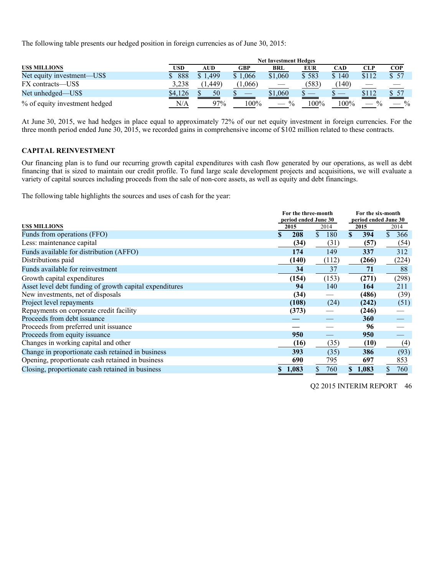The following table presents our hedged position in foreign currencies as of June 30, 2015:

|                               |         | <b>Net Investment Hedges</b> |         |                                                 |            |                          |               |               |  |  |  |
|-------------------------------|---------|------------------------------|---------|-------------------------------------------------|------------|--------------------------|---------------|---------------|--|--|--|
| <b>USS MILLIONS</b>           | USD     | <b>AUD</b>                   | GBP     | <b>BRL</b>                                      | <b>EUR</b> | <b>CAD</b>               | CLP           | <b>COP</b>    |  |  |  |
| Net equity investment—US\$    | 888     | .499<br>G.                   | \$1,066 | \$1,060                                         | \$583      | \$140                    | \$112         | \$57          |  |  |  |
| FX contracts—US\$             | 3,238   | (1.449)                      | (1,066) |                                                 | (583)      | (140)                    |               |               |  |  |  |
| Net unhedged—US\$             | \$4,126 | 50                           |         | \$1,060                                         |            | $\overline{\phantom{a}}$ | \$112         |               |  |  |  |
| % of equity investment hedged | N/A     | 97%                          | $100\%$ | $\frac{0}{0}$<br>$\overbrace{\hspace{27mm}}^{}$ | $100\%$    | 100%                     | $\frac{0}{0}$ | $\frac{0}{0}$ |  |  |  |

At June 30, 2015, we had hedges in place equal to approximately 72% of our net equity investment in foreign currencies. For the three month period ended June 30, 2015, we recorded gains in comprehensive income of \$102 million related to these contracts.

#### **CAPITAL REINVESTMENT**

Our financing plan is to fund our recurring growth capital expenditures with cash flow generated by our operations, as well as debt financing that is sized to maintain our credit profile. To fund large scale development projects and acquisitions, we will evaluate a variety of capital sources including proceeds from the sale of non-core assets, as well as equity and debt financings.

The following table highlights the sources and uses of cash for the year:

|                                                         |       |      | For the three-month<br>period ended June 30 |    | For the six-month            |              |       |
|---------------------------------------------------------|-------|------|---------------------------------------------|----|------------------------------|--------------|-------|
| <b>USS MILLIONS</b>                                     | 2015  |      | 2014                                        |    | period ended June 30<br>2015 |              | 2014  |
| Funds from operations (FFO)                             | 208   |      | \$.<br>180                                  | \$ | 394                          | $\mathbf{s}$ | 366   |
| Less: maintenance capital                               |       | (34) | (31)                                        |    | (57)                         |              | (54)  |
| Funds available for distribution (AFFO)                 | 174   |      | 149                                         |    | 337                          |              | 312   |
| Distributions paid                                      | (140) |      | (112)                                       |    | (266)                        |              | (224) |
| Funds available for reinvestment                        |       | 34   | 37                                          |    | 71                           |              | 88    |
| Growth capital expenditures                             | (154) |      | (153)                                       |    | (271)                        |              | (298) |
| Asset level debt funding of growth capital expenditures |       | 94   | 140                                         |    | 164                          |              | 211   |
| New investments, net of disposals                       |       | (34) |                                             |    | (486)                        |              | (39)  |
| Project level repayments                                | (108) |      | (24)                                        |    | (242)                        |              | (51)  |
| Repayments on corporate credit facility                 | (373) |      |                                             |    | (246)                        |              |       |
| Proceeds from debt issuance                             |       |      |                                             |    | <b>360</b>                   |              |       |
| Proceeds from preferred unit issuance                   |       |      |                                             |    | 96                           |              |       |
| Proceeds from equity issuance                           | 950   |      |                                             |    | 950                          |              |       |
| Changes in working capital and other                    |       | (16) | (35)                                        |    | (10)                         |              | (4)   |
| Change in proportionate cash retained in business       | 393   |      | (35)                                        |    | 386                          |              | (93)  |
| Opening, proportionate cash retained in business        | 690   |      | 795                                         |    | 697                          |              | 853   |
| Closing, proportionate cash retained in business        | 1,083 |      | 760                                         |    | \$1,083                      |              | 760   |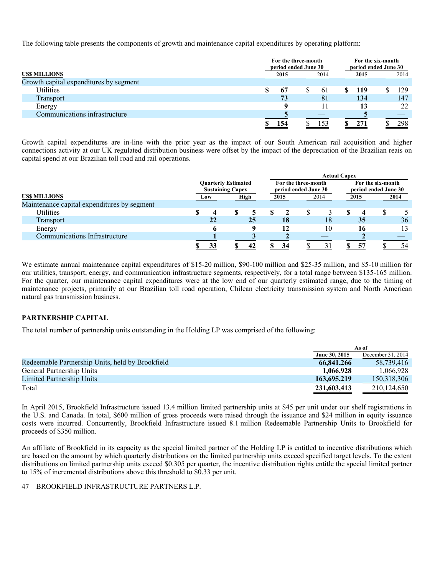The following table presents the components of growth and maintenance capital expenditures by operating platform:

|                                        | For the three-month<br>period ended June 30 |  |      |  |      |  | For the six-month<br>period ended June 30 |  |
|----------------------------------------|---------------------------------------------|--|------|--|------|--|-------------------------------------------|--|
| <b>USS MILLIONS</b>                    | 2015                                        |  | 2014 |  | 2015 |  | 2014                                      |  |
| Growth capital expenditures by segment |                                             |  |      |  |      |  |                                           |  |
| Utilities                              | 67                                          |  | 61   |  | 119  |  | 129                                       |  |
| Transport                              | 73                                          |  | 81   |  | 134  |  | 147                                       |  |
| Energy                                 |                                             |  |      |  | 13   |  | 22                                        |  |
| Communications infrastructure          |                                             |  |      |  |      |  |                                           |  |
|                                        | 154                                         |  | 153  |  | 271  |  | 298                                       |  |

Growth capital expenditures are in-line with the prior year as the impact of our South American rail acquisition and higher connections activity at our UK regulated distribution business were offset by the impact of the depreciation of the Brazilian reais on capital spend at our Brazilian toll road and rail operations.

|                                             | <b>Actual Capex</b> |                                                       |  |      |  |      |                                             |    |                                           |    |  |      |  |  |
|---------------------------------------------|---------------------|-------------------------------------------------------|--|------|--|------|---------------------------------------------|----|-------------------------------------------|----|--|------|--|--|
|                                             |                     | <b>Quarterly Estimated</b><br><b>Sustaining Capex</b> |  |      |  |      | For the three-month<br>period ended June 30 |    | For the six-month<br>period ended June 30 |    |  |      |  |  |
| <b>USS MILLIONS</b>                         |                     | Low                                                   |  | High |  | 2015 | 2014                                        |    | 2015                                      |    |  | 2014 |  |  |
| Maintenance capital expenditures by segment |                     |                                                       |  |      |  |      |                                             |    |                                           |    |  |      |  |  |
| Utilities                                   |                     |                                                       |  |      |  |      |                                             |    |                                           |    |  |      |  |  |
| Transport                                   |                     | 22                                                    |  | 25   |  | 18   |                                             | 18 |                                           | 35 |  | 36   |  |  |
| Energy                                      |                     |                                                       |  |      |  | 12   |                                             | 10 |                                           | 16 |  | 13   |  |  |
| Communications Infrastructure               |                     |                                                       |  |      |  |      |                                             |    |                                           |    |  |      |  |  |
|                                             |                     | 33                                                    |  | 42   |  | 34   |                                             |    |                                           | 57 |  | 54   |  |  |

We estimate annual maintenance capital expenditures of \$15-20 million, \$90-100 million and \$25-35 million, and \$5-10 million for our utilities, transport, energy, and communication infrastructure segments, respectively, for a total range between \$135-165 million. For the quarter, our maintenance capital expenditures were at the low end of our quarterly estimated range, due to the timing of maintenance projects, primarily at our Brazilian toll road operation, Chilean electricity transmission system and North American natural gas transmission business.

# **PARTNERSHIP CAPITAL**

The total number of partnership units outstanding in the Holding LP was comprised of the following:

|                                                  |               | As of             |
|--------------------------------------------------|---------------|-------------------|
|                                                  | June 30, 2015 | December 31, 2014 |
| Redeemable Partnership Units, held by Brookfield | 66,841,266    | 58.739.416        |
| General Partnership Units                        | 1,066,928     | 1.066.928         |
| Limited Partnership Units                        | 163,695,219   | 150,318,306       |
| Total                                            | 231,603,413   | 210.124.650       |

In April 2015, Brookfield Infrastructure issued 13.4 million limited partnership units at \$45 per unit under our shelf registrations in the U.S. and Canada. In total, \$600 million of gross proceeds were raised through the issuance and \$24 million in equity issuance costs were incurred. Concurrently, Brookfield Infrastructure issued 8.1 million Redeemable Partnership Units to Brookfield for proceeds of \$350 million.

An affiliate of Brookfield in its capacity as the special limited partner of the Holding LP is entitled to incentive distributions which are based on the amount by which quarterly distributions on the limited partnership units exceed specified target levels. To the extent distributions on limited partnership units exceed \$0.305 per quarter, the incentive distribution rights entitle the special limited partner to 15% of incremental distributions above this threshold to \$0.33 per unit.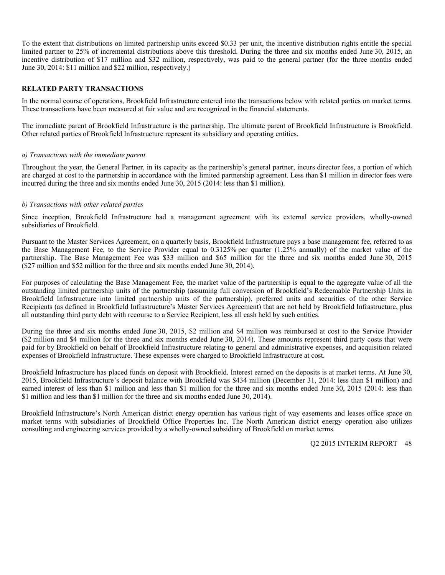To the extent that distributions on limited partnership units exceed \$0.33 per unit, the incentive distribution rights entitle the special limited partner to 25% of incremental distributions above this threshold. During the three and six months ended June 30, 2015, an incentive distribution of \$17 million and \$32 million, respectively, was paid to the general partner (for the three months ended June 30, 2014: \$11 million and \$22 million, respectively.)

# **RELATED PARTY TRANSACTIONS**

In the normal course of operations, Brookfield Infrastructure entered into the transactions below with related parties on market terms. These transactions have been measured at fair value and are recognized in the financial statements.

The immediate parent of Brookfield Infrastructure is the partnership. The ultimate parent of Brookfield Infrastructure is Brookfield. Other related parties of Brookfield Infrastructure represent its subsidiary and operating entities.

#### *a) Transactions with the immediate parent*

Throughout the year, the General Partner, in its capacity as the partnership's general partner, incurs director fees, a portion of which are charged at cost to the partnership in accordance with the limited partnership agreement. Less than \$1 million in director fees were incurred during the three and six months ended June 30, 2015 (2014: less than \$1 million).

#### *b) Transactions with other related parties*

Since inception, Brookfield Infrastructure had a management agreement with its external service providers, wholly-owned subsidiaries of Brookfield.

Pursuant to the Master Services Agreement, on a quarterly basis, Brookfield Infrastructure pays a base management fee, referred to as the Base Management Fee, to the Service Provider equal to 0.3125% per quarter (1.25% annually) of the market value of the partnership. The Base Management Fee was \$33 million and \$65 million for the three and six months ended June 30, 2015 (\$27 million and \$52 million for the three and six months ended June 30, 2014).

For purposes of calculating the Base Management Fee, the market value of the partnership is equal to the aggregate value of all the outstanding limited partnership units of the partnership (assuming full conversion of Brookfield's Redeemable Partnership Units in Brookfield Infrastructure into limited partnership units of the partnership), preferred units and securities of the other Service Recipients (as defined in Brookfield Infrastructure's Master Services Agreement) that are not held by Brookfield Infrastructure, plus all outstanding third party debt with recourse to a Service Recipient, less all cash held by such entities.

During the three and six months ended June 30, 2015, \$2 million and \$4 million was reimbursed at cost to the Service Provider (\$2 million and \$4 million for the three and six months ended June 30, 2014). These amounts represent third party costs that were paid for by Brookfield on behalf of Brookfield Infrastructure relating to general and administrative expenses, and acquisition related expenses of Brookfield Infrastructure. These expenses were charged to Brookfield Infrastructure at cost.

Brookfield Infrastructure has placed funds on deposit with Brookfield. Interest earned on the deposits is at market terms. At June 30, 2015, Brookfield Infrastructure's deposit balance with Brookfield was \$434 million (December 31, 2014: less than \$1 million) and earned interest of less than \$1 million and less than \$1 million for the three and six months ended June 30, 2015 (2014: less than \$1 million and less than \$1 million for the three and six months ended June 30, 2014).

Brookfield Infrastructure's North American district energy operation has various right of way easements and leases office space on market terms with subsidiaries of Brookfield Office Properties Inc. The North American district energy operation also utilizes consulting and engineering services provided by a wholly-owned subsidiary of Brookfield on market terms.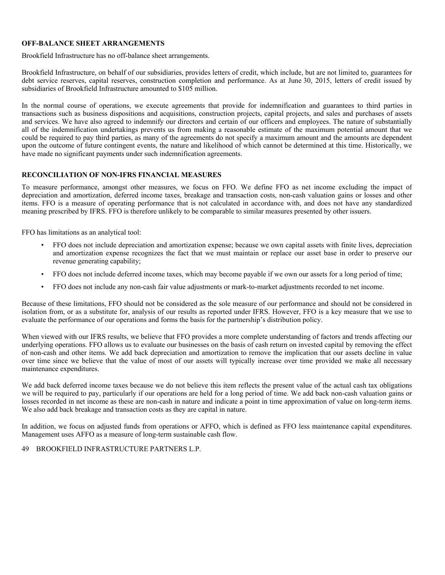#### **OFF-BALANCE SHEET ARRANGEMENTS**

Brookfield Infrastructure has no off-balance sheet arrangements.

Brookfield Infrastructure, on behalf of our subsidiaries, provides letters of credit, which include, but are not limited to, guarantees for debt service reserves, capital reserves, construction completion and performance. As at June 30, 2015, letters of credit issued by subsidiaries of Brookfield Infrastructure amounted to \$105 million.

In the normal course of operations, we execute agreements that provide for indemnification and guarantees to third parties in transactions such as business dispositions and acquisitions, construction projects, capital projects, and sales and purchases of assets and services. We have also agreed to indemnify our directors and certain of our officers and employees. The nature of substantially all of the indemnification undertakings prevents us from making a reasonable estimate of the maximum potential amount that we could be required to pay third parties, as many of the agreements do not specify a maximum amount and the amounts are dependent upon the outcome of future contingent events, the nature and likelihood of which cannot be determined at this time. Historically, we have made no significant payments under such indemnification agreements.

#### **RECONCILIATION OF NON-IFRS FINANCIAL MEASURES**

To measure performance, amongst other measures, we focus on FFO. We define FFO as net income excluding the impact of depreciation and amortization, deferred income taxes, breakage and transaction costs, non-cash valuation gains or losses and other items. FFO is a measure of operating performance that is not calculated in accordance with, and does not have any standardized meaning prescribed by IFRS. FFO is therefore unlikely to be comparable to similar measures presented by other issuers.

FFO has limitations as an analytical tool:

- FFO does not include depreciation and amortization expense; because we own capital assets with finite lives, depreciation and amortization expense recognizes the fact that we must maintain or replace our asset base in order to preserve our revenue generating capability;
- FFO does not include deferred income taxes, which may become payable if we own our assets for a long period of time;
- FFO does not include any non-cash fair value adjustments or mark-to-market adjustments recorded to net income.

Because of these limitations, FFO should not be considered as the sole measure of our performance and should not be considered in isolation from, or as a substitute for, analysis of our results as reported under IFRS. However, FFO is a key measure that we use to evaluate the performance of our operations and forms the basis for the partnership's distribution policy.

When viewed with our IFRS results, we believe that FFO provides a more complete understanding of factors and trends affecting our underlying operations. FFO allows us to evaluate our businesses on the basis of cash return on invested capital by removing the effect of non-cash and other items. We add back depreciation and amortization to remove the implication that our assets decline in value over time since we believe that the value of most of our assets will typically increase over time provided we make all necessary maintenance expenditures.

We add back deferred income taxes because we do not believe this item reflects the present value of the actual cash tax obligations we will be required to pay, particularly if our operations are held for a long period of time. We add back non-cash valuation gains or losses recorded in net income as these are non-cash in nature and indicate a point in time approximation of value on long-term items. We also add back breakage and transaction costs as they are capital in nature.

In addition, we focus on adjusted funds from operations or AFFO, which is defined as FFO less maintenance capital expenditures. Management uses AFFO as a measure of long-term sustainable cash flow.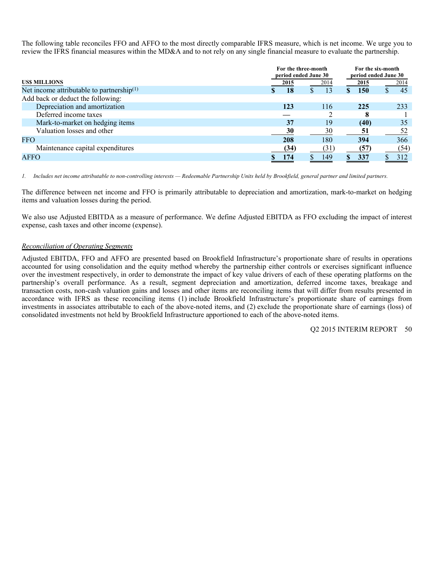The following table reconciles FFO and AFFO to the most directly comparable IFRS measure, which is net income. We urge you to review the IFRS financial measures within the MD&A and to not rely on any single financial measure to evaluate the partnership.

|                                              | For the three-month<br>period ended June 30 |      | For the six-month<br>period ended June 30 |      |  |  |
|----------------------------------------------|---------------------------------------------|------|-------------------------------------------|------|--|--|
| <b>USS MILLIONS</b>                          | 2015                                        | 2014 | 2015                                      | 2014 |  |  |
| Net income attributable to partnership $(1)$ | 18                                          | 13   | <b>150</b>                                | 45   |  |  |
| Add back or deduct the following:            |                                             |      |                                           |      |  |  |
| Depreciation and amortization                | 123                                         | 116  | 225                                       | 233  |  |  |
| Deferred income taxes                        |                                             |      | 8                                         |      |  |  |
| Mark-to-market on hedging items              | 37                                          | 19   | (40)                                      | 35   |  |  |
| Valuation losses and other                   | 30                                          | 30   | 51                                        | 52   |  |  |
| <b>FFO</b>                                   | 208                                         | 180  | 394                                       | 366  |  |  |
| Maintenance capital expenditures             | (34)                                        | (31) | (57)                                      | (54) |  |  |
| <b>AFFO</b>                                  | 174                                         | 149  | 337                                       | 312  |  |  |
|                                              |                                             |      |                                           |      |  |  |

*1. Includes net income attributable to non-controlling interests — Redeemable Partnership Units held by Brookfield, general partner and limited partners.* 

The difference between net income and FFO is primarily attributable to depreciation and amortization, mark-to-market on hedging items and valuation losses during the period.

We also use Adjusted EBITDA as a measure of performance. We define Adjusted EBITDA as FFO excluding the impact of interest expense, cash taxes and other income (expense).

#### *Reconciliation of Operating Segments*

Adjusted EBITDA, FFO and AFFO are presented based on Brookfield Infrastructure's proportionate share of results in operations accounted for using consolidation and the equity method whereby the partnership either controls or exercises significant influence over the investment respectively, in order to demonstrate the impact of key value drivers of each of these operating platforms on the partnership's overall performance. As a result, segment depreciation and amortization, deferred income taxes, breakage and transaction costs, non-cash valuation gains and losses and other items are reconciling items that will differ from results presented in accordance with IFRS as these reconciling items (1) include Brookfield Infrastructure's proportionate share of earnings from investments in associates attributable to each of the above-noted items, and (2) exclude the proportionate share of earnings (loss) of consolidated investments not held by Brookfield Infrastructure apportioned to each of the above-noted items.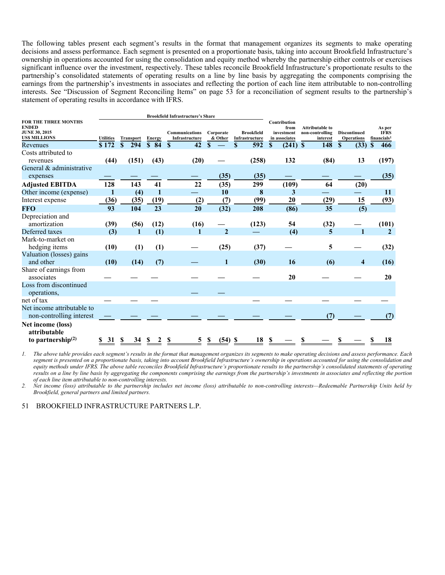The following tables present each segment's results in the format that management organizes its segments to make operating decisions and assess performance. Each segment is presented on a proportionate basis, taking into account Brookfield Infrastructure's ownership in operations accounted for using the consolidation and equity method whereby the partnership either controls or exercises significant influence over the investment, respectively. These tables reconcile Brookfield Infrastructure's proportionate results to the partnership's consolidated statements of operating results on a line by line basis by aggregating the components comprising the earnings from the partnership's investments in associates and reflecting the portion of each line item attributable to non-controlling interests. See "Discussion of Segment Reconciling Items" on page 53 for a reconciliation of segment results to the partnership's statement of operating results in accordance with IFRS.

|                                                                                            |                  |   |       |                         |              | <b>Brookfield Infrastructure's Share</b> |              |                      |                                     |      |              |                                     |                                                       |          |                                          |    |                                                  |
|--------------------------------------------------------------------------------------------|------------------|---|-------|-------------------------|--------------|------------------------------------------|--------------|----------------------|-------------------------------------|------|--------------|-------------------------------------|-------------------------------------------------------|----------|------------------------------------------|----|--------------------------------------------------|
| <b>FOR THE THREE MONTHS</b><br><b>ENDED</b><br><b>JUNE 30, 2015</b><br><b>USS MILLIONS</b> | <b>Utilities</b> |   |       | <b>Transport</b> Energy |              | Communications<br>Infrastructure         |              | Corporate<br>& Other | <b>Brookfield</b><br>Infrastructure |      | Contribution | from<br>investment<br>in associates | <b>Attributable to</b><br>non-controlling<br>interest |          | <b>Discontinued</b><br><b>Operations</b> |    | As per<br><b>IFRS</b><br>financials <sup>1</sup> |
| Revenues                                                                                   | \$172            | S | 294   | $\frac{\ }{8}$ 84       | $\mathbf{s}$ | 42                                       | $\mathbf{s}$ |                      | S<br>592                            |      | S            | $(241)$ \$                          | 148                                                   | <b>S</b> | (33)                                     | -8 | 466                                              |
| Costs attributed to<br>revenues                                                            | (44)             |   | (151) | (43)                    |              | (20)                                     |              |                      | (258)                               |      |              | 132                                 | (84)                                                  |          | 13                                       |    | (197)                                            |
| General & administrative<br>expenses                                                       |                  |   |       |                         |              |                                          |              | (35)                 |                                     | (35) |              |                                     |                                                       |          |                                          |    | (35)                                             |
| <b>Adjusted EBITDA</b>                                                                     | 128              |   | 143   | 41                      |              | 22                                       |              | (35)                 | 299                                 |      |              | (109)                               | 64                                                    |          | (20)                                     |    |                                                  |
| Other income (expense)                                                                     | 1                |   | (4)   | $\mathbf{1}$            |              |                                          |              | 10                   |                                     | 8    |              | 3                                   |                                                       |          |                                          |    | 11                                               |
| Interest expense                                                                           | (36)             |   | (35)  | (19)                    |              | (2)                                      |              | (7)                  |                                     | (99) |              | 20                                  | (29)                                                  |          | 15                                       |    | (93)                                             |
| <b>FFO</b>                                                                                 | 93               |   | 104   | 23                      |              | 20                                       |              | (32)                 | 208                                 |      |              | (86)                                | 35                                                    |          | (5)                                      |    |                                                  |
| Depreciation and<br>amortization                                                           | (39)             |   | (56)  | (12)                    |              | (16)                                     |              |                      | (123)                               |      |              | 54                                  | (32)                                                  |          |                                          |    | (101)                                            |
| Deferred taxes                                                                             | (3)              |   | 1     | (1)                     |              | 1                                        |              | $\overline{2}$       |                                     |      |              | (4)                                 | 5                                                     |          | 1                                        |    | $\mathbf{2}$                                     |
| Mark-to-market on<br>hedging items                                                         | (10)             |   | (1)   | (1)                     |              |                                          |              | (25)                 |                                     | (37) |              |                                     | 5                                                     |          |                                          |    | (32)                                             |
| Valuation (losses) gains<br>and other                                                      | (10)             |   | (14)  | (7)                     |              |                                          |              |                      |                                     | (30) |              | <b>16</b>                           | (6)                                                   |          | 4                                        |    | (16)                                             |
| Share of earnings from<br>associates                                                       |                  |   |       |                         |              |                                          |              |                      |                                     |      |              | 20                                  |                                                       |          |                                          |    | 20                                               |
| Loss from discontinued<br>operations,                                                      |                  |   |       |                         |              |                                          |              |                      |                                     |      |              |                                     |                                                       |          |                                          |    |                                                  |
| net of tax                                                                                 |                  |   |       |                         |              |                                          |              |                      |                                     |      |              |                                     |                                                       |          |                                          |    |                                                  |
| Net income attributable to<br>non-controlling interest                                     |                  |   |       |                         |              |                                          |              |                      |                                     |      |              |                                     | (7)                                                   |          |                                          |    | (7)                                              |
| Net income (loss)<br>attributable<br>to partnership $(2)$                                  | 31               | S | 34    |                         | S            |                                          |              | $(54)$ \$            |                                     | 18   |              |                                     |                                                       |          |                                          |    | 18                                               |

*1. The above table provides each segment's results in the format that management organizes its segments to make operating decisions and assess performance. Each segment is presented on a proportionate basis, taking into account Brookfield Infrastructure's ownership in operations accounted for using the consolidation and equity methods under IFRS. The above table reconciles Brookfield Infrastructure's proportionate results to the partnership's consolidated statements of operating results on a line by line basis by aggregating the components comprising the earnings from the partnership's investments in associates and reflecting the portion of each line item attributable to non-controlling interests.* 

*2. Net income (loss) attributable to the partnership includes net income (loss) attributable to non-controlling interests—Redeemable Partnership Units held by Brookfield, general partners and limited partners.*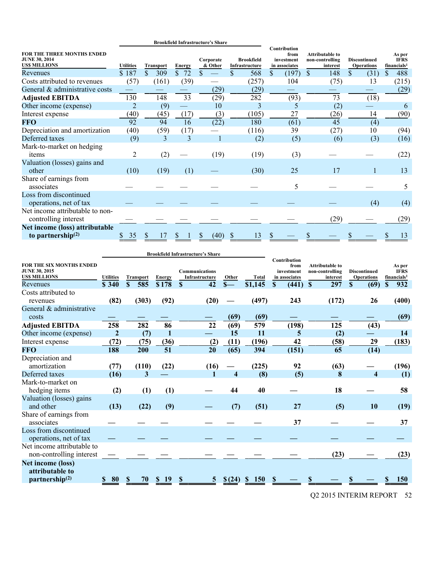|                                                                            |                  |                  |               | <b>Brookfield Infrastructure's Share</b> |                                     |                                                     |                                                       |                                          |                                                  |
|----------------------------------------------------------------------------|------------------|------------------|---------------|------------------------------------------|-------------------------------------|-----------------------------------------------------|-------------------------------------------------------|------------------------------------------|--------------------------------------------------|
| FOR THE THREE MONTHS ENDED<br><b>JUNE 30, 2014</b><br><b>US\$ MILLIONS</b> | <b>Utilities</b> | <b>Transport</b> | <b>Energy</b> | Corporate<br>& Other                     | <b>Brookfield</b><br>Infrastructure | Contribution<br>from<br>investment<br>in associates | <b>Attributable to</b><br>non-controlling<br>interest | <b>Discontinued</b><br><b>Operations</b> | As per<br><b>IFRS</b><br>financials <sup>1</sup> |
| Revenues                                                                   | \$187            | \$<br>309        | \$<br>72      | \$                                       | $\mathbf{\$}$<br>568                | \$<br>(197)                                         | \$<br>148                                             | \$<br>(31)                               | \$<br>488                                        |
| Costs attributed to revenues                                               | (57)             | (161)            | (39)          |                                          | (257)                               | 104                                                 | (75)                                                  | 13                                       | (215)                                            |
| General & administrative costs                                             |                  |                  |               | (29)                                     | (29)                                |                                                     |                                                       |                                          | (29)                                             |
| <b>Adjusted EBITDA</b>                                                     | 130              | 148              | 33            | (29)                                     | 282                                 | (93)                                                | 73                                                    | (18)                                     |                                                  |
| Other income (expense)                                                     | $\overline{2}$   | (9)              |               | 10                                       | 3                                   | 5                                                   | (2)                                                   |                                          | 6                                                |
| Interest expense                                                           | (40)             | (45)             | (17)          | (3)                                      | (105)                               | 27                                                  | (26)                                                  | 14                                       | (90)                                             |
| <b>FFO</b>                                                                 | 92               | 94               | 16            | (22)                                     | 180                                 | (61)                                                | 45                                                    | (4)                                      |                                                  |
| Depreciation and amortization                                              | (40)             | (59)             | (17)          |                                          | (116)                               | 39                                                  | (27)                                                  | 10                                       | (94)                                             |
| Deferred taxes                                                             | (9)              | 3                | 3             |                                          | (2)                                 | (5)                                                 | (6)                                                   | (3)                                      | (16)                                             |
| Mark-to-market on hedging<br>items                                         | $\overline{2}$   | (2)              |               | (19)                                     | (19)                                | (3)                                                 |                                                       |                                          | (22)                                             |
| Valuation (losses) gains and<br>other                                      | (10)             | (19)             | (1)           |                                          | (30)                                | 25                                                  | 17                                                    | 1                                        | 13                                               |
| Share of earnings from<br>associates                                       |                  |                  |               |                                          |                                     | 5                                                   |                                                       |                                          | 5                                                |
| Loss from discontinued<br>operations, net of tax                           |                  |                  |               |                                          |                                     |                                                     |                                                       | (4)                                      | (4)                                              |
| Net income attributable to non-<br>controlling interest                    |                  |                  |               |                                          |                                     |                                                     | (29)                                                  |                                          | (29)                                             |
| Net income (loss) attributable<br>to partnership $(2)$                     | 35               |                  |               | (40)                                     | 13<br>S                             |                                                     |                                                       |                                          | 13                                               |

|                                                                                |                  |                  |               | <b>Brookfield Infrastructure's Share</b> |                         |              |                                                     |                                                       |                                          |                                                  |
|--------------------------------------------------------------------------------|------------------|------------------|---------------|------------------------------------------|-------------------------|--------------|-----------------------------------------------------|-------------------------------------------------------|------------------------------------------|--------------------------------------------------|
| <b>FOR THE SIX MONTHS ENDED</b><br><b>JUNE 30, 2015</b><br><b>USS MILLIONS</b> | <b>Utilities</b> | <b>Transport</b> | <b>Energy</b> | <b>Communications</b><br>Infrastructure  | Other                   | <b>Total</b> | Contribution<br>from<br>investment<br>in associates | <b>Attributable to</b><br>non-controlling<br>interest | <b>Discontinued</b><br><b>Operations</b> | As per<br><b>IFRS</b><br>financials <sup>1</sup> |
| Revenues                                                                       | \$ 340           | 585<br>S.        | \$178         | 42<br>S                                  | $S-$                    | \$1,145      | (441)<br>S                                          | 297<br>$\mathbf S$                                    | \$<br>(69)                               | 932<br>\$                                        |
| Costs attributed to<br>revenues                                                | (82)             | (303)            | (92)          | (20)                                     |                         | (497)        | 243                                                 | (172)                                                 | 26                                       | (400)                                            |
| General & administrative<br>costs                                              |                  |                  |               |                                          | (69)                    | (69)         |                                                     |                                                       |                                          | (69)                                             |
| <b>Adjusted EBITDA</b>                                                         | 258              | 282              | 86            | 22                                       | (69)                    | 579          | (198)                                               | 125                                                   | (43)                                     |                                                  |
| Other income (expense)                                                         | $\overline{2}$   | (7)              | 1             |                                          | 15                      | 11           | 5                                                   | (2)                                                   |                                          | 14                                               |
| Interest expense                                                               | (72)             | (75)             | (36)          | (2)                                      | (11)                    | (196)        | 42                                                  | (58)                                                  | 29                                       | (183)                                            |
| <b>FFO</b>                                                                     | 188              | 200              | 51            | 20                                       | (65)                    | 394          | (151)                                               | 65                                                    | (14)                                     |                                                  |
| Depreciation and<br>amortization                                               | (77)             | (110)            | (22)          | (16)                                     |                         | (225)        | 92                                                  | (63)                                                  |                                          | (196)                                            |
| Deferred taxes                                                                 | (16)             | 3                |               | 1                                        | $\overline{\mathbf{4}}$ | (8)          | (5)                                                 | 8                                                     | $\overline{\mathbf{4}}$                  | (1)                                              |
| Mark-to-market on<br>hedging items                                             | (2)              | (1)              | (1)           |                                          | 44                      | 40           |                                                     | 18                                                    |                                          | 58                                               |
| Valuation (losses) gains<br>and other                                          | (13)             | (22)             | (9)           |                                          | (7)                     | (51)         | 27                                                  | (5)                                                   | 10                                       | (19)                                             |
| Share of earnings from<br>associates                                           |                  |                  |               |                                          |                         |              | 37                                                  |                                                       |                                          | 37                                               |
| Loss from discontinued<br>operations, net of tax                               |                  |                  |               |                                          |                         |              |                                                     |                                                       |                                          |                                                  |
| Net income attributable to<br>non-controlling interest                         |                  |                  |               |                                          |                         |              |                                                     | (23)                                                  |                                          | (23)                                             |
| <b>Net income (loss)</b><br>attributable to                                    |                  |                  |               |                                          |                         |              |                                                     |                                                       |                                          |                                                  |
| partnership <sup>(2)</sup>                                                     | 80               | 70               | 19            | 5                                        |                         | <b>150</b>   |                                                     |                                                       |                                          | 150                                              |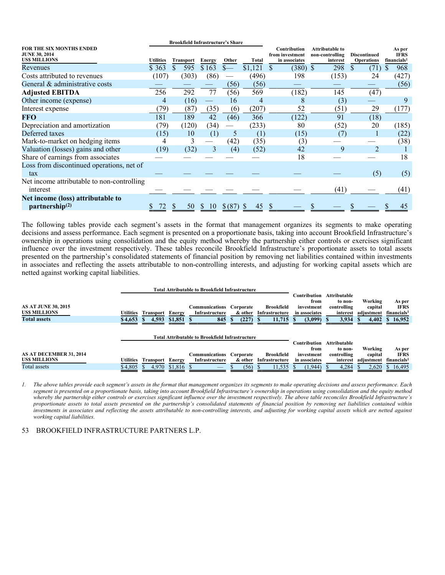|                                                                                | <b>Brookfield Infrastructure's Share</b> |                  |                        |                          |              |                                                         |                                                |                                          |                                                  |
|--------------------------------------------------------------------------------|------------------------------------------|------------------|------------------------|--------------------------|--------------|---------------------------------------------------------|------------------------------------------------|------------------------------------------|--------------------------------------------------|
| <b>FOR THE SIX MONTHS ENDED</b><br><b>JUNE 30, 2014</b><br><b>USS MILLIONS</b> | <b>Utilities</b>                         | <b>Transport</b> |                        | Other                    | <b>Total</b> | <b>Contribution</b><br>from investment<br>in associates | Attributable to<br>non-controlling<br>interest | <b>Discontinued</b><br><b>Operations</b> | As per<br><b>IFRS</b><br>financials <sup>1</sup> |
| Revenues                                                                       | \$363                                    | \$<br>595        | <b>Energy</b><br>\$163 | $S-$                     | \$1,121      | $(380)$ \$<br>\$                                        | 298                                            | \$<br>(71)                               | 968                                              |
| Costs attributed to revenues                                                   | (107)                                    | (303)            | (86)                   | $\overline{\phantom{0}}$ | (496)        | 198                                                     | (153)                                          | 24                                       | (427)                                            |
| General & administrative costs                                                 |                                          |                  |                        | (56)                     | (56)         |                                                         |                                                |                                          | (56)                                             |
| <b>Adjusted EBITDA</b>                                                         | 256                                      | 292              | 77                     | (56)                     | 569          | (182)                                                   | 145                                            | (47)                                     |                                                  |
| Other income (expense)                                                         | 4                                        | (16)             |                        | 16                       | 4            | 8                                                       | (3)                                            |                                          | 9                                                |
| Interest expense                                                               | 79)                                      | (87)             | (35)                   | (6)                      | (207)        | 52                                                      | (51)                                           | 29                                       | (177)                                            |
| <b>FFO</b>                                                                     | 181                                      | 189              | 42                     | (46)                     | 366          | (122)                                                   | 91                                             | (18)                                     |                                                  |
| Depreciation and amortization                                                  | (79)                                     | (120)            | (34)                   |                          | (233)        | 80                                                      | (52)                                           | 20                                       | (185)                                            |
| Deferred taxes                                                                 | (15)                                     | 10               | (1)                    | 5                        | (1)          | (15)                                                    | (7)                                            |                                          | (22)                                             |
| Mark-to-market on hedging items                                                |                                          | 3                |                        | (42)                     | (35)         | (3)                                                     |                                                |                                          | (38)                                             |
| Valuation (losses) gains and other                                             | (19)                                     | (32)             | 3                      | (4)                      | (52)         | 42                                                      | 9                                              | $\mathfrak{D}$                           |                                                  |
| Share of earnings from associates                                              |                                          |                  |                        |                          |              | 18                                                      |                                                |                                          | 18                                               |
| Loss from discontinued operations, net of                                      |                                          |                  |                        |                          |              |                                                         |                                                |                                          |                                                  |
| tax                                                                            |                                          |                  |                        |                          |              |                                                         |                                                | (5)                                      | (5)                                              |
| Net income attributable to non-controlling                                     |                                          |                  |                        |                          |              |                                                         |                                                |                                          |                                                  |
| interest                                                                       |                                          |                  |                        |                          |              |                                                         | (41)                                           |                                          | (41)                                             |
| Net income (loss) attributable to                                              |                                          |                  |                        |                          |              |                                                         |                                                |                                          |                                                  |
| partnership <sup>(2)</sup>                                                     | 72                                       | 50               | 10                     | $$^{(87)}$               | 45           |                                                         |                                                |                                          | 45                                               |

The following tables provide each segment's assets in the format that management organizes its segments to make operating decisions and assess performance. Each segment is presented on a proportionate basis, taking into account Brookfield Infrastructure's ownership in operations using consolidation and the equity method whereby the partnership either controls or exercises significant influence over the investment respectively. These tables reconcile Brookfield Infrastructure's proportionate assets to total assets presented on the partnership's consolidated statements of financial position by removing net liabilities contained within investments in associates and reflecting the assets attributable to non-controlling interests, and adjusting for working capital assets which are netted against working capital liabilities.

|                            |                  |                         |         | Total Attributable to Brookfield Infrastructure        |             |                   |                    |              |            |                         |
|----------------------------|------------------|-------------------------|---------|--------------------------------------------------------|-------------|-------------------|--------------------|--------------|------------|-------------------------|
|                            |                  |                         |         |                                                        |             |                   | Contribution.      | Attributable |            |                         |
|                            |                  |                         |         |                                                        |             |                   | from               | to non-      | Working    | As per                  |
| <b>AS AT JUNE 30, 2015</b> |                  |                         |         | Communications                                         | Corporate   | <b>Brookfield</b> | investment         | controlling  | capital    | <b>IFRS</b>             |
| <b>USS MILLIONS</b>        | <b>Utilities</b> | <b>Transport</b>        | Energy  | Infrastructure                                         | & other     | Infrastructure    | in associates      | interest     | adjustment | financials <sup>1</sup> |
| <b>Total assets</b>        | \$4,653          | 4,593<br><sup>S</sup>   | \$1,851 | 845                                                    | (227)<br>ъ. | 11,715            | $(3,099)$ \$<br>-8 | $3,934$ \$   | 4,402      | \$16,952                |
|                            |                  |                         |         |                                                        |             |                   |                    |              |            |                         |
|                            |                  |                         |         |                                                        |             |                   |                    |              |            |                         |
|                            |                  |                         |         | <b>Total Attributable to Brookfield Infrastructure</b> |             |                   |                    |              |            |                         |
|                            |                  |                         |         |                                                        |             |                   | Contribution       | Attributable |            |                         |
|                            |                  |                         |         |                                                        |             |                   | from               | to non-      | Working    | As per                  |
| AS AT DECEMBER 31, 2014    |                  |                         |         | <b>Communications Corporate</b>                        |             | <b>Brookfield</b> | investment         | controlling  | capital    | <b>IFRS</b>             |
|                            |                  |                         |         |                                                        |             |                   | in associates      | interest     | adiustment |                         |
| <b>USS MILLIONS</b>        | Utilities        | <b>Transport Energy</b> |         | Infrastructure                                         | & other     | Infrastructure    |                    |              |            | financials <sup>1</sup> |

*<sup>1.</sup> The above tables provide each segment's assets in the format that management organizes its segments to make operating decisions and assess performance. Each segment is presented on a proportionate basis, taking into account Brookfield Infrastructure's ownership in operations using consolidation and the equity method whereby the partnership either controls or exercises significant influence over the investment respectively. The above table reconciles Brookfield Infrastructure's proportionate assets to total assets presented on the partnership's consolidated statements of financial position by removing net liabilities contained within investments in associates and reflecting the assets attributable to non-controlling interests, and adjusting for working capital assets which are netted against working capital liabilities.*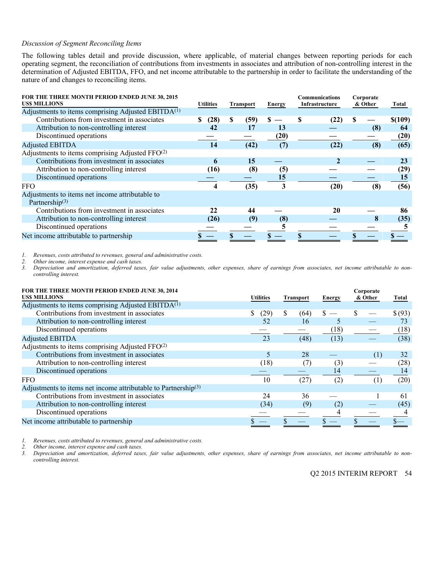#### *Discussion of Segment Reconciling Items*

The following tables detail and provide discussion, where applicable, of material changes between reporting periods for each operating segment, the reconciliation of contributions from investments in associates and attribution of non-controlling interest in the determination of Adjusted EBITDA, FFO, and net income attributable to the partnership in order to facilitate the understanding of the nature of and changes to reconciling items.

| FOR THE THREE MONTH PERIOD ENDED JUNE 30, 2015<br><b>USS MILLIONS</b> | <b>Utilities</b> |   | <b>Transport</b> | <b>Energy</b> | <b>Communications</b><br>Infrastructure |              | Corporate<br>& Other |     | Total   |
|-----------------------------------------------------------------------|------------------|---|------------------|---------------|-----------------------------------------|--------------|----------------------|-----|---------|
| Adjustments to items comprising Adjusted EBITD $A^{(1)}$              |                  |   |                  |               |                                         |              |                      |     |         |
| Contributions from investment in associates                           | (28)<br>S        | S | (59)             | \$            |                                         | (22)         | S                    |     | \$(109) |
| Attribution to non-controlling interest                               | 42               |   | 17               | 13            |                                         |              |                      | (8) | 64      |
| Discontinued operations                                               |                  |   |                  | (20)          |                                         |              |                      |     | (20)    |
| <b>Adjusted EBITDA</b>                                                | 14               |   | (42)             | (7)           |                                         | (22)         |                      | (8) | (65)    |
| Adjustments to items comprising Adjusted FFO <sup>(2)</sup>           |                  |   |                  |               |                                         |              |                      |     |         |
| Contributions from investment in associates                           | 6                |   | 15               |               |                                         | $\mathbf{2}$ |                      |     | 23      |
| Attribution to non-controlling interest                               | (16)             |   | (8)              | (5)           |                                         |              |                      |     | (29)    |
| Discontinued operations                                               |                  |   |                  | 15            |                                         |              |                      |     | 15      |
| <b>FFO</b>                                                            |                  |   | (35)             | 3             |                                         | (20)         |                      | (8) | (56)    |
| Adjustments to items net income attributable to                       |                  |   |                  |               |                                         |              |                      |     |         |
| Partnership $(3)$                                                     |                  |   |                  |               |                                         |              |                      |     |         |
| Contributions from investment in associates                           | 22               |   | 44               |               |                                         | 20           |                      |     | 86      |
| Attribution to non-controlling interest                               | (26)             |   | (9)              | (8)           |                                         |              |                      | 8   | (35)    |
| Discontinued operations                                               |                  |   |                  |               |                                         |              |                      |     |         |
| Net income attributable to partnership                                |                  |   |                  |               |                                         |              |                      |     |         |

*2. Other income, interest expense and cash taxes.* 

*1. Revenues, costs attributed to revenues, general and administrative costs. 3. Depreciation and amortization, deferred taxes, fair value adjustments, other expenses, share of earnings from associates, net income attributable to noncontrolling interest.* 

| FOR THE THREE MONTH PERIOD ENDED JUNE 30, 2014<br><b>USS MILLIONS</b>      | <b>Utilities</b> | <b>Transport</b> |      | <b>Energy</b> | Corporate<br>& Other |     | Total   |
|----------------------------------------------------------------------------|------------------|------------------|------|---------------|----------------------|-----|---------|
| Adjustments to items comprising Adjusted EBITD $A^{(1)}$                   |                  |                  |      |               |                      |     |         |
| Contributions from investment in associates                                | (29)             | S                | (64) |               |                      |     | \$ (93) |
| Attribution to non-controlling interest                                    | 52               |                  | 16   |               |                      |     | 73      |
| Discontinued operations                                                    |                  |                  |      | (18)          |                      |     | (18)    |
| <b>Adjusted EBITDA</b>                                                     | 23               |                  | (48) | (13)          |                      |     | (38)    |
| Adjustments to items comprising Adjusted FFO <sup>(2)</sup>                |                  |                  |      |               |                      |     |         |
| Contributions from investment in associates                                | 5                |                  | 28   |               |                      | (1) | 32      |
| Attribution to non-controlling interest                                    | (18)             |                  |      | (3)           |                      |     | (28)    |
| Discontinued operations                                                    |                  |                  |      | 14            |                      |     | 14      |
| <b>FFO</b>                                                                 | 10               |                  | (27) | (2)           |                      | (1) | (20)    |
| Adjustments to items net income attributable to Partnership <sup>(3)</sup> |                  |                  |      |               |                      |     |         |
| Contributions from investment in associates                                | 24               |                  | 36   |               |                      |     | 61      |
| Attribution to non-controlling interest                                    | (34)             |                  | (9)  | (2)           |                      |     | (45)    |
| Discontinued operations                                                    |                  |                  |      |               |                      |     |         |
| Net income attributable to partnership                                     |                  |                  |      |               |                      |     |         |

*1. Revenues, costs attributed to revenues, general and administrative costs.* 

*2. Other income, interest expense and cash taxes.* 

*3. Depreciation and amortization, deferred taxes, fair value adjustments, other expenses, share of earnings from associates, net income attributable to noncontrolling interest.*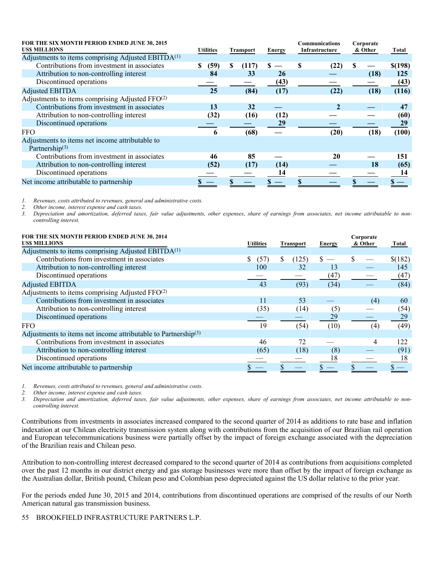| FOR THE SIX MONTH PERIOD ENDED JUNE 30, 2015<br><b>USS MILLIONS</b> | <b>Utilities</b> |   | Transport | Energy |   | Communications<br>Infrastructure |   | Corporate<br>& Other | Total   |
|---------------------------------------------------------------------|------------------|---|-----------|--------|---|----------------------------------|---|----------------------|---------|
| Adjustments to items comprising Adjusted EBITDA <sup>(1)</sup>      |                  |   |           |        |   |                                  |   |                      |         |
| Contributions from investment in associates                         | (59)<br>S        | S | (117)     | S      | S | (22)                             | S |                      | \$(198) |
| Attribution to non-controlling interest                             | 84               |   | 33        | 26     |   |                                  |   | (18)                 | 125     |
| Discontinued operations                                             |                  |   |           | (43)   |   |                                  |   |                      | (43)    |
| <b>Adjusted EBITDA</b>                                              | 25               |   | (84)      | (17)   |   | (22)                             |   | (18)                 | (116)   |
| Adjustments to items comprising Adjusted FFO <sup>(2)</sup>         |                  |   |           |        |   |                                  |   |                      |         |
| Contributions from investment in associates                         | 13               |   | 32        |        |   | $\mathcal{D}$                    |   |                      | 47      |
| Attribution to non-controlling interest                             | (32)             |   | (16)      | (12)   |   |                                  |   |                      | (60)    |
| Discontinued operations                                             |                  |   |           | 29     |   |                                  |   |                      | 29      |
| <b>FFO</b>                                                          | 6                |   | (68)      |        |   | (20)                             |   | (18)                 | (100)   |
| Adjustments to items net income attributable to                     |                  |   |           |        |   |                                  |   |                      |         |
| Partnership $(3)$                                                   |                  |   |           |        |   |                                  |   |                      |         |
| Contributions from investment in associates                         | 46               |   | 85        |        |   | 20                               |   |                      | 151     |
| Attribution to non-controlling interest                             | (52)             |   | (17)      | (14)   |   |                                  |   | 18                   | (65)    |
| Discontinued operations                                             |                  |   |           | 14     |   |                                  |   |                      | 14      |
| Net income attributable to partnership                              |                  |   |           |        |   |                                  |   |                      |         |

*1. Revenues, costs attributed to revenues, general and administrative costs.* 

*2. Other income, interest expense and cash taxes.* 

*3. Depreciation and amortization, deferred taxes, fair value adjustments, other expenses, share of earnings from associates, net income attributable to noncontrolling interest.* 

| FOR THE SIX MONTH PERIOD ENDED JUNE 30, 2014<br><b>USS MILLIONS</b>        | <b>Utilities</b> | <b>Transport</b> | <b>Energy</b> | Corporate<br>& Other | Total   |
|----------------------------------------------------------------------------|------------------|------------------|---------------|----------------------|---------|
| Adjustments to items comprising Adjusted EBITDA <sup>(1)</sup>             |                  |                  |               |                      |         |
| Contributions from investment in associates                                | \$<br>(57)       | S<br>(125)       | \$            |                      | \$(182) |
| Attribution to non-controlling interest                                    | 100              | 32               | 13            |                      | 145     |
| Discontinued operations                                                    |                  |                  | (47)          |                      | (47)    |
| <b>Adjusted EBITDA</b>                                                     | 43               | (93)             | (34)          |                      | (84)    |
| Adjustments to items comprising Adjusted FFO <sup>(2)</sup>                |                  |                  |               |                      |         |
| Contributions from investment in associates                                | 11               | 53               |               | (4)                  | 60      |
| Attribution to non-controlling interest                                    | (35)             | (14)             | (5)           |                      | (54)    |
| Discontinued operations                                                    |                  |                  | 29            |                      | 29      |
| <b>FFO</b>                                                                 | 19               | (54)             | (10)          | (4)                  | (49)    |
| Adjustments to items net income attributable to Partnership <sup>(3)</sup> |                  |                  |               |                      |         |
| Contributions from investment in associates                                | 46               | 72               |               | 4                    | 122     |
| Attribution to non-controlling interest                                    | (65)             | (18)             | (8)           |                      | (91)    |
| Discontinued operations                                                    |                  |                  | 18            |                      | 18      |
| Net income attributable to partnership                                     |                  |                  |               |                      |         |

*1. Revenues, costs attributed to revenues, general and administrative costs.* 

*2. Other income, interest expense and cash taxes.* 

*3. Depreciation and amortization, deferred taxes, fair value adjustments, other expenses, share of earnings from associates, net income attributable to noncontrolling interest.* 

Contributions from investments in associates increased compared to the second quarter of 2014 as additions to rate base and inflation indexation at our Chilean electricity transmission system along with contributions from the acquisition of our Brazilian rail operation and European telecommunications business were partially offset by the impact of foreign exchange associated with the depreciation of the Brazilian reais and Chilean peso.

Attribution to non-controlling interest decreased compared to the second quarter of 2014 as contributions from acquisitions completed over the past 12 months in our district energy and gas storage businesses were more than offset by the impact of foreign exchange as the Australian dollar, British pound, Chilean peso and Colombian peso depreciated against the US dollar relative to the prior year.

For the periods ended June 30, 2015 and 2014, contributions from discontinued operations are comprised of the results of our North American natural gas transmission business.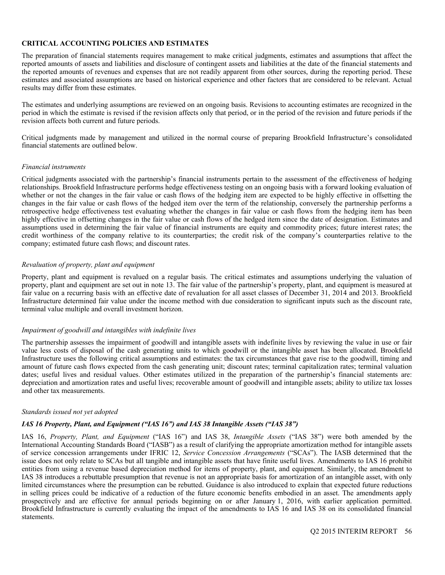### **CRITICAL ACCOUNTING POLICIES AND ESTIMATES**

The preparation of financial statements requires management to make critical judgments, estimates and assumptions that affect the reported amounts of assets and liabilities and disclosure of contingent assets and liabilities at the date of the financial statements and the reported amounts of revenues and expenses that are not readily apparent from other sources, during the reporting period. These estimates and associated assumptions are based on historical experience and other factors that are considered to be relevant. Actual results may differ from these estimates.

The estimates and underlying assumptions are reviewed on an ongoing basis. Revisions to accounting estimates are recognized in the period in which the estimate is revised if the revision affects only that period, or in the period of the revision and future periods if the revision affects both current and future periods.

Critical judgments made by management and utilized in the normal course of preparing Brookfield Infrastructure's consolidated financial statements are outlined below.

#### *Financial instruments*

Critical judgments associated with the partnership's financial instruments pertain to the assessment of the effectiveness of hedging relationships. Brookfield Infrastructure performs hedge effectiveness testing on an ongoing basis with a forward looking evaluation of whether or not the changes in the fair value or cash flows of the hedging item are expected to be highly effective in offsetting the changes in the fair value or cash flows of the hedged item over the term of the relationship, conversely the partnership performs a retrospective hedge effectiveness test evaluating whether the changes in fair value or cash flows from the hedging item has been highly effective in offsetting changes in the fair value or cash flows of the hedged item since the date of designation. Estimates and assumptions used in determining the fair value of financial instruments are equity and commodity prices; future interest rates; the credit worthiness of the company relative to its counterparties; the credit risk of the company's counterparties relative to the company; estimated future cash flows; and discount rates.

#### *Revaluation of property, plant and equipment*

Property, plant and equipment is revalued on a regular basis. The critical estimates and assumptions underlying the valuation of property, plant and equipment are set out in note 13. The fair value of the partnership's property, plant, and equipment is measured at fair value on a recurring basis with an effective date of revaluation for all asset classes of December 31, 2014 and 2013. Brookfield Infrastructure determined fair value under the income method with due consideration to significant inputs such as the discount rate, terminal value multiple and overall investment horizon.

#### *Impairment of goodwill and intangibles with indefinite lives*

The partnership assesses the impairment of goodwill and intangible assets with indefinite lives by reviewing the value in use or fair value less costs of disposal of the cash generating units to which goodwill or the intangible asset has been allocated. Brookfield Infrastructure uses the following critical assumptions and estimates: the tax circumstances that gave rise to the goodwill, timing and amount of future cash flows expected from the cash generating unit; discount rates; terminal capitalization rates; terminal valuation dates; useful lives and residual values. Other estimates utilized in the preparation of the partnership's financial statements are: depreciation and amortization rates and useful lives; recoverable amount of goodwill and intangible assets; ability to utilize tax losses and other tax measurements.

#### *Standards issued not yet adopted*

# *IAS 16 Property, Plant, and Equipment ("IAS 16") and IAS 38 Intangible Assets ("IAS 38")*

IAS 16, *Property, Plant, and Equipment* ("IAS 16") and IAS 38, *Intangible Assets* ("IAS 38") were both amended by the International Accounting Standards Board ("IASB") as a result of clarifying the appropriate amortization method for intangible assets of service concession arrangements under IFRIC 12, *Service Concession Arrangements* ("SCAs"). The IASB determined that the issue does not only relate to SCAs but all tangible and intangible assets that have finite useful lives. Amendments to IAS 16 prohibit entities from using a revenue based depreciation method for items of property, plant, and equipment. Similarly, the amendment to IAS 38 introduces a rebuttable presumption that revenue is not an appropriate basis for amortization of an intangible asset, with only limited circumstances where the presumption can be rebutted. Guidance is also introduced to explain that expected future reductions in selling prices could be indicative of a reduction of the future economic benefits embodied in an asset. The amendments apply prospectively and are effective for annual periods beginning on or after January 1, 2016, with earlier application permitted. Brookfield Infrastructure is currently evaluating the impact of the amendments to IAS 16 and IAS 38 on its consolidated financial statements.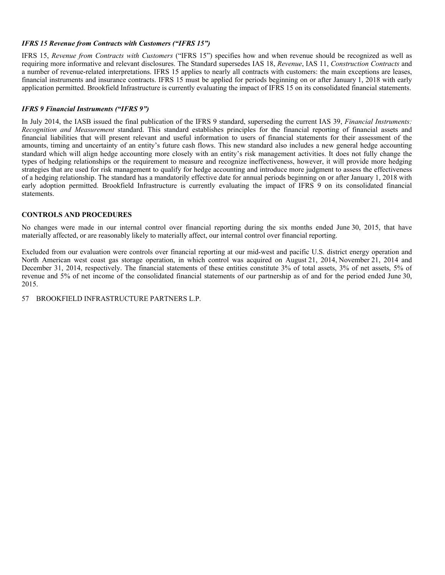# *IFRS 15 Revenue from Contracts with Customers ("IFRS 15")*

IFRS 15, *Revenue from Contracts with Customers* ("IFRS 15") specifies how and when revenue should be recognized as well as requiring more informative and relevant disclosures. The Standard supersedes IAS 18, *Revenue*, IAS 11, *Construction Contracts* and a number of revenue-related interpretations. IFRS 15 applies to nearly all contracts with customers: the main exceptions are leases, financial instruments and insurance contracts. IFRS 15 must be applied for periods beginning on or after January 1, 2018 with early application permitted. Brookfield Infrastructure is currently evaluating the impact of IFRS 15 on its consolidated financial statements.

# *IFRS 9 Financial Instruments ("IFRS 9")*

In July 2014, the IASB issued the final publication of the IFRS 9 standard, superseding the current IAS 39, *Financial Instruments: Recognition and Measurement* standard. This standard establishes principles for the financial reporting of financial assets and financial liabilities that will present relevant and useful information to users of financial statements for their assessment of the amounts, timing and uncertainty of an entity's future cash flows. This new standard also includes a new general hedge accounting standard which will align hedge accounting more closely with an entity's risk management activities. It does not fully change the types of hedging relationships or the requirement to measure and recognize ineffectiveness, however, it will provide more hedging strategies that are used for risk management to qualify for hedge accounting and introduce more judgment to assess the effectiveness of a hedging relationship. The standard has a mandatorily effective date for annual periods beginning on or after January 1, 2018 with early adoption permitted. Brookfield Infrastructure is currently evaluating the impact of IFRS 9 on its consolidated financial statements.

# **CONTROLS AND PROCEDURES**

No changes were made in our internal control over financial reporting during the six months ended June 30, 2015, that have materially affected, or are reasonably likely to materially affect, our internal control over financial reporting.

Excluded from our evaluation were controls over financial reporting at our mid-west and pacific U.S. district energy operation and North American west coast gas storage operation, in which control was acquired on August 21, 2014, November 21, 2014 and December 31, 2014, respectively. The financial statements of these entities constitute 3% of total assets, 3% of net assets, 5% of revenue and 5% of net income of the consolidated financial statements of our partnership as of and for the period ended June 30, 2015.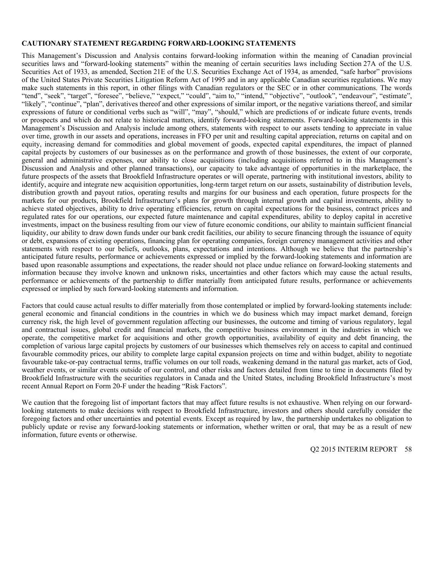#### **CAUTIONARY STATEMENT REGARDING FORWARD-LOOKING STATEMENTS**

This Management's Discussion and Analysis contains forward-looking information within the meaning of Canadian provincial securities laws and "forward-looking statements" within the meaning of certain securities laws including Section 27A of the U.S. Securities Act of 1933, as amended, Section 21E of the U.S. Securities Exchange Act of 1934, as amended, "safe harbor" provisions of the United States Private Securities Litigation Reform Act of 1995 and in any applicable Canadian securities regulations. We may make such statements in this report, in other filings with Canadian regulators or the SEC or in other communications. The words "tend", "seek", "target", "foresee", "believe," "expect," "could", "aim to," "intend," "objective", "outlook", "endeavour", "estimate", "likely", "continue", "plan", derivatives thereof and other expressions of similar import, or the negative variations thereof, and similar expressions of future or conditional verbs such as "will", "may", "should," which are predictions of or indicate future events, trends or prospects and which do not relate to historical matters, identify forward-looking statements. Forward-looking statements in this Management's Discussion and Analysis include among others, statements with respect to our assets tending to appreciate in value over time, growth in our assets and operations, increases in FFO per unit and resulting capital appreciation, returns on capital and on equity, increasing demand for commodities and global movement of goods, expected capital expenditures, the impact of planned capital projects by customers of our businesses as on the performance and growth of those businesses, the extent of our corporate, general and administrative expenses, our ability to close acquisitions (including acquisitions referred to in this Management's Discussion and Analysis and other planned transactions), our capacity to take advantage of opportunities in the marketplace, the future prospects of the assets that Brookfield Infrastructure operates or will operate, partnering with institutional investors, ability to identify, acquire and integrate new acquisition opportunities, long-term target return on our assets, sustainability of distribution levels, distribution growth and payout ratios, operating results and margins for our business and each operation, future prospects for the markets for our products, Brookfield Infrastructure's plans for growth through internal growth and capital investments, ability to achieve stated objectives, ability to drive operating efficiencies, return on capital expectations for the business, contract prices and regulated rates for our operations, our expected future maintenance and capital expenditures, ability to deploy capital in accretive investments, impact on the business resulting from our view of future economic conditions, our ability to maintain sufficient financial liquidity, our ability to draw down funds under our bank credit facilities, our ability to secure financing through the issuance of equity or debt, expansions of existing operations, financing plan for operating companies, foreign currency management activities and other statements with respect to our beliefs, outlooks, plans, expectations and intentions. Although we believe that the partnership's anticipated future results, performance or achievements expressed or implied by the forward-looking statements and information are based upon reasonable assumptions and expectations, the reader should not place undue reliance on forward-looking statements and information because they involve known and unknown risks, uncertainties and other factors which may cause the actual results, performance or achievements of the partnership to differ materially from anticipated future results, performance or achievements expressed or implied by such forward-looking statements and information.

Factors that could cause actual results to differ materially from those contemplated or implied by forward-looking statements include: general economic and financial conditions in the countries in which we do business which may impact market demand, foreign currency risk, the high level of government regulation affecting our businesses, the outcome and timing of various regulatory, legal and contractual issues, global credit and financial markets, the competitive business environment in the industries in which we operate, the competitive market for acquisitions and other growth opportunities, availability of equity and debt financing, the completion of various large capital projects by customers of our businesses which themselves rely on access to capital and continued favourable commodity prices, our ability to complete large capital expansion projects on time and within budget, ability to negotiate favourable take-or-pay contractual terms, traffic volumes on our toll roads, weakening demand in the natural gas market, acts of God, weather events, or similar events outside of our control, and other risks and factors detailed from time to time in documents filed by Brookfield Infrastructure with the securities regulators in Canada and the United States, including Brookfield Infrastructure's most recent Annual Report on Form 20-F under the heading "Risk Factors".

We caution that the foregoing list of important factors that may affect future results is not exhaustive. When relying on our forwardlooking statements to make decisions with respect to Brookfield Infrastructure, investors and others should carefully consider the foregoing factors and other uncertainties and potential events. Except as required by law, the partnership undertakes no obligation to publicly update or revise any forward-looking statements or information, whether written or oral, that may be as a result of new information, future events or otherwise.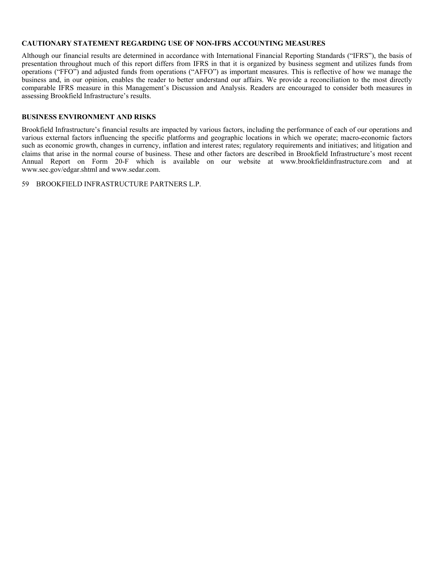#### **CAUTIONARY STATEMENT REGARDING USE OF NON-IFRS ACCOUNTING MEASURES**

Although our financial results are determined in accordance with International Financial Reporting Standards ("IFRS"), the basis of presentation throughout much of this report differs from IFRS in that it is organized by business segment and utilizes funds from operations ("FFO") and adjusted funds from operations ("AFFO") as important measures. This is reflective of how we manage the business and, in our opinion, enables the reader to better understand our affairs. We provide a reconciliation to the most directly comparable IFRS measure in this Management's Discussion and Analysis. Readers are encouraged to consider both measures in assessing Brookfield Infrastructure's results.

# **BUSINESS ENVIRONMENT AND RISKS**

Brookfield Infrastructure's financial results are impacted by various factors, including the performance of each of our operations and various external factors influencing the specific platforms and geographic locations in which we operate; macro-economic factors such as economic growth, changes in currency, inflation and interest rates; regulatory requirements and initiatives; and litigation and claims that arise in the normal course of business. These and other factors are described in Brookfield Infrastructure's most recent Annual Report on Form 20-F which is available on our website at www.brookfieldinfrastructure.com and at www.sec.gov/edgar.shtml and www.sedar.com.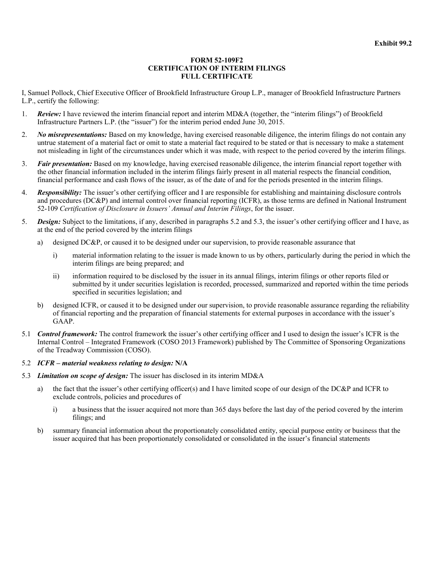#### **FORM 52-109F2 CERTIFICATION OF INTERIM FILINGS FULL CERTIFICATE**

I, Samuel Pollock, Chief Executive Officer of Brookfield Infrastructure Group L.P., manager of Brookfield Infrastructure Partners L.P., certify the following:

- 1. *Review:* I have reviewed the interim financial report and interim MD&A (together, the "interim filings") of Brookfield Infrastructure Partners L.P. (the "issuer") for the interim period ended June 30, 2015.
- 2. *No misrepresentations:* Based on my knowledge, having exercised reasonable diligence, the interim filings do not contain any untrue statement of a material fact or omit to state a material fact required to be stated or that is necessary to make a statement not misleading in light of the circumstances under which it was made, with respect to the period covered by the interim filings.
- 3. *Fair presentation:* Based on my knowledge, having exercised reasonable diligence, the interim financial report together with the other financial information included in the interim filings fairly present in all material respects the financial condition, financial performance and cash flows of the issuer, as of the date of and for the periods presented in the interim filings.
- 4. *Responsibility:* The issuer's other certifying officer and I are responsible for establishing and maintaining disclosure controls and procedures (DC&P) and internal control over financial reporting (ICFR), as those terms are defined in National Instrument 52-109 *Certification of Disclosure in Issuers' Annual and Interim Filings*, for the issuer.
- 5. *Design:* Subject to the limitations, if any, described in paragraphs 5.2 and 5.3, the issuer's other certifying officer and I have, as at the end of the period covered by the interim filings
	- a) designed DC&P, or caused it to be designed under our supervision, to provide reasonable assurance that
		- i) material information relating to the issuer is made known to us by others, particularly during the period in which the interim filings are being prepared; and
		- ii) information required to be disclosed by the issuer in its annual filings, interim filings or other reports filed or submitted by it under securities legislation is recorded, processed, summarized and reported within the time periods specified in securities legislation; and
	- b) designed ICFR, or caused it to be designed under our supervision, to provide reasonable assurance regarding the reliability of financial reporting and the preparation of financial statements for external purposes in accordance with the issuer's GAAP.
- 5.1 *Control framework:* The control framework the issuer's other certifying officer and I used to design the issuer's ICFR is the Internal Control – Integrated Framework (COSO 2013 Framework) published by The Committee of Sponsoring Organizations of the Treadway Commission (COSO).

#### 5.2 *ICFR – material weakness relating to design:* **N/A**

- 5.3 *Limitation on scope of design:* The issuer has disclosed in its interim MD&A
	- a) the fact that the issuer's other certifying officer(s) and I have limited scope of our design of the DC&P and ICFR to exclude controls, policies and procedures of
		- i) a business that the issuer acquired not more than 365 days before the last day of the period covered by the interim filings; and
	- b) summary financial information about the proportionately consolidated entity, special purpose entity or business that the issuer acquired that has been proportionately consolidated or consolidated in the issuer's financial statements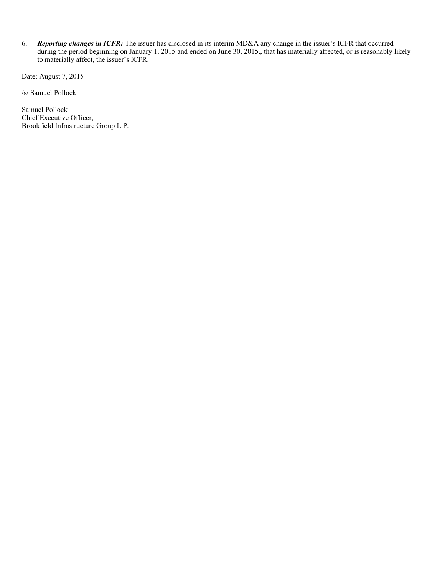6. *Reporting changes in ICFR:* The issuer has disclosed in its interim MD&A any change in the issuer's ICFR that occurred during the period beginning on January 1, 2015 and ended on June 30, 2015., that has materially affected, or is reasonably likely to materially affect, the issuer's ICFR.

Date: August 7, 2015

/s/ Samuel Pollock

Samuel Pollock Chief Executive Officer, Brookfield Infrastructure Group L.P.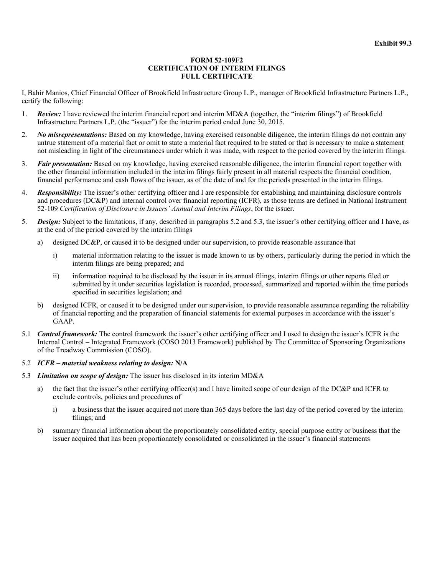#### **FORM 52-109F2 CERTIFICATION OF INTERIM FILINGS FULL CERTIFICATE**

I, Bahir Manios, Chief Financial Officer of Brookfield Infrastructure Group L.P., manager of Brookfield Infrastructure Partners L.P., certify the following:

- 1. *Review:* I have reviewed the interim financial report and interim MD&A (together, the "interim filings") of Brookfield Infrastructure Partners L.P. (the "issuer") for the interim period ended June 30, 2015.
- 2. *No misrepresentations:* Based on my knowledge, having exercised reasonable diligence, the interim filings do not contain any untrue statement of a material fact or omit to state a material fact required to be stated or that is necessary to make a statement not misleading in light of the circumstances under which it was made, with respect to the period covered by the interim filings.
- 3. *Fair presentation:* Based on my knowledge, having exercised reasonable diligence, the interim financial report together with the other financial information included in the interim filings fairly present in all material respects the financial condition, financial performance and cash flows of the issuer, as of the date of and for the periods presented in the interim filings.
- 4. *Responsibility:* The issuer's other certifying officer and I are responsible for establishing and maintaining disclosure controls and procedures (DC&P) and internal control over financial reporting (ICFR), as those terms are defined in National Instrument 52-109 *Certification of Disclosure in Issuers' Annual and Interim Filings*, for the issuer.
- 5. *Design:* Subject to the limitations, if any, described in paragraphs 5.2 and 5.3, the issuer's other certifying officer and I have, as at the end of the period covered by the interim filings
	- a) designed DC&P, or caused it to be designed under our supervision, to provide reasonable assurance that
		- i) material information relating to the issuer is made known to us by others, particularly during the period in which the interim filings are being prepared; and
		- ii) information required to be disclosed by the issuer in its annual filings, interim filings or other reports filed or submitted by it under securities legislation is recorded, processed, summarized and reported within the time periods specified in securities legislation; and
	- b) designed ICFR, or caused it to be designed under our supervision, to provide reasonable assurance regarding the reliability of financial reporting and the preparation of financial statements for external purposes in accordance with the issuer's GAAP.
- 5.1 *Control framework:* The control framework the issuer's other certifying officer and I used to design the issuer's ICFR is the Internal Control – Integrated Framework (COSO 2013 Framework) published by The Committee of Sponsoring Organizations of the Treadway Commission (COSO).

#### 5.2 *ICFR – material weakness relating to design:* **N/A**

- 5.3 *Limitation on scope of design:* The issuer has disclosed in its interim MD&A
	- a) the fact that the issuer's other certifying officer(s) and I have limited scope of our design of the DC&P and ICFR to exclude controls, policies and procedures of
		- i) a business that the issuer acquired not more than 365 days before the last day of the period covered by the interim filings; and
	- b) summary financial information about the proportionately consolidated entity, special purpose entity or business that the issuer acquired that has been proportionately consolidated or consolidated in the issuer's financial statements